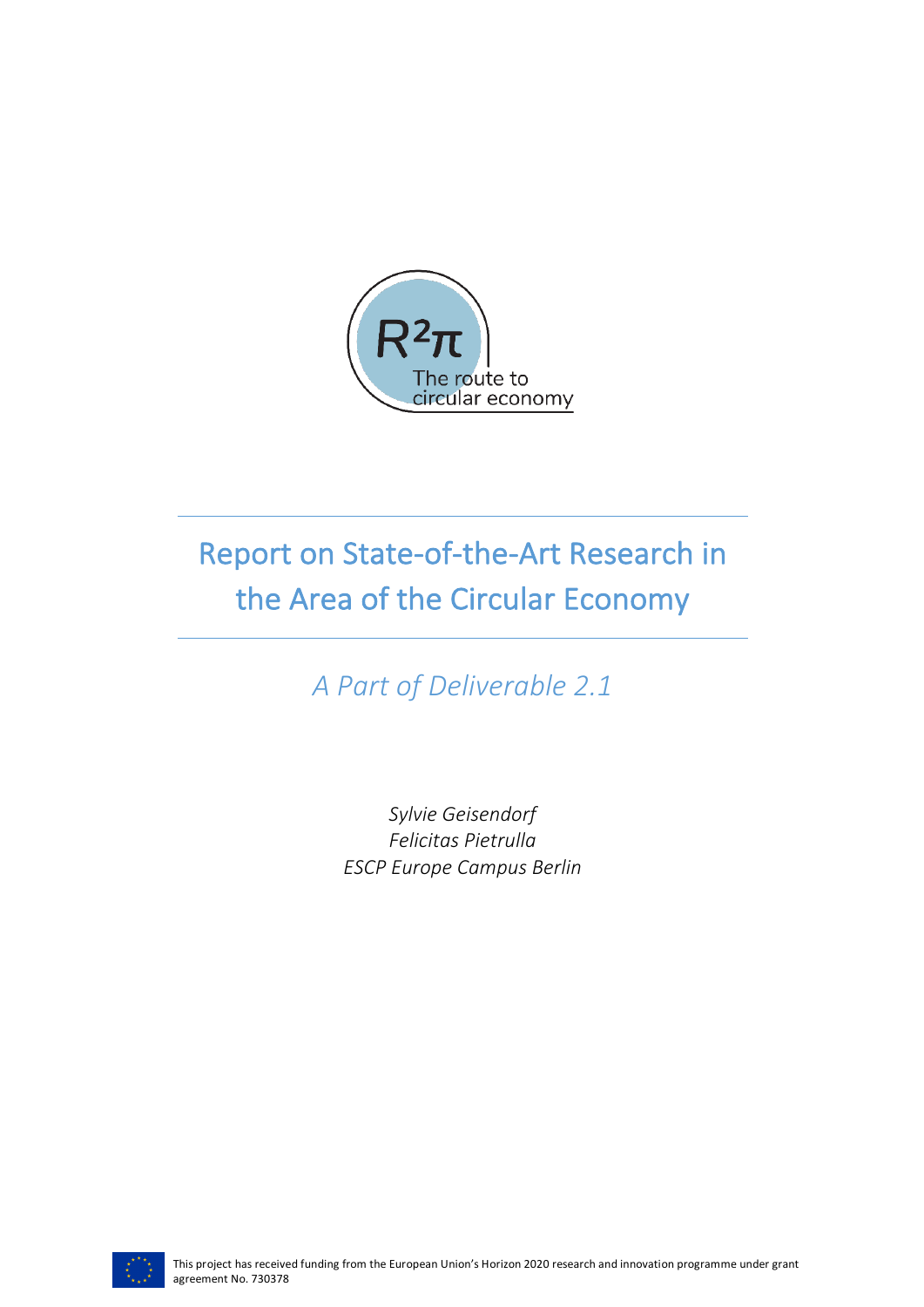

# Report on State-of-the-Art Research in the Area of the Circular Economy

*A Part of Deliverable 2.1*

*Sylvie Geisendorf Felicitas Pietrulla ESCP Europe Campus Berlin*

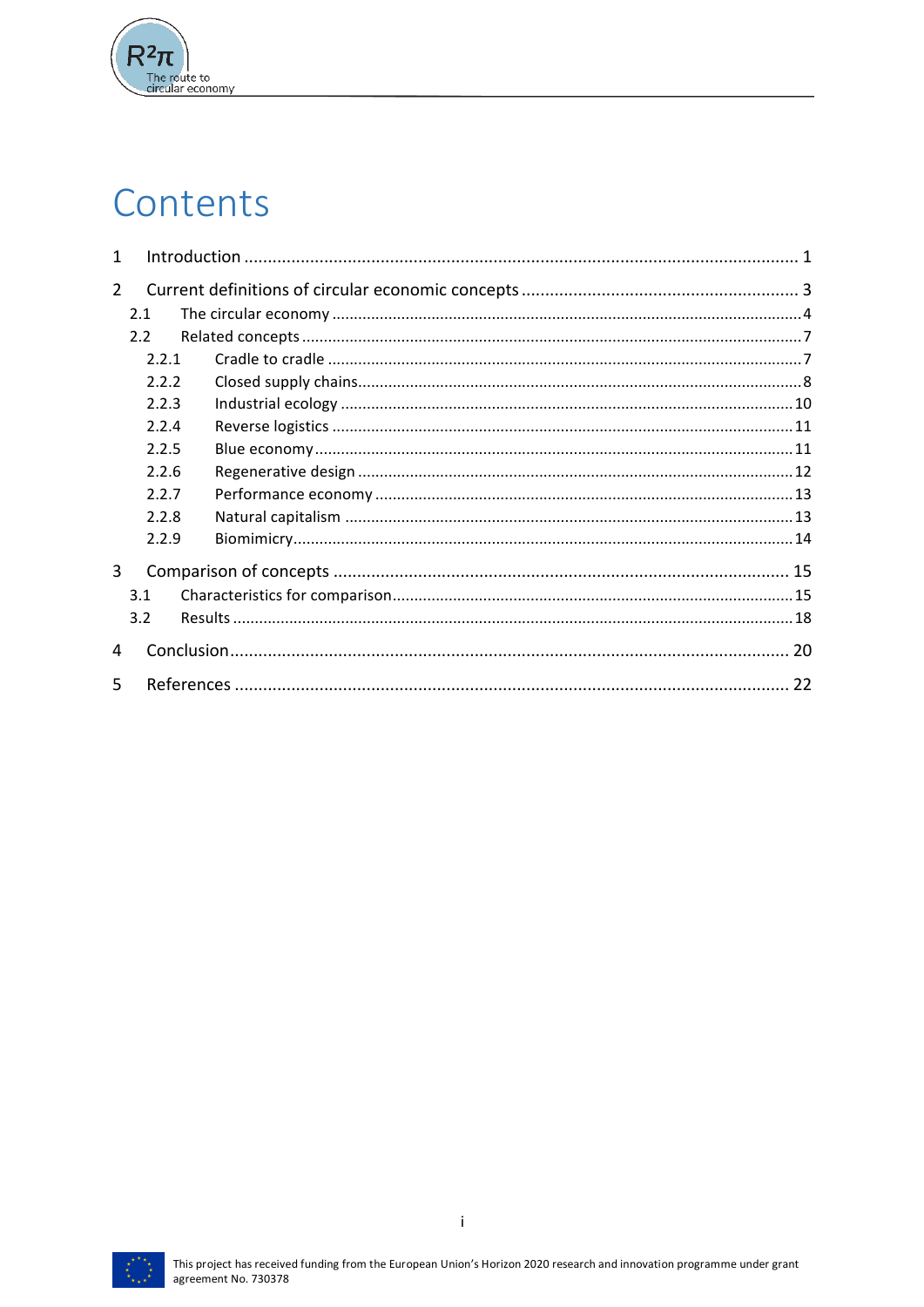

# Contents

| 1              |                |  |  |  |  |  |  |  |  |
|----------------|----------------|--|--|--|--|--|--|--|--|
|                | $\overline{2}$ |  |  |  |  |  |  |  |  |
|                | 2.1            |  |  |  |  |  |  |  |  |
|                | 2.2            |  |  |  |  |  |  |  |  |
|                | 2.2.1          |  |  |  |  |  |  |  |  |
|                | 2.2.2          |  |  |  |  |  |  |  |  |
|                | 2.2.3          |  |  |  |  |  |  |  |  |
| 2.2.4<br>2.2.5 |                |  |  |  |  |  |  |  |  |
|                |                |  |  |  |  |  |  |  |  |
|                | 2.2.6          |  |  |  |  |  |  |  |  |
|                | 2.2.7          |  |  |  |  |  |  |  |  |
|                | 2.2.8          |  |  |  |  |  |  |  |  |
|                | 2.2.9          |  |  |  |  |  |  |  |  |
| 3              |                |  |  |  |  |  |  |  |  |
|                | 3.1            |  |  |  |  |  |  |  |  |
|                | 3.2            |  |  |  |  |  |  |  |  |
| 4              |                |  |  |  |  |  |  |  |  |
| 5              |                |  |  |  |  |  |  |  |  |

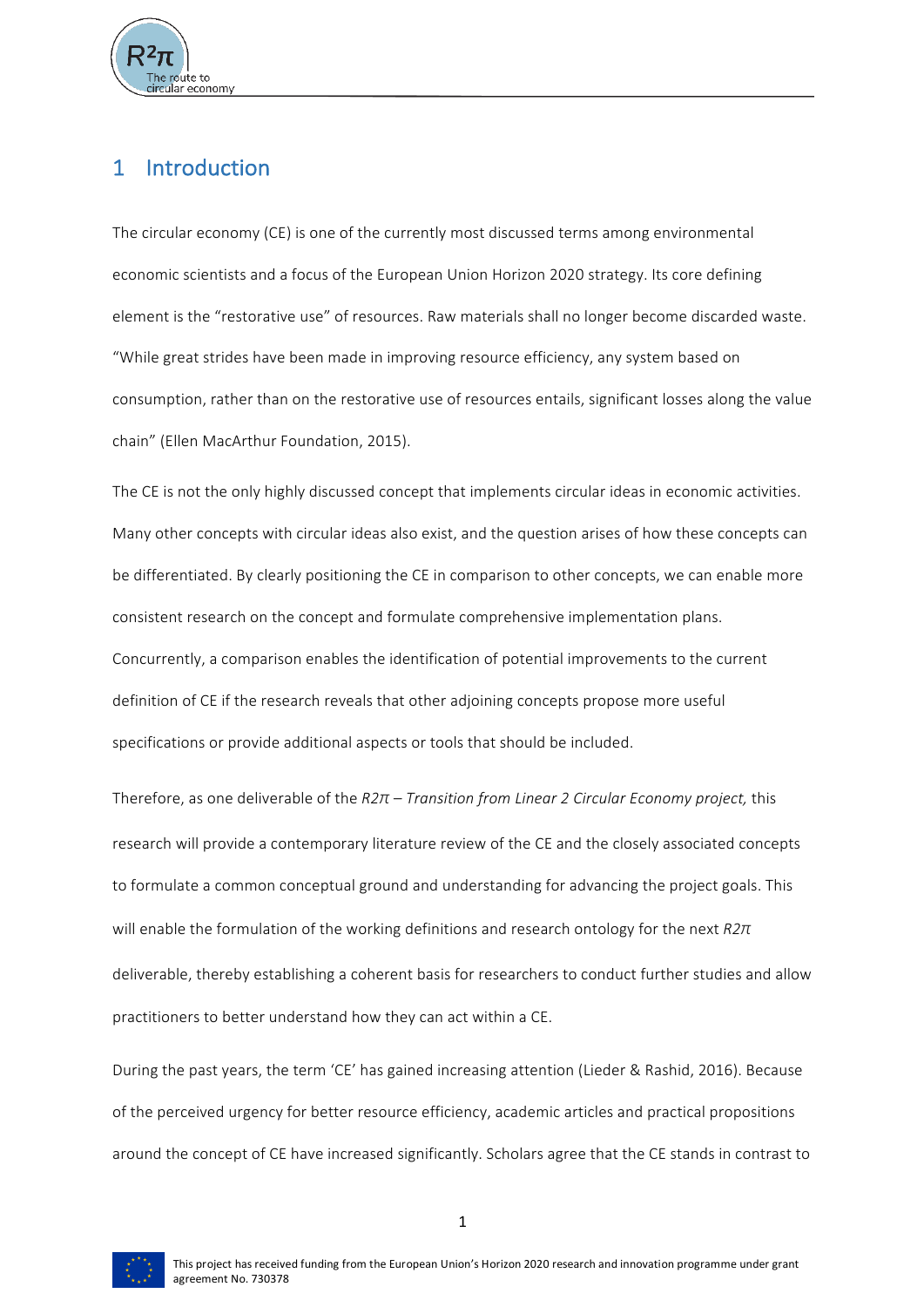

# 1 Introduction

The circular economy (CE) is one of the currently most discussed terms among environmental economic scientists and a focus of the European Union Horizon 2020 strategy. Its core defining element is the "restorative use" of resources. Raw materials shall no longer become discarded waste. "While great strides have been made in improving resource efficiency, any system based on consumption, rather than on the restorative use of resources entails, significant losses along the value chain" (Ellen MacArthur Foundation, 2015).

The CE is not the only highly discussed concept that implements circular ideas in economic activities. Many other concepts with circular ideas also exist, and the question arises of how these concepts can be differentiated. By clearly positioning the CE in comparison to other concepts, we can enable more consistent research on the concept and formulate comprehensive implementation plans. Concurrently, a comparison enables the identification of potential improvements to the current definition of CE if the research reveals that other adjoining concepts propose more useful specifications or provide additional aspects or tools that should be included.

Therefore, as one deliverable of the *R2π – Transition from Linear 2 Circular Economy project,* this research will provide a contemporary literature review of the CE and the closely associated concepts to formulate a common conceptual ground and understanding for advancing the project goals. This will enable the formulation of the working definitions and research ontology for the next *R2π* deliverable, thereby establishing a coherent basis for researchers to conduct further studies and allow practitioners to better understand how they can act within a CE.

During the past years, the term 'CE' has gained increasing attention (Lieder & Rashid, 2016). Because of the perceived urgency for better resource efficiency, academic articles and practical propositions around the concept of CE have increased significantly. Scholars agree that the CE stands in contrast to

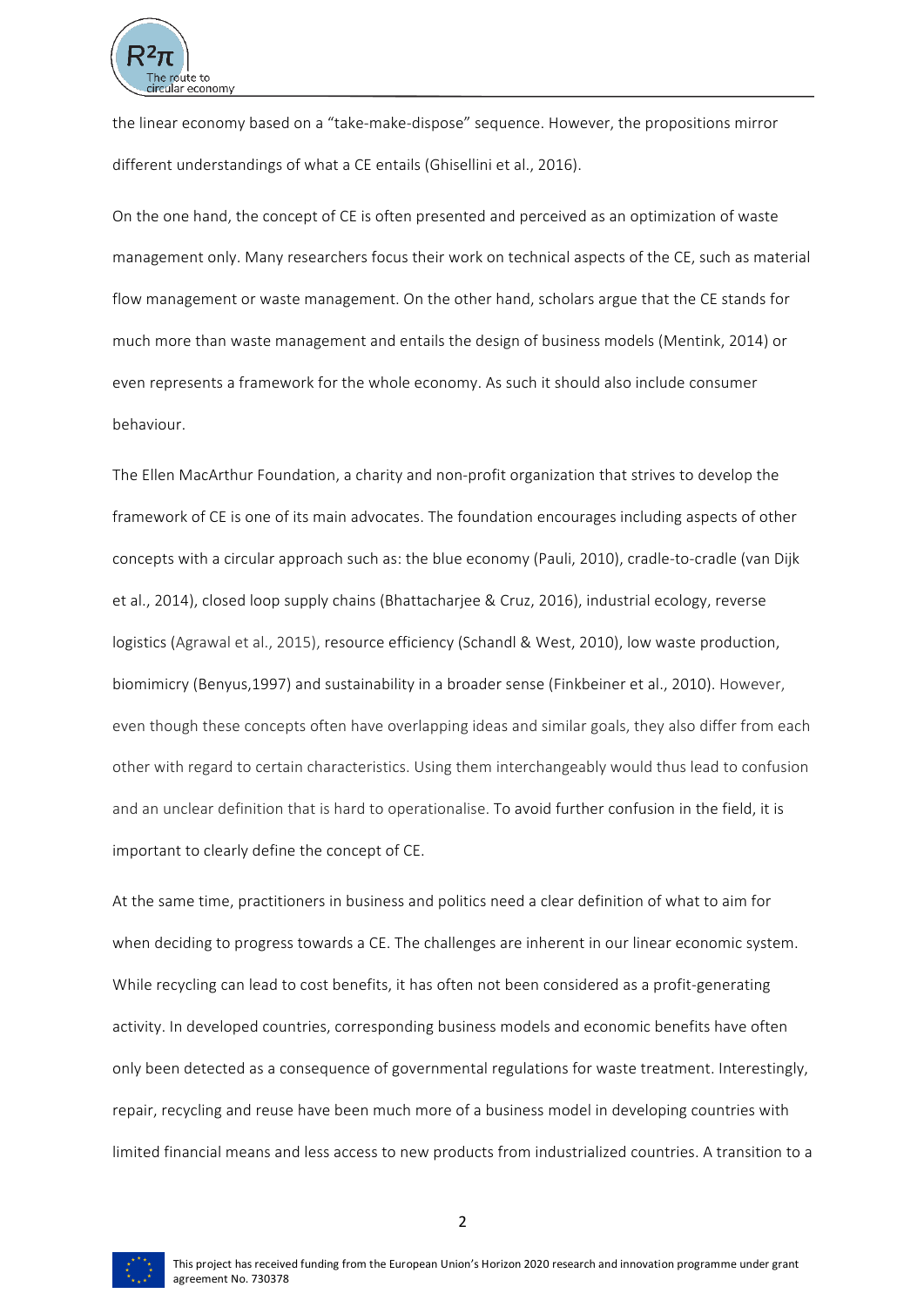

the linear economy based on a "take-make-dispose" sequence. However, the propositions mirror different understandings of what a CE entails (Ghisellini et al., 2016).

On the one hand, the concept of CE is often presented and perceived as an optimization of waste management only. Many researchers focus their work on technical aspects of the CE, such as material flow management or waste management. On the other hand, scholars argue that the CE stands for much more than waste management and entails the design of business models (Mentink, 2014) or even represents a framework for the whole economy. As such it should also include consumer behaviour. 

The Ellen MacArthur Foundation, a charity and non-profit organization that strives to develop the framework of CE is one of its main advocates. The foundation encourages including aspects of other concepts with a circular approach such as: the blue economy (Pauli, 2010), cradle-to-cradle (van Dijk et al., 2014), closed loop supply chains (Bhattacharjee & Cruz, 2016), industrial ecology, reverse logistics (Agrawal et al., 2015), resource efficiency (Schandl & West, 2010), low waste production, biomimicry (Benyus,1997) and sustainability in a broader sense (Finkbeiner et al., 2010). However, even though these concepts often have overlapping ideas and similar goals, they also differ from each other with regard to certain characteristics. Using them interchangeably would thus lead to confusion and an unclear definition that is hard to operationalise. To avoid further confusion in the field, it is important to clearly define the concept of CE.

At the same time, practitioners in business and politics need a clear definition of what to aim for when deciding to progress towards a CE. The challenges are inherent in our linear economic system. While recycling can lead to cost benefits, it has often not been considered as a profit-generating activity. In developed countries, corresponding business models and economic benefits have often only been detected as a consequence of governmental regulations for waste treatment. Interestingly, repair, recycling and reuse have been much more of a business model in developing countries with limited financial means and less access to new products from industrialized countries. A transition to a

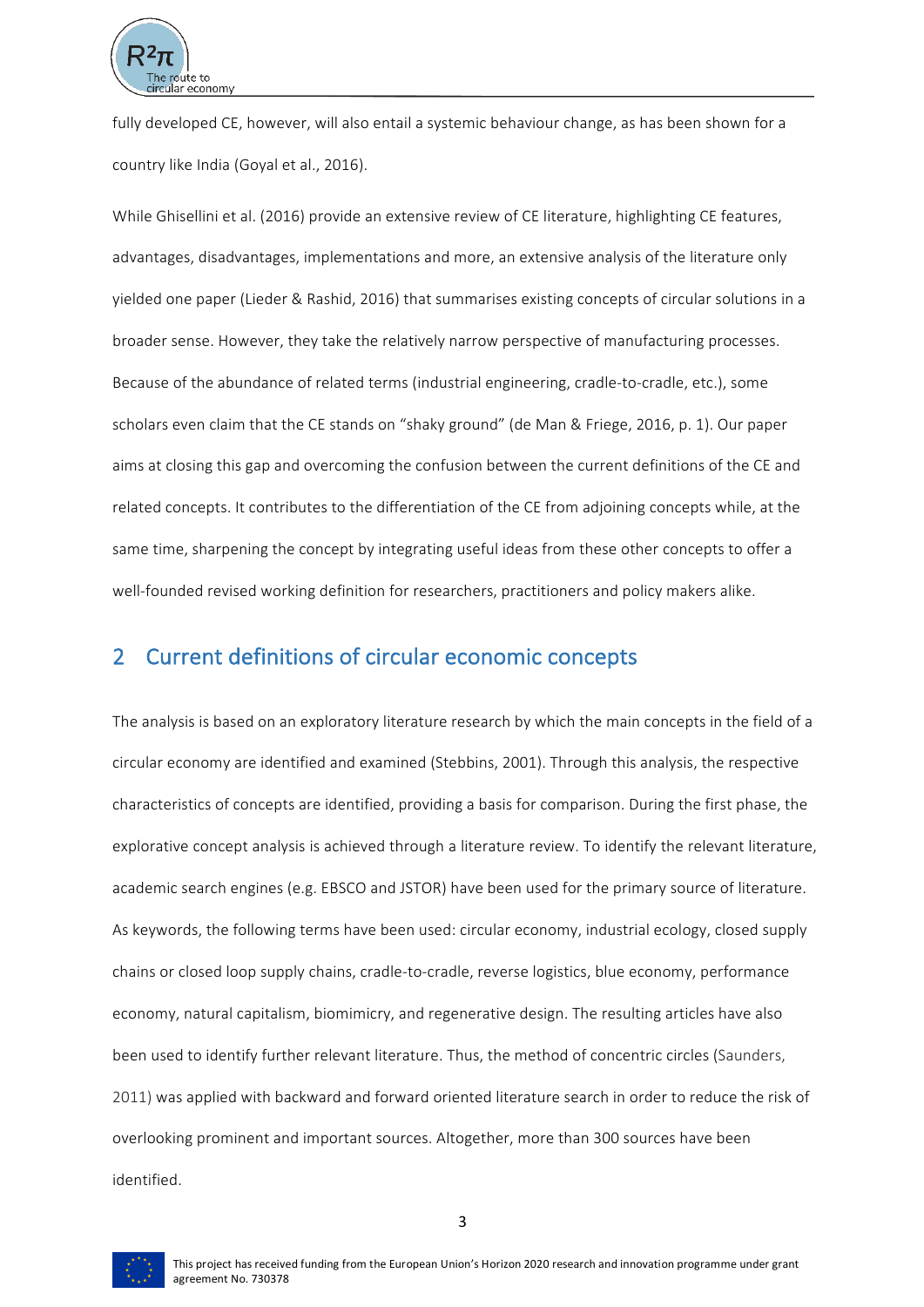

fully developed CE, however, will also entail a systemic behaviour change, as has been shown for a country like India (Goval et al., 2016).

While Ghisellini et al. (2016) provide an extensive review of CE literature, highlighting CE features, advantages, disadvantages, implementations and more, an extensive analysis of the literature only yielded one paper (Lieder & Rashid, 2016) that summarises existing concepts of circular solutions in a broader sense. However, they take the relatively narrow perspective of manufacturing processes. Because of the abundance of related terms (industrial engineering, cradle-to-cradle, etc.), some scholars even claim that the CE stands on "shaky ground" (de Man & Friege, 2016, p. 1). Our paper aims at closing this gap and overcoming the confusion between the current definitions of the CE and related concepts. It contributes to the differentiation of the CE from adjoining concepts while, at the same time, sharpening the concept by integrating useful ideas from these other concepts to offer a well-founded revised working definition for researchers, practitioners and policy makers alike.

# 2 Current definitions of circular economic concepts

The analysis is based on an exploratory literature research by which the main concepts in the field of a circular economy are identified and examined (Stebbins, 2001). Through this analysis, the respective characteristics of concepts are identified, providing a basis for comparison. During the first phase, the explorative concept analysis is achieved through a literature review. To identify the relevant literature, academic search engines (e.g. EBSCO and JSTOR) have been used for the primary source of literature. As keywords, the following terms have been used: circular economy, industrial ecology, closed supply chains or closed loop supply chains, cradle-to-cradle, reverse logistics, blue economy, performance economy, natural capitalism, biomimicry, and regenerative design. The resulting articles have also been used to identify further relevant literature. Thus, the method of concentric circles (Saunders, 2011) was applied with backward and forward oriented literature search in order to reduce the risk of overlooking prominent and important sources. Altogether, more than 300 sources have been identified. 

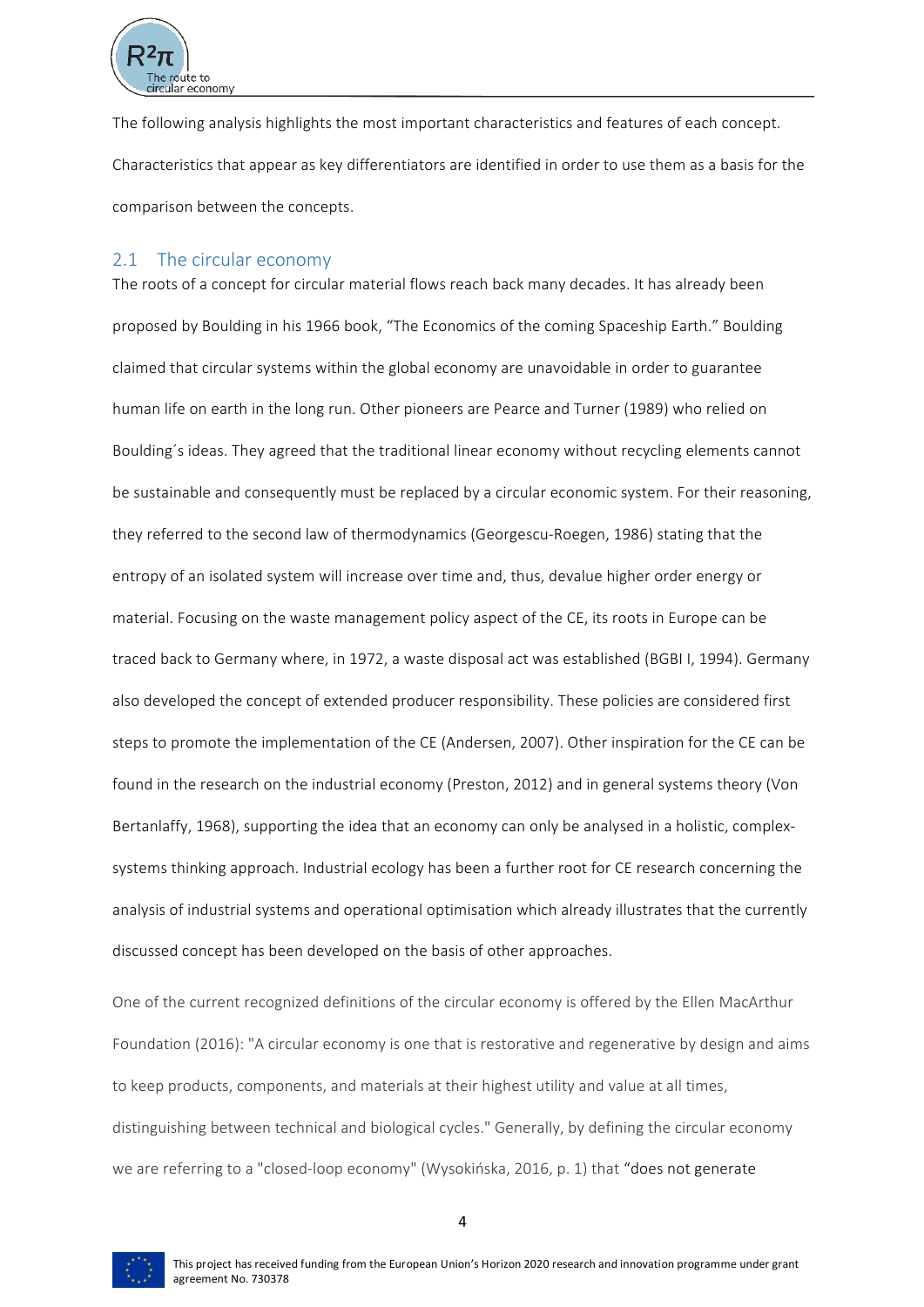

The following analysis highlights the most important characteristics and features of each concept. Characteristics that appear as key differentiators are identified in order to use them as a basis for the comparison between the concepts.

# 2.1 The circular economy

The roots of a concept for circular material flows reach back many decades. It has already been proposed by Boulding in his 1966 book, "The Economics of the coming Spaceship Earth." Boulding claimed that circular systems within the global economy are unavoidable in order to guarantee human life on earth in the long run. Other pioneers are Pearce and Turner (1989) who relied on Boulding's ideas. They agreed that the traditional linear economy without recycling elements cannot be sustainable and consequently must be replaced by a circular economic system. For their reasoning, they referred to the second law of thermodynamics (Georgescu-Roegen, 1986) stating that the entropy of an isolated system will increase over time and, thus, devalue higher order energy or material. Focusing on the waste management policy aspect of the CE, its roots in Europe can be traced back to Germany where, in 1972, a waste disposal act was established (BGBI I, 1994). Germany also developed the concept of extended producer responsibility. These policies are considered first steps to promote the implementation of the CE (Andersen, 2007). Other inspiration for the CE can be found in the research on the industrial economy (Preston, 2012) and in general systems theory (Von Bertanlaffy, 1968), supporting the idea that an economy can only be analysed in a holistic, complexsystems thinking approach. Industrial ecology has been a further root for CE research concerning the analysis of industrial systems and operational optimisation which already illustrates that the currently discussed concept has been developed on the basis of other approaches.

One of the current recognized definitions of the circular economy is offered by the Ellen MacArthur Foundation (2016): "A circular economy is one that is restorative and regenerative by design and aims to keep products, components, and materials at their highest utility and value at all times, distinguishing between technical and biological cycles." Generally, by defining the circular economy we are referring to a "closed-loop economy" (Wysokińska, 2016, p. 1) that "does not generate

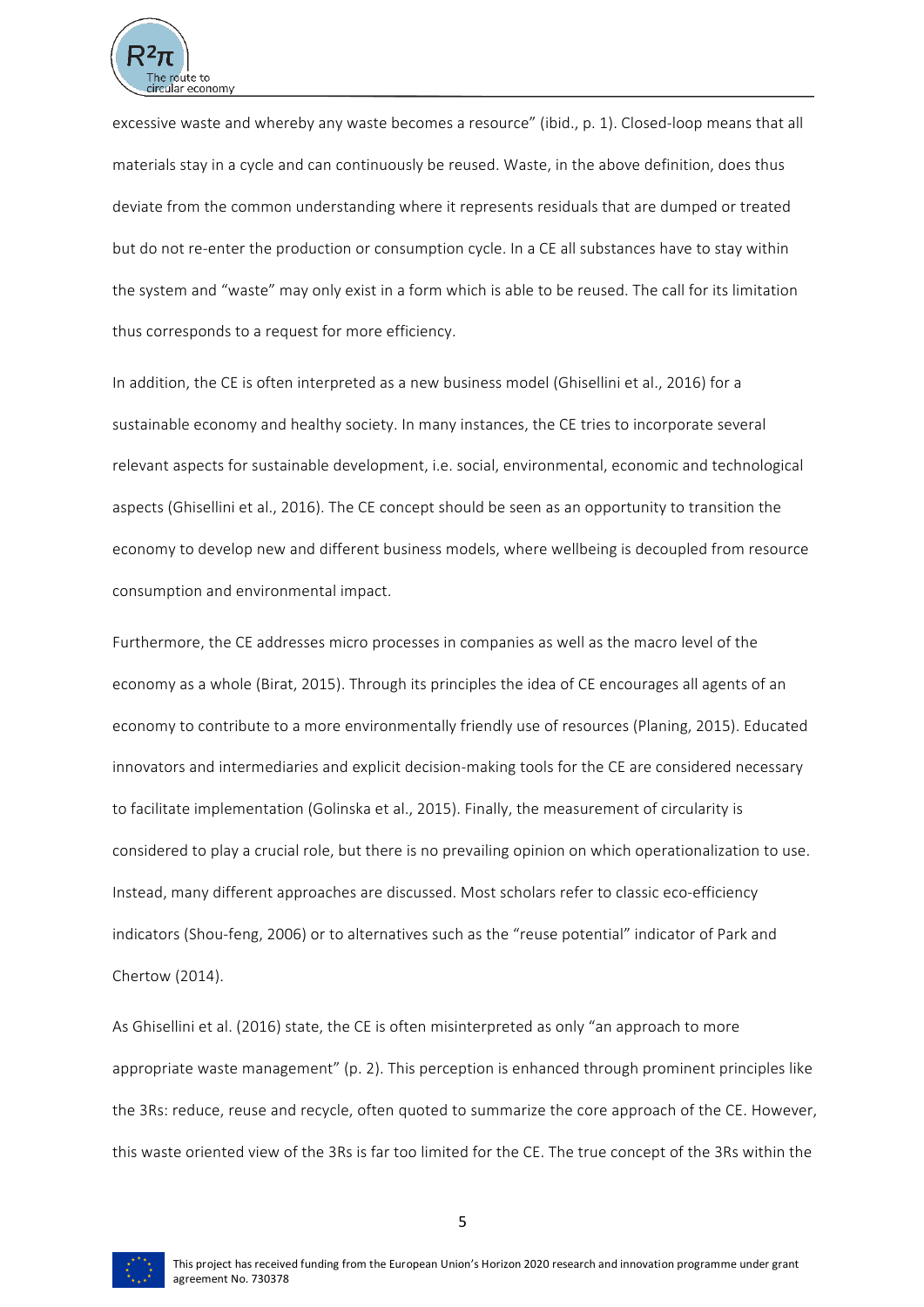

excessive waste and whereby any waste becomes a resource" (ibid., p. 1). Closed-loop means that all materials stay in a cycle and can continuously be reused. Waste, in the above definition, does thus deviate from the common understanding where it represents residuals that are dumped or treated but do not re-enter the production or consumption cycle. In a CE all substances have to stay within the system and "waste" may only exist in a form which is able to be reused. The call for its limitation thus corresponds to a request for more efficiency.

In addition, the CE is often interpreted as a new business model (Ghisellini et al., 2016) for a sustainable economy and healthy society. In many instances, the CE tries to incorporate several relevant aspects for sustainable development, i.e. social, environmental, economic and technological aspects (Ghisellini et al., 2016). The CE concept should be seen as an opportunity to transition the economy to develop new and different business models, where wellbeing is decoupled from resource consumption and environmental impact.

Furthermore, the CE addresses micro processes in companies as well as the macro level of the economy as a whole (Birat, 2015). Through its principles the idea of CE encourages all agents of an economy to contribute to a more environmentally friendly use of resources (Planing, 2015). Educated innovators and intermediaries and explicit decision-making tools for the CE are considered necessary to facilitate implementation (Golinska et al., 2015). Finally, the measurement of circularity is considered to play a crucial role, but there is no prevailing opinion on which operationalization to use. Instead, many different approaches are discussed. Most scholars refer to classic eco-efficiency indicators (Shou-feng, 2006) or to alternatives such as the "reuse potential" indicator of Park and Chertow (2014). 

As Ghisellini et al. (2016) state, the CE is often misinterpreted as only "an approach to more appropriate waste management" (p. 2). This perception is enhanced through prominent principles like the 3Rs: reduce, reuse and recycle, often quoted to summarize the core approach of the CE. However, this waste oriented view of the 3Rs is far too limited for the CE. The true concept of the 3Rs within the

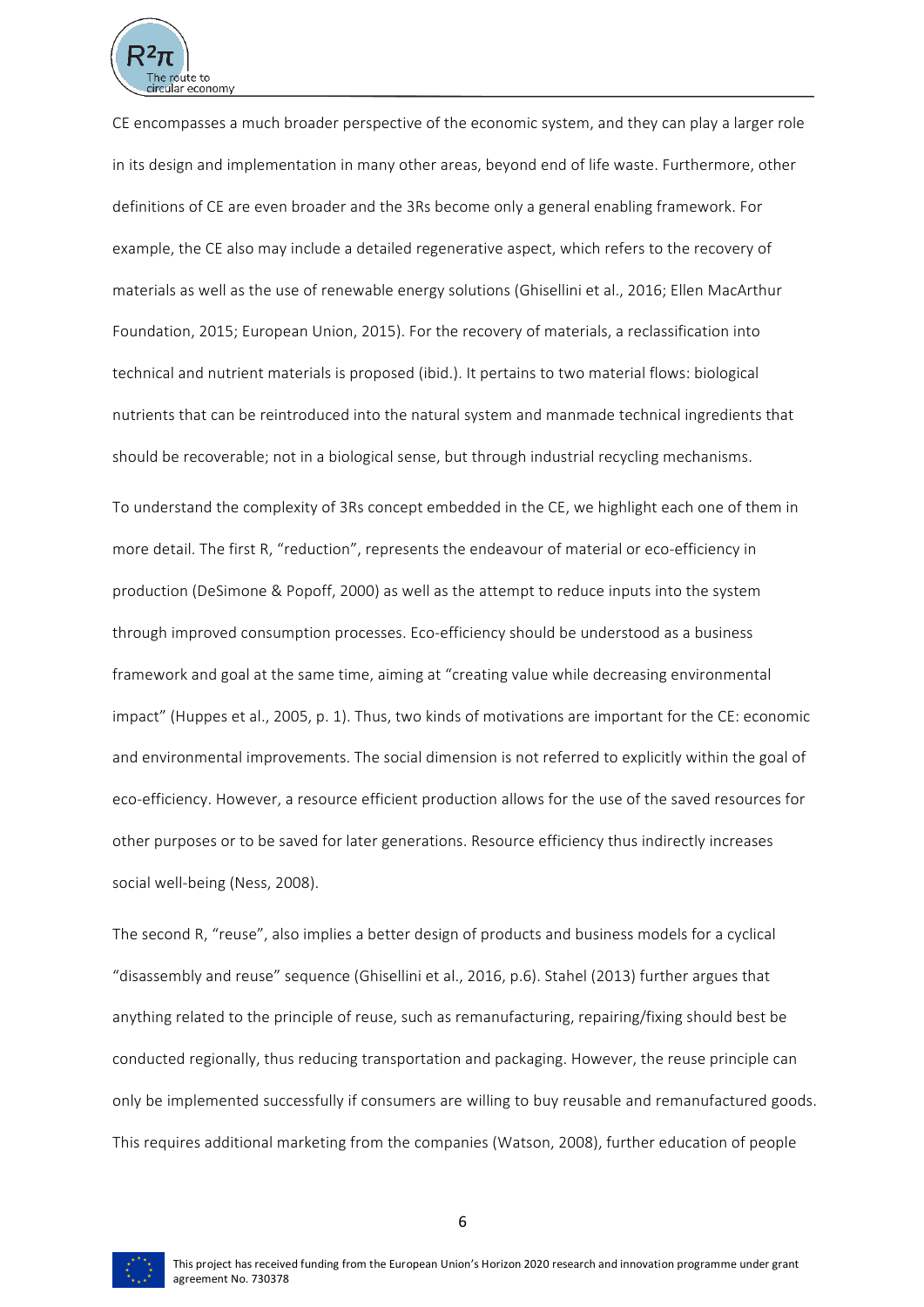

CE encompasses a much broader perspective of the economic system, and they can play a larger role in its design and implementation in many other areas, beyond end of life waste. Furthermore, other definitions of CE are even broader and the 3Rs become only a general enabling framework. For example, the CE also may include a detailed regenerative aspect, which refers to the recovery of materials as well as the use of renewable energy solutions (Ghisellini et al., 2016; Ellen MacArthur Foundation, 2015; European Union, 2015). For the recovery of materials, a reclassification into technical and nutrient materials is proposed (ibid.). It pertains to two material flows: biological nutrients that can be reintroduced into the natural system and manmade technical ingredients that should be recoverable; not in a biological sense, but through industrial recycling mechanisms.

To understand the complexity of 3Rs concept embedded in the CE, we highlight each one of them in more detail. The first R, "reduction", represents the endeavour of material or eco-efficiency in production (DeSimone & Popoff, 2000) as well as the attempt to reduce inputs into the system through improved consumption processes. Eco-efficiency should be understood as a business framework and goal at the same time, aiming at "creating value while decreasing environmental impact" (Huppes et al., 2005, p. 1). Thus, two kinds of motivations are important for the CE: economic and environmental improvements. The social dimension is not referred to explicitly within the goal of eco-efficiency. However, a resource efficient production allows for the use of the saved resources for other purposes or to be saved for later generations. Resource efficiency thus indirectly increases social well-being (Ness, 2008).

The second R, "reuse", also implies a better design of products and business models for a cyclical "disassembly and reuse" sequence (Ghisellini et al., 2016, p.6). Stahel (2013) further argues that anything related to the principle of reuse, such as remanufacturing, repairing/fixing should best be conducted regionally, thus reducing transportation and packaging. However, the reuse principle can only be implemented successfully if consumers are willing to buy reusable and remanufactured goods. This requires additional marketing from the companies (Watson, 2008), further education of people



6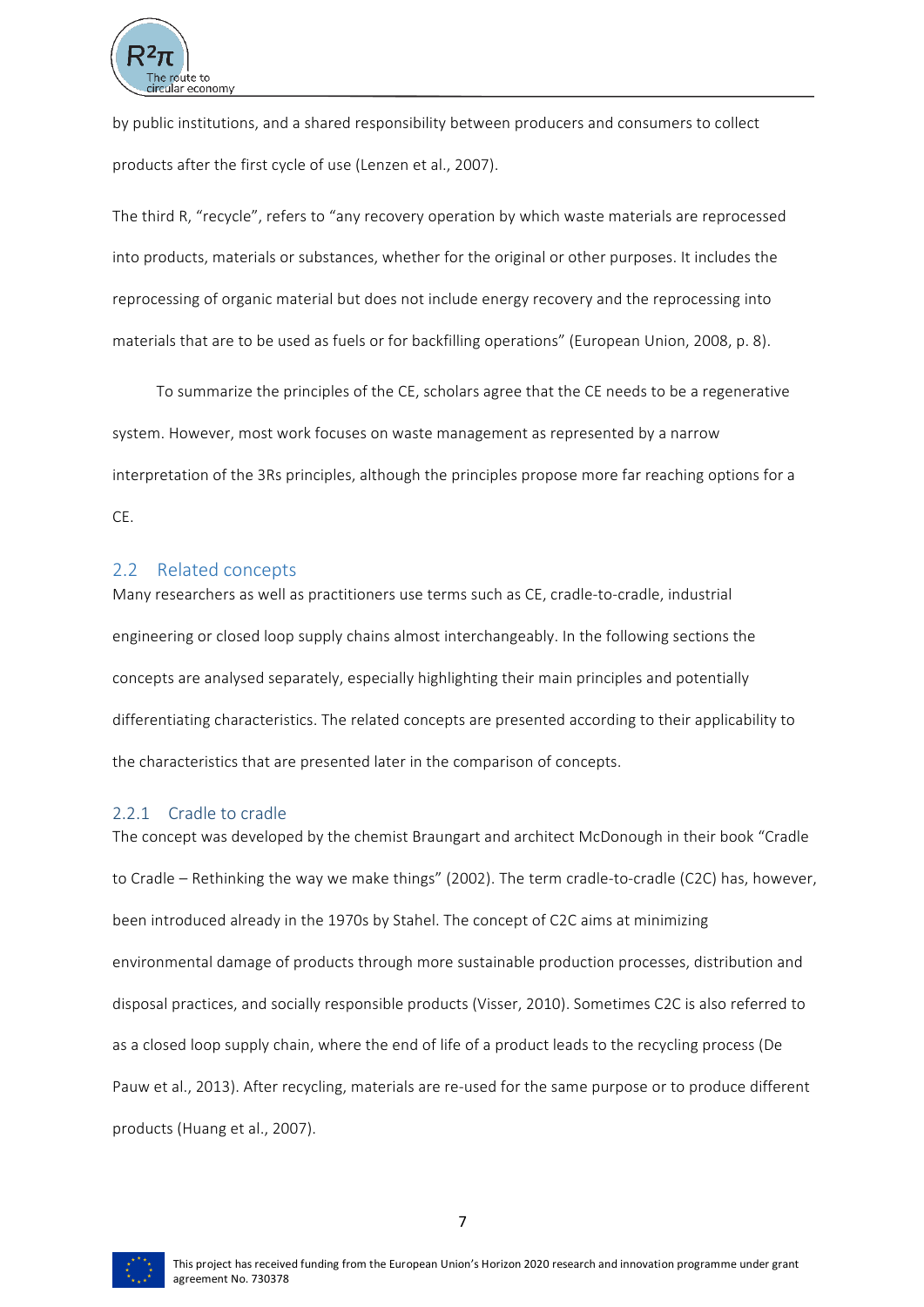

by public institutions, and a shared responsibility between producers and consumers to collect products after the first cycle of use (Lenzen et al., 2007).

The third R, "recycle", refers to "any recovery operation by which waste materials are reprocessed into products, materials or substances, whether for the original or other purposes. It includes the reprocessing of organic material but does not include energy recovery and the reprocessing into materials that are to be used as fuels or for backfilling operations" (European Union, 2008, p. 8).

To summarize the principles of the CE, scholars agree that the CE needs to be a regenerative system. However, most work focuses on waste management as represented by a narrow interpretation of the 3Rs principles, although the principles propose more far reaching options for a CE. 

# 2.2 Related concepts

Many researchers as well as practitioners use terms such as CE, cradle-to-cradle, industrial engineering or closed loop supply chains almost interchangeably. In the following sections the concepts are analysed separately, especially highlighting their main principles and potentially differentiating characteristics. The related concepts are presented according to their applicability to the characteristics that are presented later in the comparison of concepts.

#### 2.2.1 Cradle to cradle

The concept was developed by the chemist Braungart and architect McDonough in their book "Cradle to Cradle – Rethinking the way we make things" (2002). The term cradle-to-cradle (C2C) has, however, been introduced already in the 1970s by Stahel. The concept of C2C aims at minimizing environmental damage of products through more sustainable production processes, distribution and disposal practices, and socially responsible products (Visser, 2010). Sometimes C2C is also referred to as a closed loop supply chain, where the end of life of a product leads to the recycling process (De Pauw et al., 2013). After recycling, materials are re-used for the same purpose or to produce different products (Huang et al., 2007).

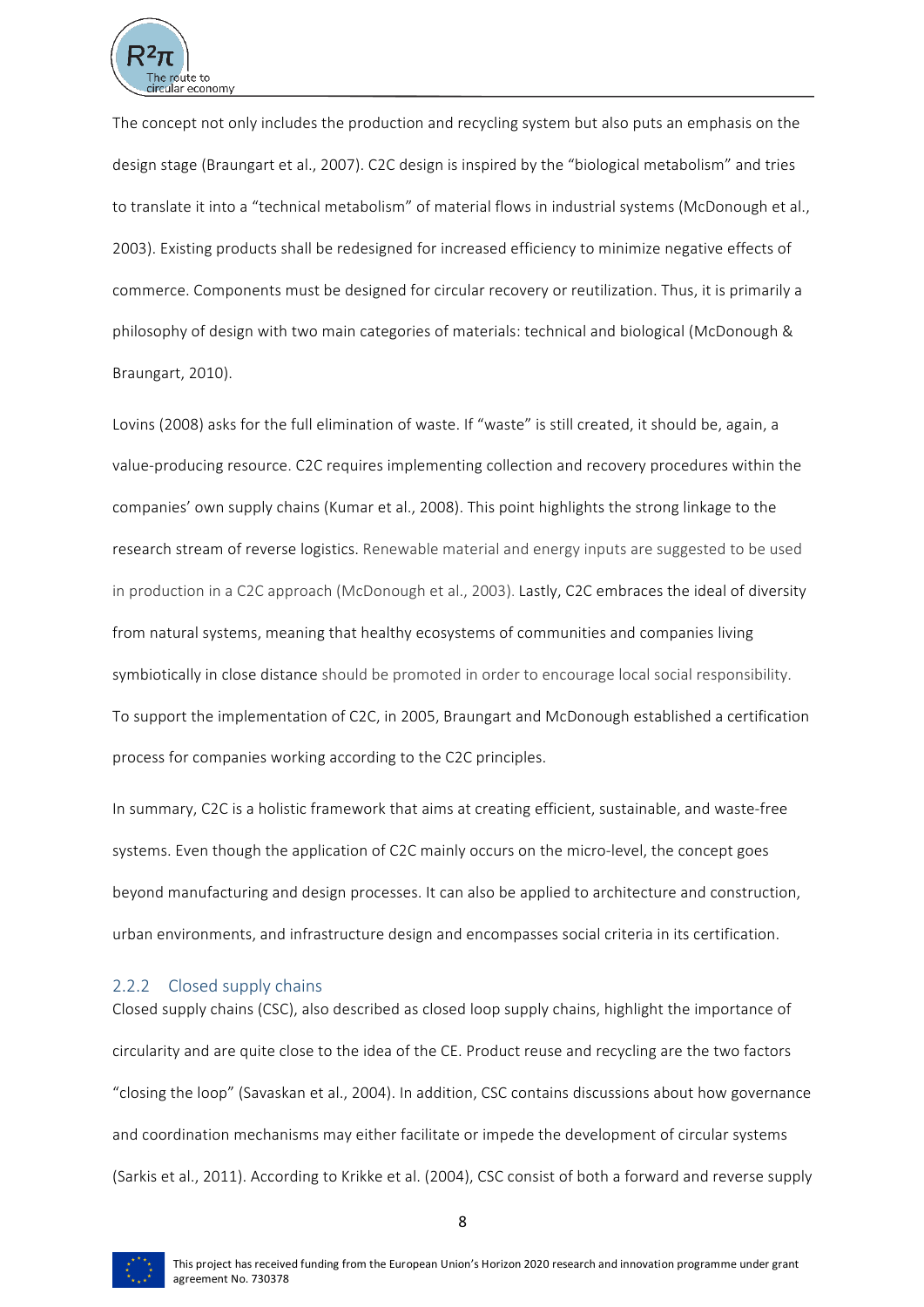

The concept not only includes the production and recycling system but also puts an emphasis on the design stage (Braungart et al., 2007). C2C design is inspired by the "biological metabolism" and tries to translate it into a "technical metabolism" of material flows in industrial systems (McDonough et al., 2003). Existing products shall be redesigned for increased efficiency to minimize negative effects of commerce. Components must be designed for circular recovery or reutilization. Thus, it is primarily a philosophy of design with two main categories of materials: technical and biological (McDonough & Braungart, 2010).

Lovins (2008) asks for the full elimination of waste. If "waste" is still created, it should be, again, a value-producing resource. C2C requires implementing collection and recovery procedures within the companies' own supply chains (Kumar et al., 2008). This point highlights the strong linkage to the research stream of reverse logistics. Renewable material and energy inputs are suggested to be used in production in a C2C approach (McDonough et al., 2003). Lastly, C2C embraces the ideal of diversity from natural systems, meaning that healthy ecosystems of communities and companies living symbiotically in close distance should be promoted in order to encourage local social responsibility. To support the implementation of C2C, in 2005, Braungart and McDonough established a certification process for companies working according to the C2C principles.

In summary, C2C is a holistic framework that aims at creating efficient, sustainable, and waste-free systems. Even though the application of C2C mainly occurs on the micro-level, the concept goes beyond manufacturing and design processes. It can also be applied to architecture and construction, urban environments, and infrastructure design and encompasses social criteria in its certification.

#### 2.2.2 Closed supply chains

Closed supply chains (CSC), also described as closed loop supply chains, highlight the importance of circularity and are quite close to the idea of the CE. Product reuse and recycling are the two factors "closing the loop" (Savaskan et al., 2004). In addition, CSC contains discussions about how governance and coordination mechanisms may either facilitate or impede the development of circular systems (Sarkis et al., 2011). According to Krikke et al. (2004), CSC consist of both a forward and reverse supply

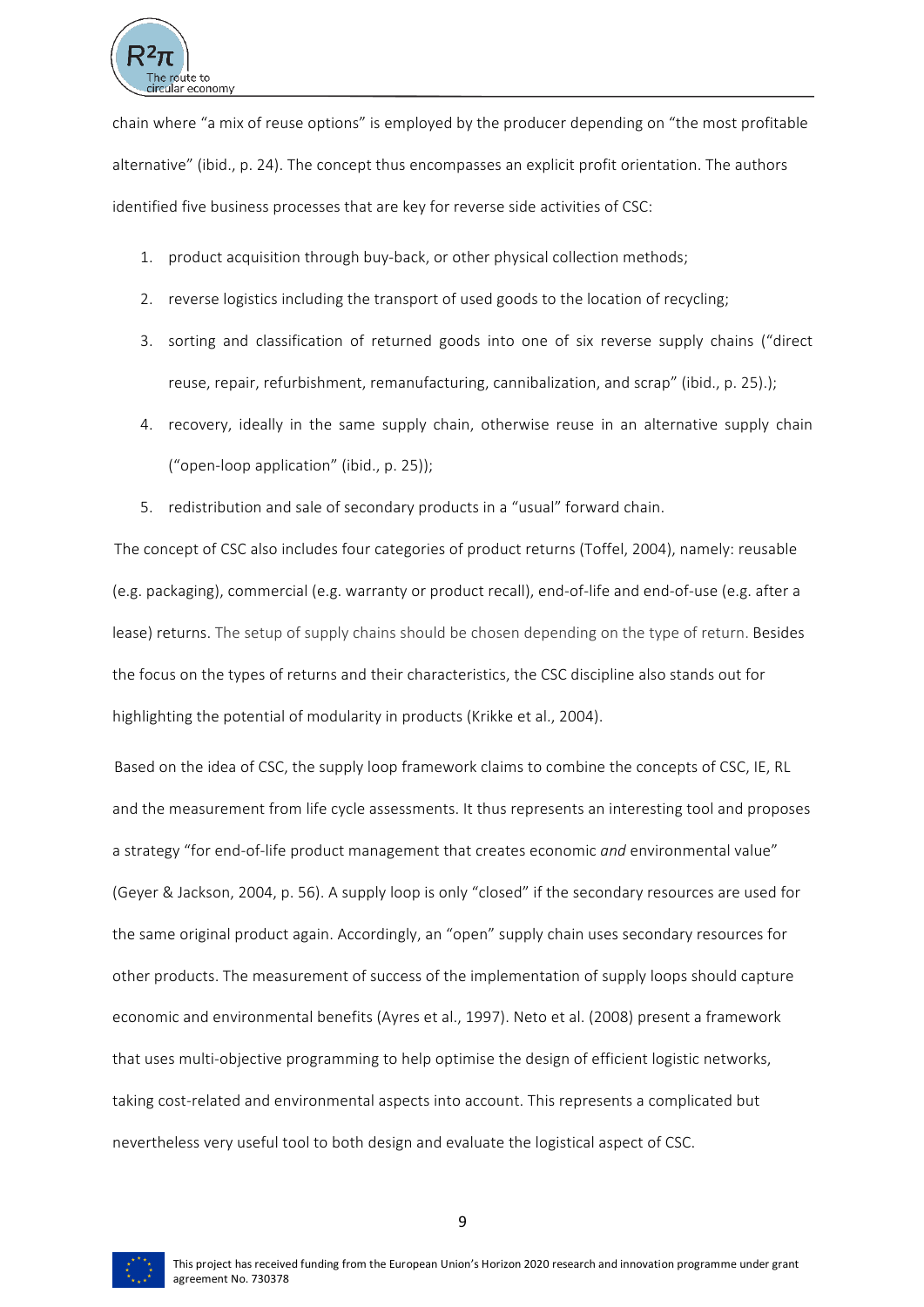

chain where "a mix of reuse options" is employed by the producer depending on "the most profitable alternative" (ibid., p. 24). The concept thus encompasses an explicit profit orientation. The authors identified five business processes that are key for reverse side activities of CSC:

- 1. product acquisition through buy-back, or other physical collection methods;
- 2. reverse logistics including the transport of used goods to the location of recycling;
- 3. sorting and classification of returned goods into one of six reverse supply chains ("direct reuse, repair, refurbishment, remanufacturing, cannibalization, and scrap" (ibid., p. 25).);
- 4. recovery, ideally in the same supply chain, otherwise reuse in an alternative supply chain ("open-loop application" (ibid., p. 25));
- 5. redistribution and sale of secondary products in a "usual" forward chain.

The concept of CSC also includes four categories of product returns (Toffel, 2004), namely: reusable (e.g. packaging), commercial (e.g. warranty or product recall), end-of-life and end-of-use (e.g. after a lease) returns. The setup of supply chains should be chosen depending on the type of return. Besides the focus on the types of returns and their characteristics, the CSC discipline also stands out for highlighting the potential of modularity in products (Krikke et al., 2004).

Based on the idea of CSC, the supply loop framework claims to combine the concepts of CSC, IE, RL and the measurement from life cycle assessments. It thus represents an interesting tool and proposes a strategy "for end-of-life product management that creates economic *and* environmental value" (Geyer & Jackson, 2004, p. 56). A supply loop is only "closed" if the secondary resources are used for the same original product again. Accordingly, an "open" supply chain uses secondary resources for other products. The measurement of success of the implementation of supply loops should capture economic and environmental benefits (Ayres et al., 1997). Neto et al. (2008) present a framework that uses multi-objective programming to help optimise the design of efficient logistic networks, taking cost-related and environmental aspects into account. This represents a complicated but nevertheless very useful tool to both design and evaluate the logistical aspect of CSC.



9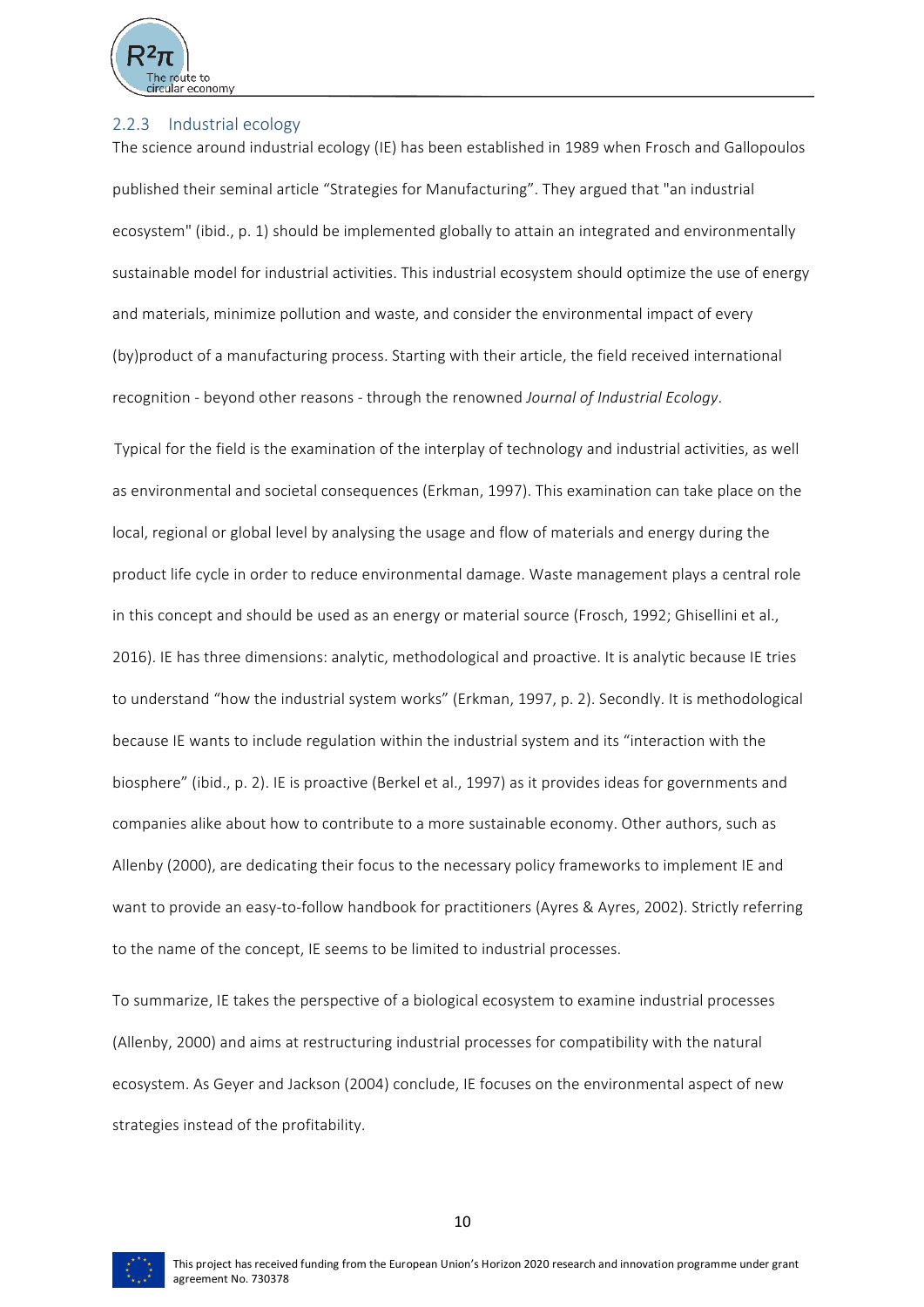

#### 2.2.3 Industrial ecology

The science around industrial ecology (IE) has been established in 1989 when Frosch and Gallopoulos published their seminal article "Strategies for Manufacturing". They argued that "an industrial ecosystem" (ibid., p. 1) should be implemented globally to attain an integrated and environmentally sustainable model for industrial activities. This industrial ecosystem should optimize the use of energy and materials, minimize pollution and waste, and consider the environmental impact of every (by)product of a manufacturing process. Starting with their article, the field received international recognition - beyond other reasons - through the renowned *Journal of Industrial Ecology*.

Typical for the field is the examination of the interplay of technology and industrial activities, as well as environmental and societal consequences (Erkman, 1997). This examination can take place on the local, regional or global level by analysing the usage and flow of materials and energy during the product life cycle in order to reduce environmental damage. Waste management plays a central role in this concept and should be used as an energy or material source (Frosch, 1992; Ghisellini et al., 2016). IE has three dimensions: analytic, methodological and proactive. It is analytic because IE tries to understand "how the industrial system works" (Erkman, 1997, p. 2). Secondly. It is methodological because IE wants to include regulation within the industrial system and its "interaction with the biosphere" (ibid., p. 2). IE is proactive (Berkel et al., 1997) as it provides ideas for governments and companies alike about how to contribute to a more sustainable economy. Other authors, such as Allenby (2000), are dedicating their focus to the necessary policy frameworks to implement IE and want to provide an easy-to-follow handbook for practitioners (Ayres & Ayres, 2002). Strictly referring to the name of the concept, IE seems to be limited to industrial processes.

To summarize, IE takes the perspective of a biological ecosystem to examine industrial processes (Allenby, 2000) and aims at restructuring industrial processes for compatibility with the natural ecosystem. As Geyer and Jackson (2004) conclude, IE focuses on the environmental aspect of new strategies instead of the profitability.

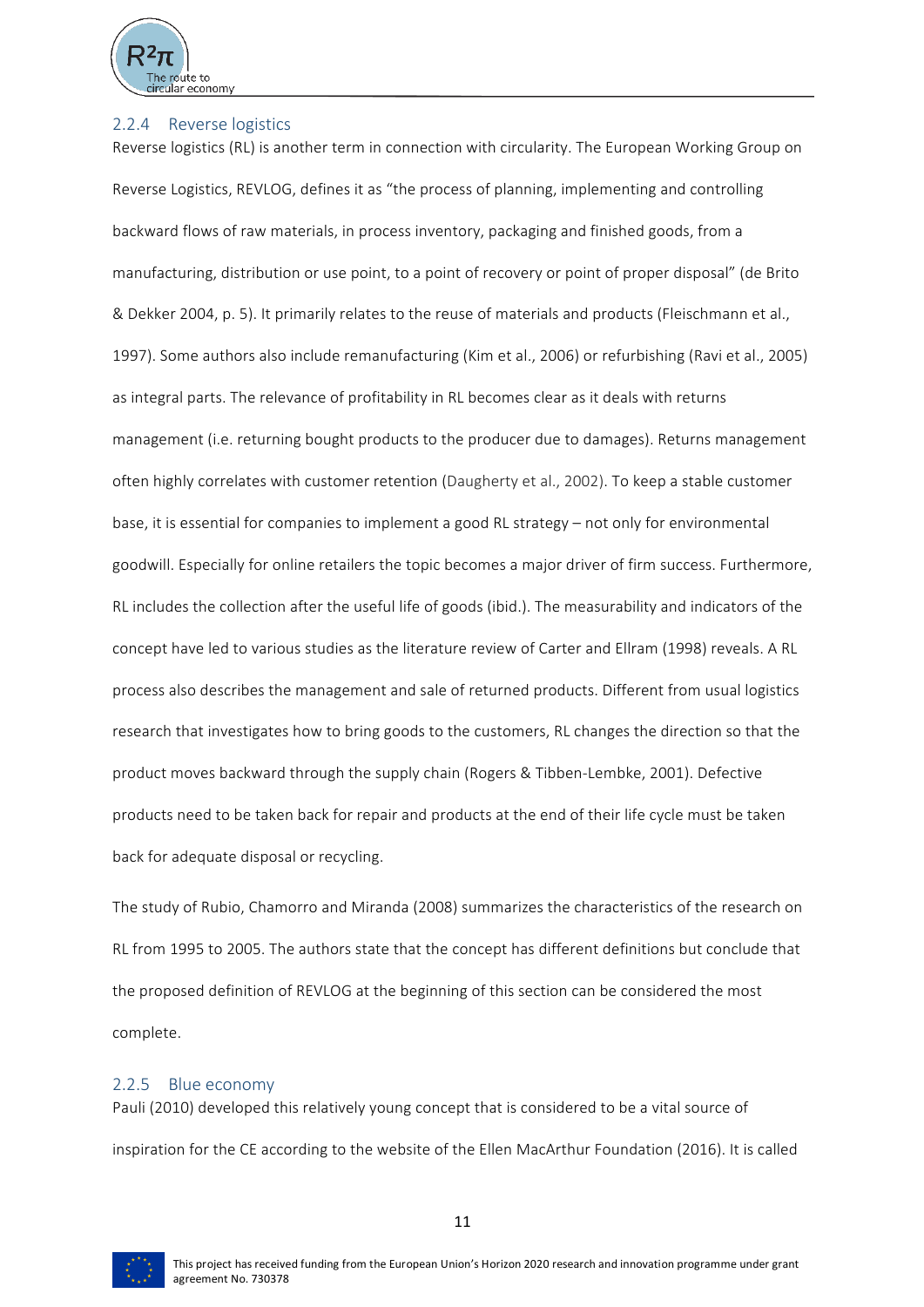

#### 2.2.4 Reverse logistics

Reverse logistics (RL) is another term in connection with circularity. The European Working Group on Reverse Logistics, REVLOG, defines it as "the process of planning, implementing and controlling backward flows of raw materials, in process inventory, packaging and finished goods, from a manufacturing, distribution or use point, to a point of recovery or point of proper disposal" (de Brito & Dekker 2004, p. 5). It primarily relates to the reuse of materials and products (Fleischmann et al., 1997). Some authors also include remanufacturing (Kim et al., 2006) or refurbishing (Ravi et al., 2005) as integral parts. The relevance of profitability in RL becomes clear as it deals with returns management (i.e. returning bought products to the producer due to damages). Returns management often highly correlates with customer retention (Daugherty et al., 2002). To keep a stable customer base, it is essential for companies to implement a good RL strategy – not only for environmental goodwill. Especially for online retailers the topic becomes a major driver of firm success. Furthermore, RL includes the collection after the useful life of goods (ibid.). The measurability and indicators of the concept have led to various studies as the literature review of Carter and Ellram (1998) reveals. A RL process also describes the management and sale of returned products. Different from usual logistics research that investigates how to bring goods to the customers, RL changes the direction so that the product moves backward through the supply chain (Rogers & Tibben-Lembke, 2001). Defective products need to be taken back for repair and products at the end of their life cycle must be taken back for adequate disposal or recycling.

The study of Rubio, Chamorro and Miranda (2008) summarizes the characteristics of the research on RL from 1995 to 2005. The authors state that the concept has different definitions but conclude that the proposed definition of REVLOG at the beginning of this section can be considered the most complete.

#### 2.2.5 Blue economy

Pauli (2010) developed this relatively young concept that is considered to be a vital source of inspiration for the CE according to the website of the Ellen MacArthur Foundation (2016). It is called

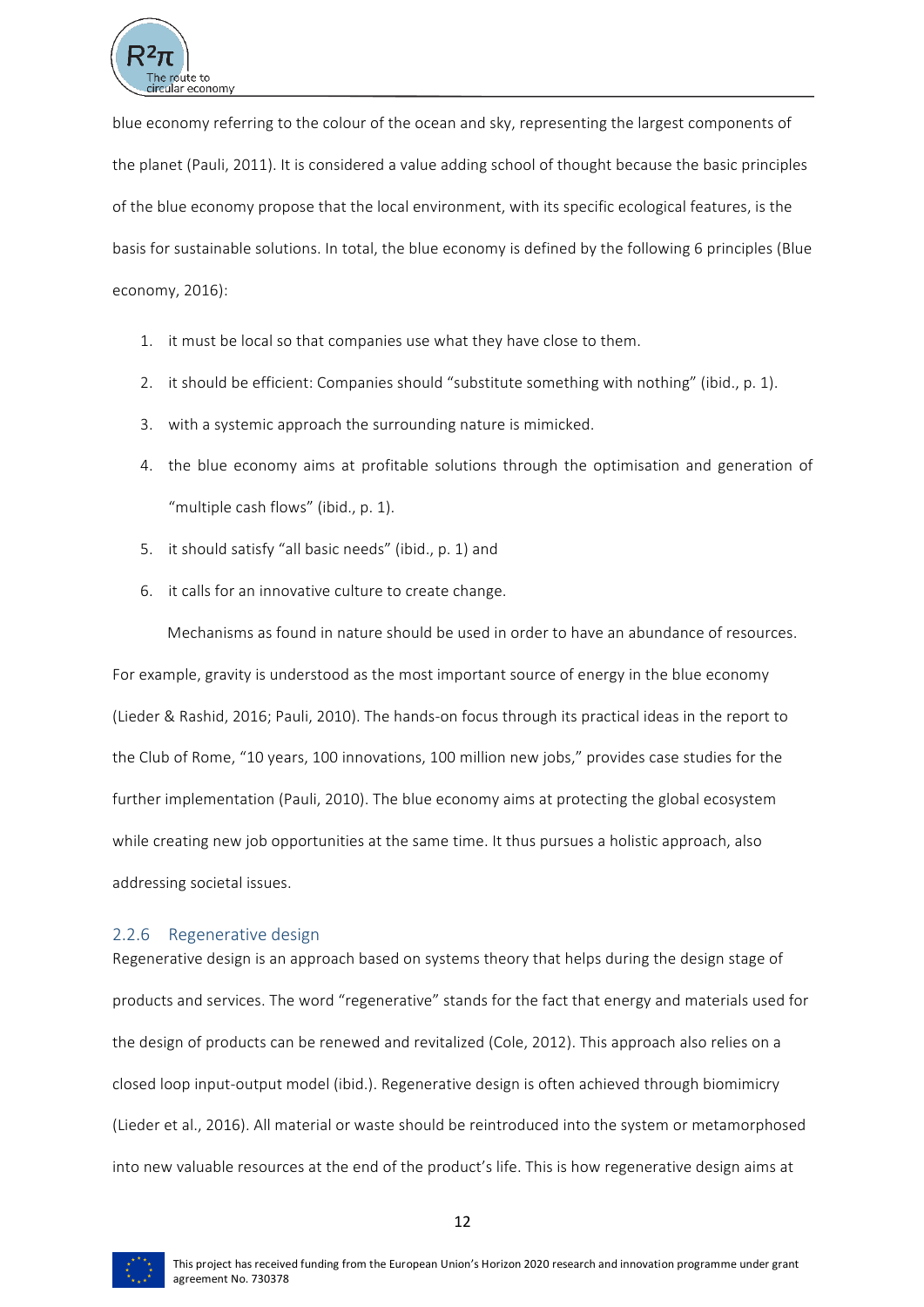

blue economy referring to the colour of the ocean and sky, representing the largest components of the planet (Pauli, 2011). It is considered a value adding school of thought because the basic principles of the blue economy propose that the local environment, with its specific ecological features, is the basis for sustainable solutions. In total, the blue economy is defined by the following 6 principles (Blue economy, 2016): 

- 1. it must be local so that companies use what they have close to them.
- 2. it should be efficient: Companies should "substitute something with nothing" (ibid., p. 1).
- 3. with a systemic approach the surrounding nature is mimicked.
- 4. the blue economy aims at profitable solutions through the optimisation and generation of "multiple cash flows" (ibid., p. 1).
- 5. it should satisfy "all basic needs" (ibid., p. 1) and
- 6. it calls for an innovative culture to create change.

Mechanisms as found in nature should be used in order to have an abundance of resources. For example, gravity is understood as the most important source of energy in the blue economy (Lieder & Rashid, 2016; Pauli, 2010). The hands-on focus through its practical ideas in the report to the Club of Rome, "10 years, 100 innovations, 100 million new jobs," provides case studies for the further implementation (Pauli, 2010). The blue economy aims at protecting the global ecosystem while creating new job opportunities at the same time. It thus pursues a holistic approach, also addressing societal issues.

#### 2.2.6 Regenerative design

Regenerative design is an approach based on systems theory that helps during the design stage of products and services. The word "regenerative" stands for the fact that energy and materials used for the design of products can be renewed and revitalized (Cole, 2012). This approach also relies on a closed loop input-output model (ibid.). Regenerative design is often achieved through biomimicry (Lieder et al., 2016). All material or waste should be reintroduced into the system or metamorphosed into new valuable resources at the end of the product's life. This is how regenerative design aims at



This project has received funding from the European Union's Horizon 2020 research and innovation programme under grant agreement No. 730378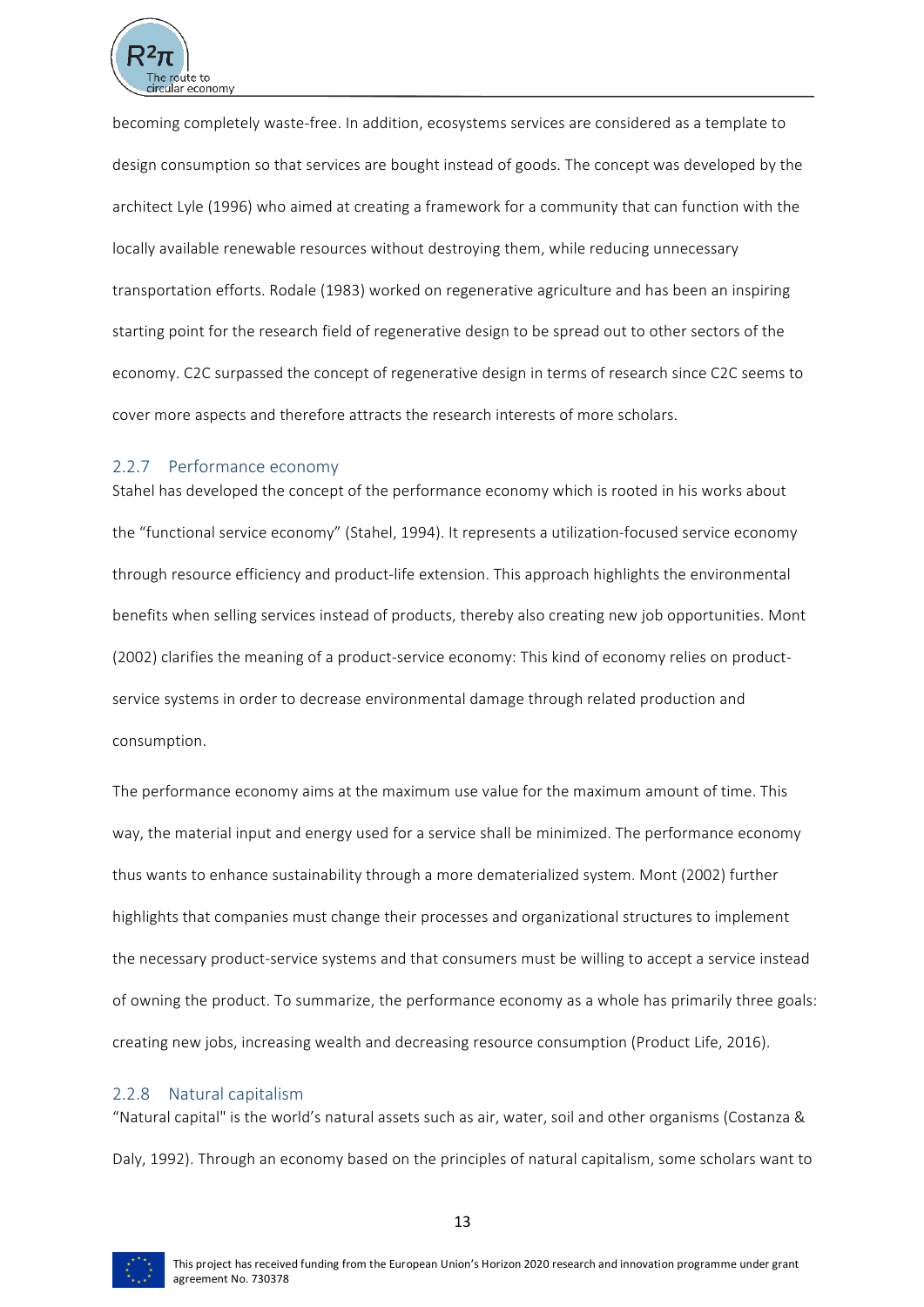

becoming completely waste-free. In addition, ecosystems services are considered as a template to design consumption so that services are bought instead of goods. The concept was developed by the architect Lyle (1996) who aimed at creating a framework for a community that can function with the locally available renewable resources without destroying them, while reducing unnecessary transportation efforts. Rodale (1983) worked on regenerative agriculture and has been an inspiring starting point for the research field of regenerative design to be spread out to other sectors of the economy. C2C surpassed the concept of regenerative design in terms of research since C2C seems to cover more aspects and therefore attracts the research interests of more scholars.

#### 2.2.7 Performance economy

Stahel has developed the concept of the performance economy which is rooted in his works about the "functional service economy" (Stahel, 1994). It represents a utilization-focused service economy through resource efficiency and product-life extension. This approach highlights the environmental benefits when selling services instead of products, thereby also creating new job opportunities. Mont (2002) clarifies the meaning of a product-service economy: This kind of economy relies on productservice systems in order to decrease environmental damage through related production and consumption.

The performance economy aims at the maximum use value for the maximum amount of time. This way, the material input and energy used for a service shall be minimized. The performance economy thus wants to enhance sustainability through a more dematerialized system. Mont (2002) further highlights that companies must change their processes and organizational structures to implement the necessary product-service systems and that consumers must be willing to accept a service instead of owning the product. To summarize, the performance economy as a whole has primarily three goals: creating new jobs, increasing wealth and decreasing resource consumption (Product Life, 2016).

#### 2.2.8 Natural capitalism

"Natural capital" is the world's natural assets such as air, water, soil and other organisms (Costanza & Daly, 1992). Through an economy based on the principles of natural capitalism, some scholars want to

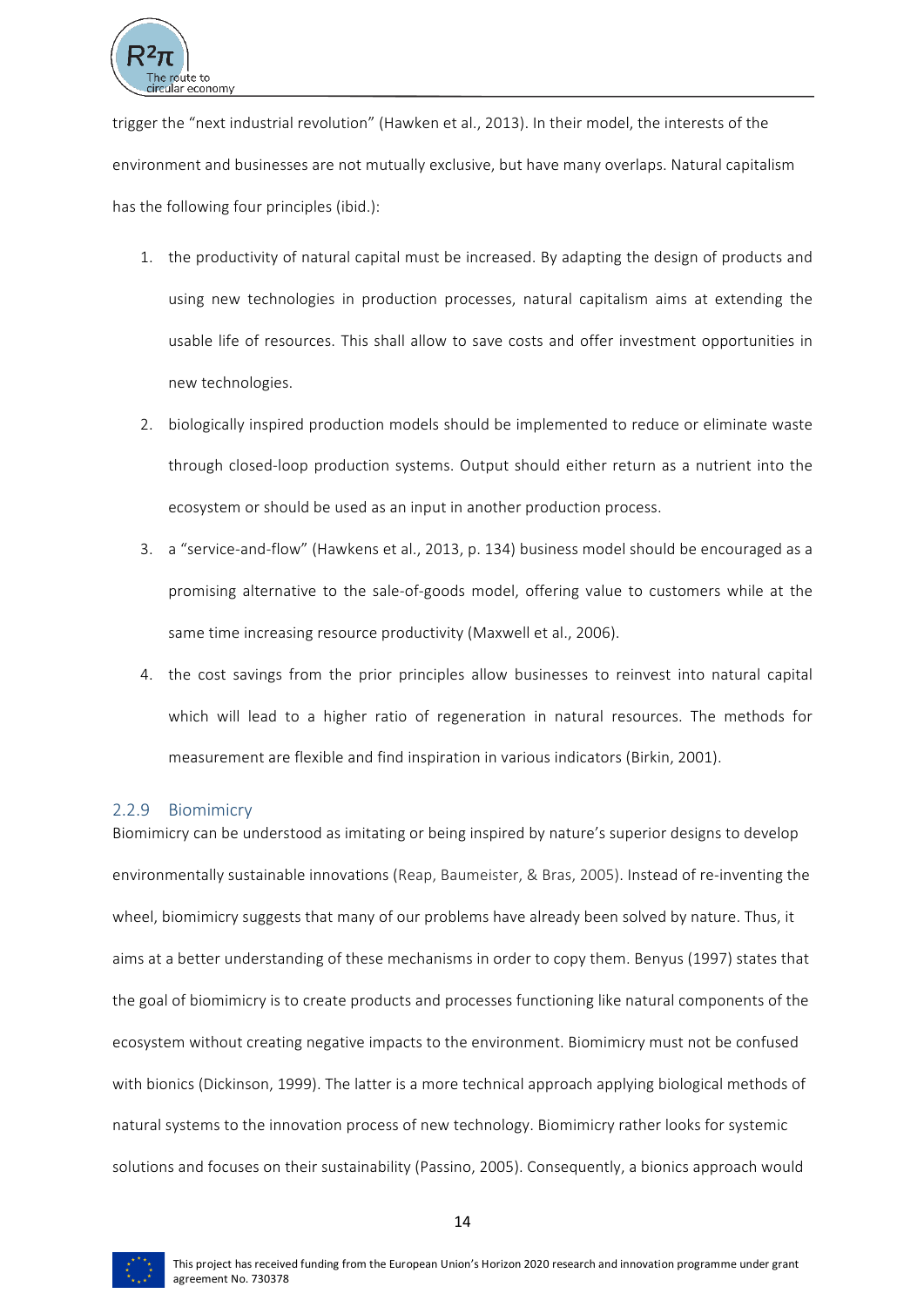

trigger the "next industrial revolution" (Hawken et al., 2013). In their model, the interests of the environment and businesses are not mutually exclusive, but have many overlaps. Natural capitalism has the following four principles (ibid.):

- 1. the productivity of natural capital must be increased. By adapting the design of products and using new technologies in production processes, natural capitalism aims at extending the usable life of resources. This shall allow to save costs and offer investment opportunities in new technologies.
- 2. biologically inspired production models should be implemented to reduce or eliminate waste through closed-loop production systems. Output should either return as a nutrient into the ecosystem or should be used as an input in another production process.
- 3. a "service-and-flow" (Hawkens et al., 2013, p. 134) business model should be encouraged as a promising alternative to the sale-of-goods model, offering value to customers while at the same time increasing resource productivity (Maxwell et al., 2006).
- 4. the cost savings from the prior principles allow businesses to reinvest into natural capital which will lead to a higher ratio of regeneration in natural resources. The methods for measurement are flexible and find inspiration in various indicators (Birkin, 2001).

# 2.2.9 Biomimicry

Biomimicry can be understood as imitating or being inspired by nature's superior designs to develop environmentally sustainable innovations (Reap, Baumeister, & Bras, 2005). Instead of re-inventing the wheel, biomimicry suggests that many of our problems have already been solved by nature. Thus, it aims at a better understanding of these mechanisms in order to copy them. Benyus (1997) states that the goal of biomimicry is to create products and processes functioning like natural components of the ecosystem without creating negative impacts to the environment. Biomimicry must not be confused with bionics (Dickinson, 1999). The latter is a more technical approach applying biological methods of natural systems to the innovation process of new technology. Biomimicry rather looks for systemic solutions and focuses on their sustainability (Passino, 2005). Consequently, a bionics approach would

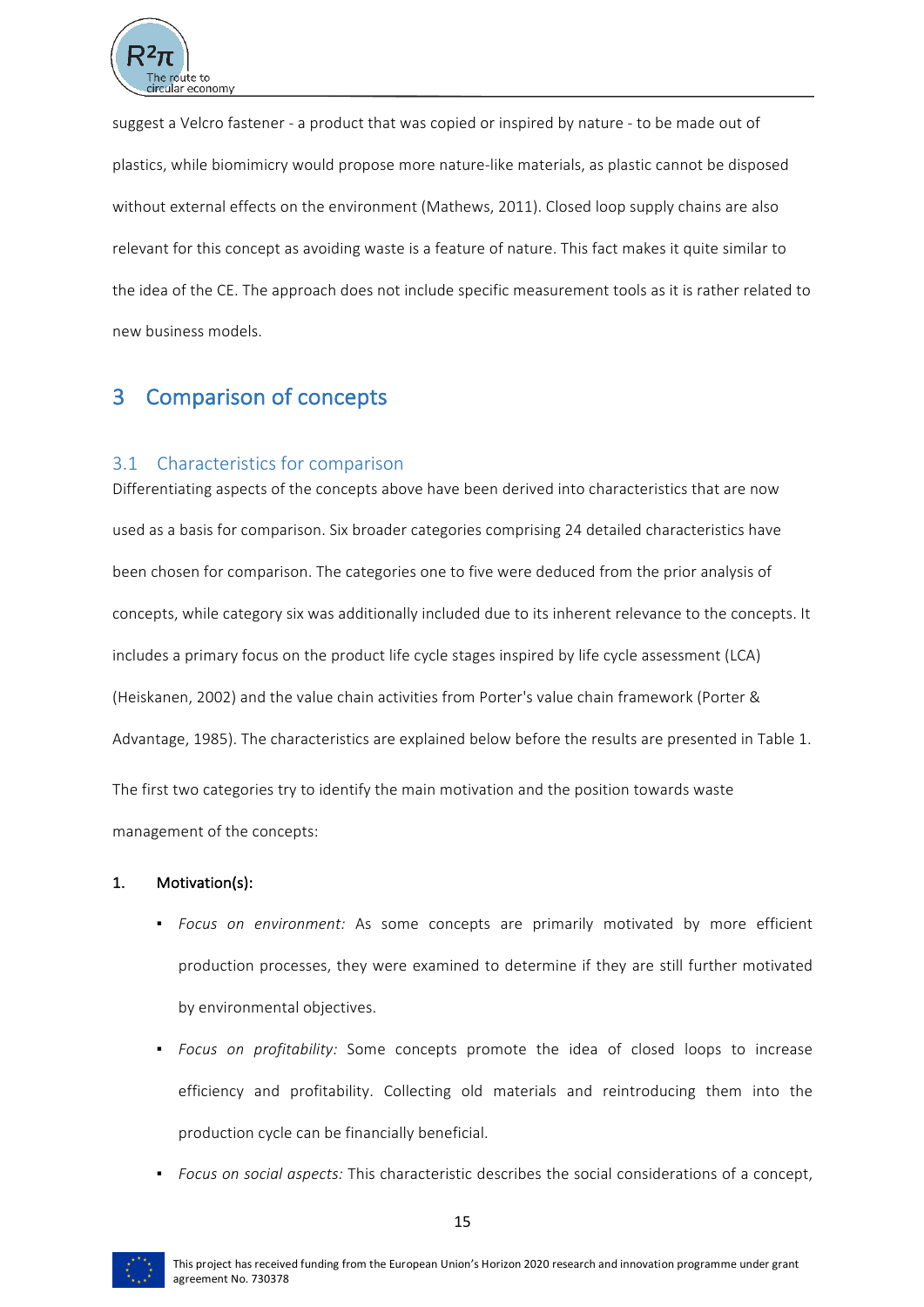

suggest a Velcro fastener - a product that was copied or inspired by nature - to be made out of plastics, while biomimicry would propose more nature-like materials, as plastic cannot be disposed without external effects on the environment (Mathews, 2011). Closed loop supply chains are also relevant for this concept as avoiding waste is a feature of nature. This fact makes it quite similar to the idea of the CE. The approach does not include specific measurement tools as it is rather related to new business models.

# 3 Comparison of concepts

# 3.1 Characteristics for comparison

Differentiating aspects of the concepts above have been derived into characteristics that are now used as a basis for comparison. Six broader categories comprising 24 detailed characteristics have been chosen for comparison. The categories one to five were deduced from the prior analysis of concepts, while category six was additionally included due to its inherent relevance to the concepts. It includes a primary focus on the product life cycle stages inspired by life cycle assessment (LCA) (Heiskanen, 2002) and the value chain activities from Porter's value chain framework (Porter & Advantage, 1985). The characteristics are explained below before the results are presented in Table 1.

The first two categories try to identify the main motivation and the position towards waste management of the concepts:

# 1. Motivation(s):

- **·** *Focus on environment:* As some concepts are primarily motivated by more efficient production processes, they were examined to determine if they are still further motivated by environmental objectives.
- Focus on profitability: Some concepts promote the idea of closed loops to increase efficiency and profitability. Collecting old materials and reintroducing them into the production cycle can be financially beneficial.
- *Focus* on social aspects: This characteristic describes the social considerations of a concept,



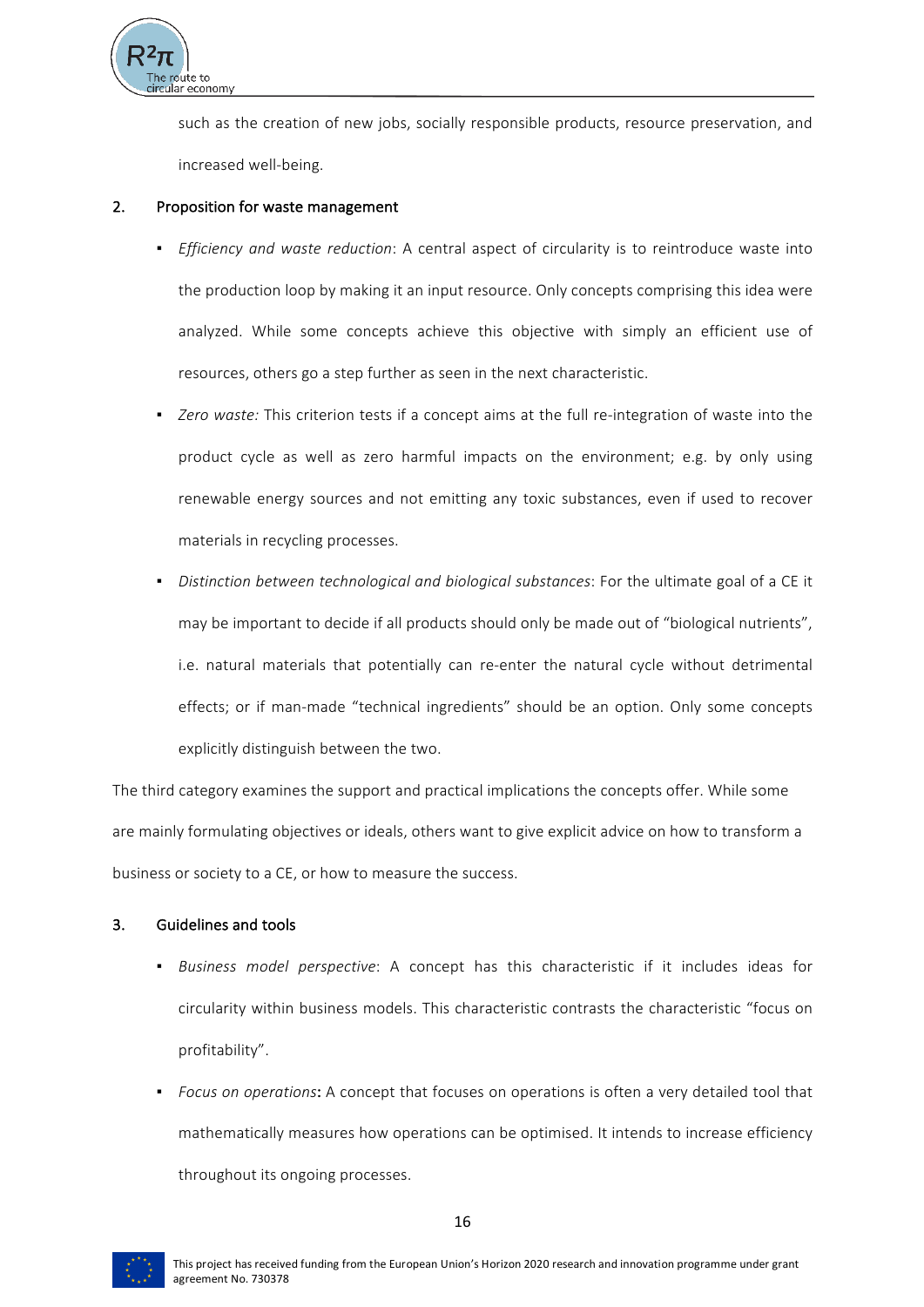

such as the creation of new jobs, socially responsible products, resource preservation, and increased well-being.

### 2. Proposition for waste management

- *Efficiency and waste reduction*: A central aspect of circularity is to reintroduce waste into the production loop by making it an input resource. Only concepts comprising this idea were analyzed. While some concepts achieve this objective with simply an efficient use of resources, others go a step further as seen in the next characteristic.
- Zero waste: This criterion tests if a concept aims at the full re-integration of waste into the product cycle as well as zero harmful impacts on the environment; e.g. by only using renewable energy sources and not emitting any toxic substances, even if used to recover materials in recycling processes.
- Distinction between technological and biological substances: For the ultimate goal of a CE it may be important to decide if all products should only be made out of "biological nutrients", i.e. natural materials that potentially can re-enter the natural cycle without detrimental effects; or if man-made "technical ingredients" should be an option. Only some concepts explicitly distinguish between the two.

The third category examines the support and practical implications the concepts offer. While some are mainly formulating objectives or ideals, others want to give explicit advice on how to transform a business or society to a CE, or how to measure the success.

# 3. Guidelines and tools

- *Business model perspective*: A concept has this characteristic if it includes ideas for circularity within business models. This characteristic contrasts the characteristic "focus on profitability".
- *Focus on operations*: A concept that focuses on operations is often a very detailed tool that mathematically measures how operations can be optimised. It intends to increase efficiency throughout its ongoing processes.

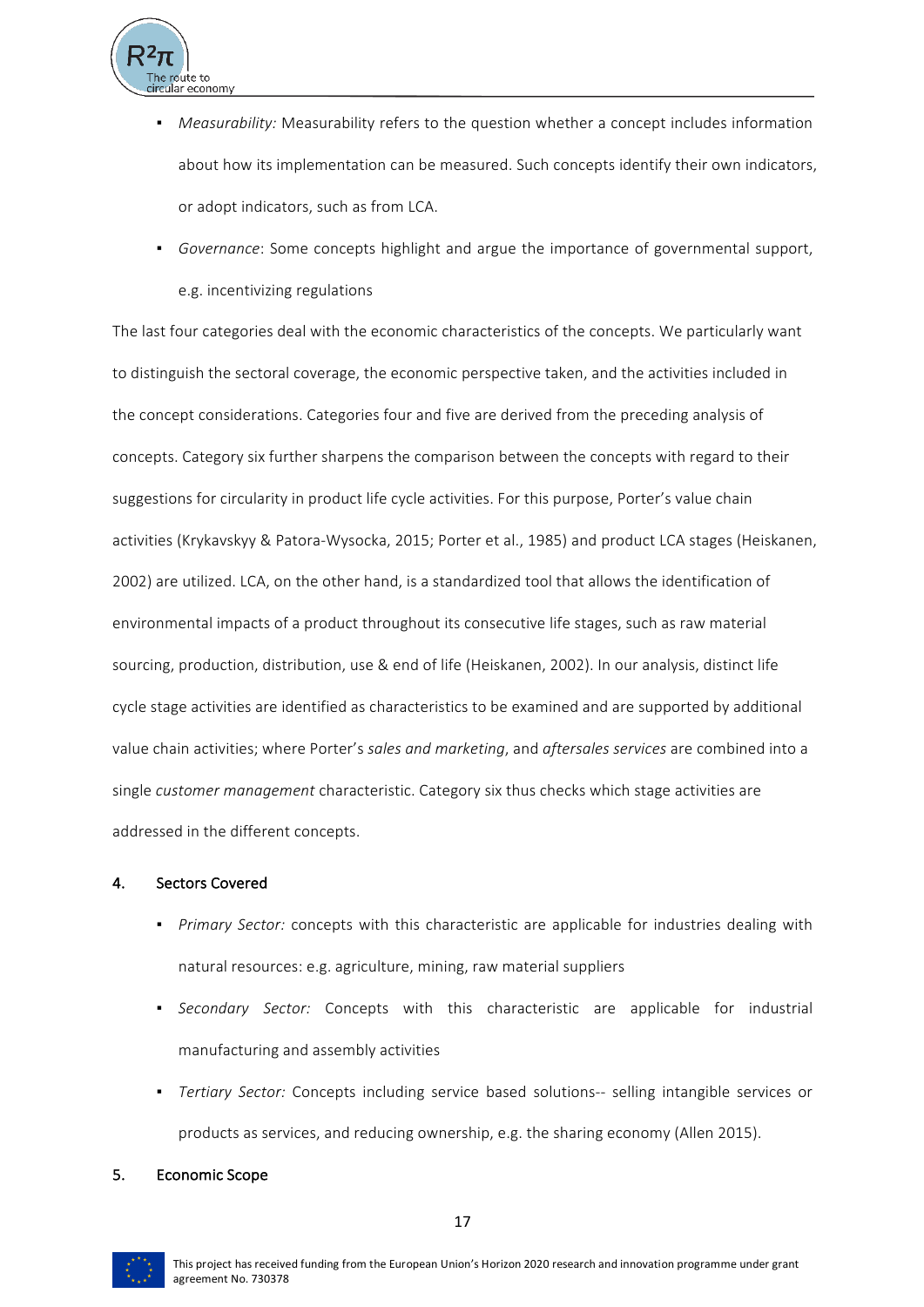

- *Measurability:* Measurability refers to the question whether a concept includes information about how its implementation can be measured. Such concepts identify their own indicators, or adopt indicators, such as from LCA.
- Governance: Some concepts highlight and argue the importance of governmental support, e.g. incentivizing regulations

The last four categories deal with the economic characteristics of the concepts. We particularly want to distinguish the sectoral coverage, the economic perspective taken, and the activities included in the concept considerations. Categories four and five are derived from the preceding analysis of concepts. Category six further sharpens the comparison between the concepts with regard to their suggestions for circularity in product life cycle activities. For this purpose, Porter's value chain activities (Krykavskyy & Patora-Wysocka, 2015; Porter et al., 1985) and product LCA stages (Heiskanen, 2002) are utilized. LCA, on the other hand, is a standardized tool that allows the identification of environmental impacts of a product throughout its consecutive life stages, such as raw material sourcing, production, distribution, use & end of life (Heiskanen, 2002). In our analysis, distinct life cycle stage activities are identified as characteristics to be examined and are supported by additional value chain activities; where Porter's sales and marketing, and aftersales services are combined into a single *customer management* characteristic. Category six thus checks which stage activities are addressed in the different concepts.

# 4. Sectors Covered

- Primary Sector: concepts with this characteristic are applicable for industries dealing with natural resources: e.g. agriculture, mining, raw material suppliers
- **•** *Secondary Sector:* Concepts with this characteristic are applicable for industrial manufacturing and assembly activities
- *Tertiary Sector:* Concepts including service based solutions-- selling intangible services or products as services, and reducing ownership, e.g. the sharing economy (Allen 2015).

#### 5. Economic Scope

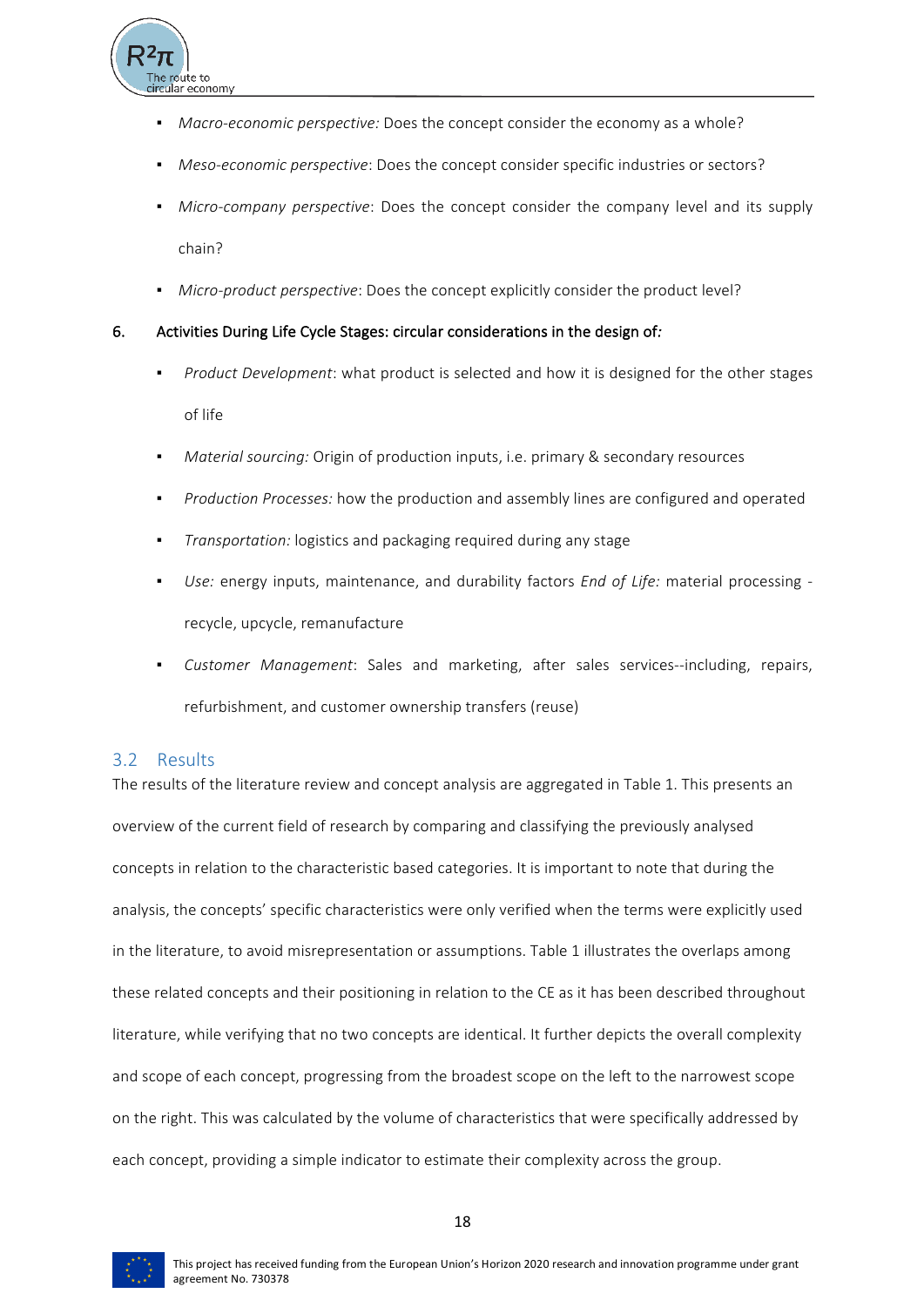- *Macro-economic perspective:* Does the concept consider the economy as a whole?
- *Meso-economic perspective*: Does the concept consider specific industries or sectors?
- *Micro-company perspective*: Does the concept consider the company level and its supply chain?
- **•** *Micro-product perspective:* Does the concept explicitly consider the product level?

#### 6. Activities During Life Cycle Stages: circular considerations in the design of:

- *Product Development*: what product is selected and how it is designed for the other stages of life
- *Material sourcing:* Origin of production inputs, i.e. primary & secondary resources
- *Production Processes:* how the production and assembly lines are configured and operated
- *Transportation:* logistics and packaging required during any stage
- Use: energy inputs, maintenance, and durability factors *End of Life:* material processing recycle, upcycle, remanufacture
- Customer Management: Sales and marketing, after sales services--including, repairs, refurbishment, and customer ownership transfers (reuse)

# 3.2 Results

The results of the literature review and concept analysis are aggregated in Table 1. This presents an overview of the current field of research by comparing and classifying the previously analysed concepts in relation to the characteristic based categories. It is important to note that during the analysis, the concepts' specific characteristics were only verified when the terms were explicitly used in the literature, to avoid misrepresentation or assumptions. Table 1 illustrates the overlaps among these related concepts and their positioning in relation to the CE as it has been described throughout literature, while verifying that no two concepts are identical. It further depicts the overall complexity and scope of each concept, progressing from the broadest scope on the left to the narrowest scope on the right. This was calculated by the volume of characteristics that were specifically addressed by each concept, providing a simple indicator to estimate their complexity across the group.



18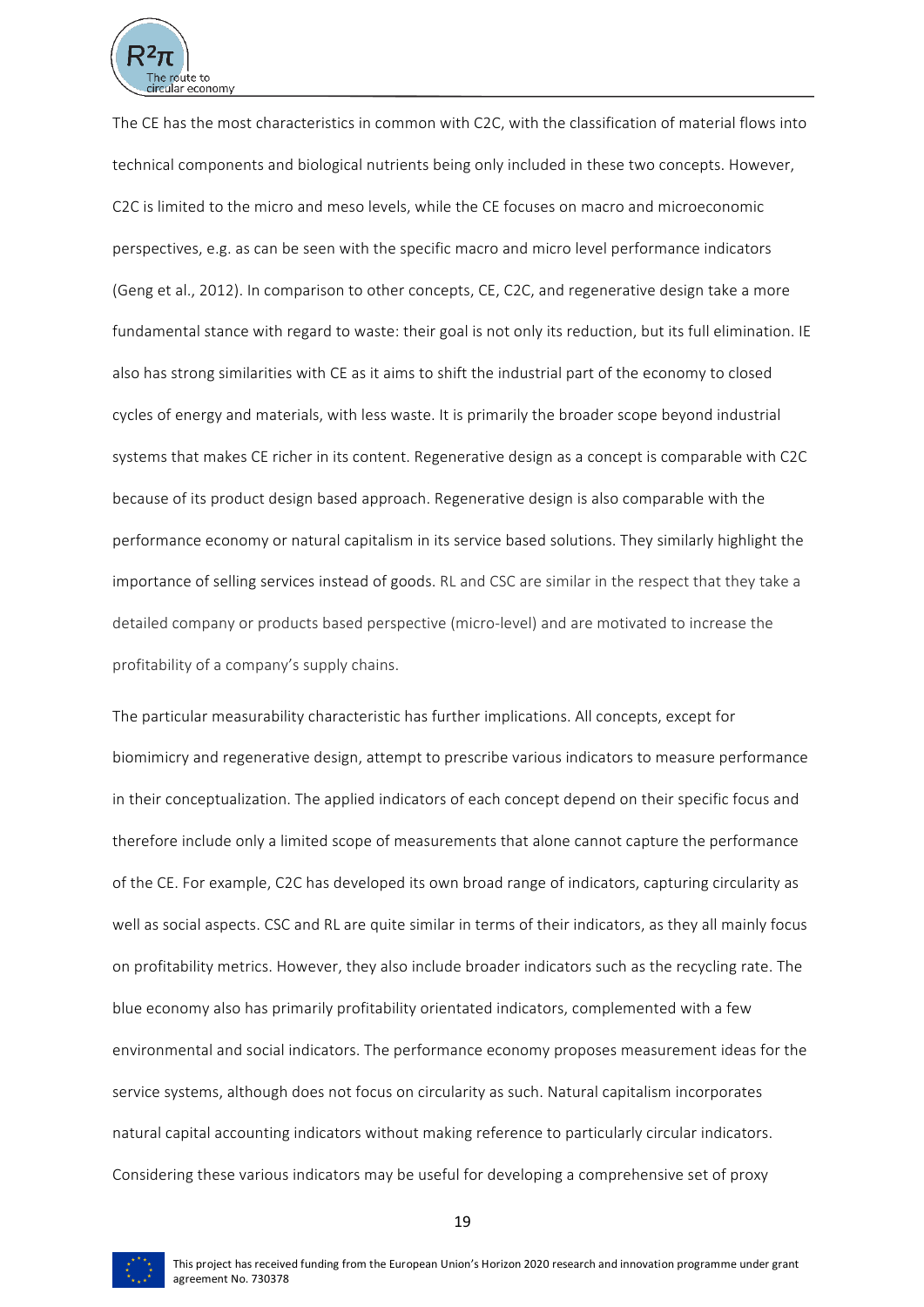

The CE has the most characteristics in common with C2C, with the classification of material flows into technical components and biological nutrients being only included in these two concepts. However, C2C is limited to the micro and meso levels, while the CE focuses on macro and microeconomic perspectives, e.g. as can be seen with the specific macro and micro level performance indicators (Geng et al., 2012). In comparison to other concepts, CE, C2C, and regenerative design take a more fundamental stance with regard to waste: their goal is not only its reduction, but its full elimination. IE also has strong similarities with CE as it aims to shift the industrial part of the economy to closed cycles of energy and materials, with less waste. It is primarily the broader scope beyond industrial systems that makes CE richer in its content. Regenerative design as a concept is comparable with C2C because of its product design based approach. Regenerative design is also comparable with the performance economy or natural capitalism in its service based solutions. They similarly highlight the importance of selling services instead of goods. RL and CSC are similar in the respect that they take a detailed company or products based perspective (micro-level) and are motivated to increase the profitability of a company's supply chains.

The particular measurability characteristic has further implications. All concepts, except for biomimicry and regenerative design, attempt to prescribe various indicators to measure performance in their conceptualization. The applied indicators of each concept depend on their specific focus and therefore include only a limited scope of measurements that alone cannot capture the performance of the CE. For example, C2C has developed its own broad range of indicators, capturing circularity as well as social aspects. CSC and RL are quite similar in terms of their indicators, as they all mainly focus on profitability metrics. However, they also include broader indicators such as the recycling rate. The blue economy also has primarily profitability orientated indicators, complemented with a few environmental and social indicators. The performance economy proposes measurement ideas for the service systems, although does not focus on circularity as such. Natural capitalism incorporates natural capital accounting indicators without making reference to particularly circular indicators. Considering these various indicators may be useful for developing a comprehensive set of proxy



19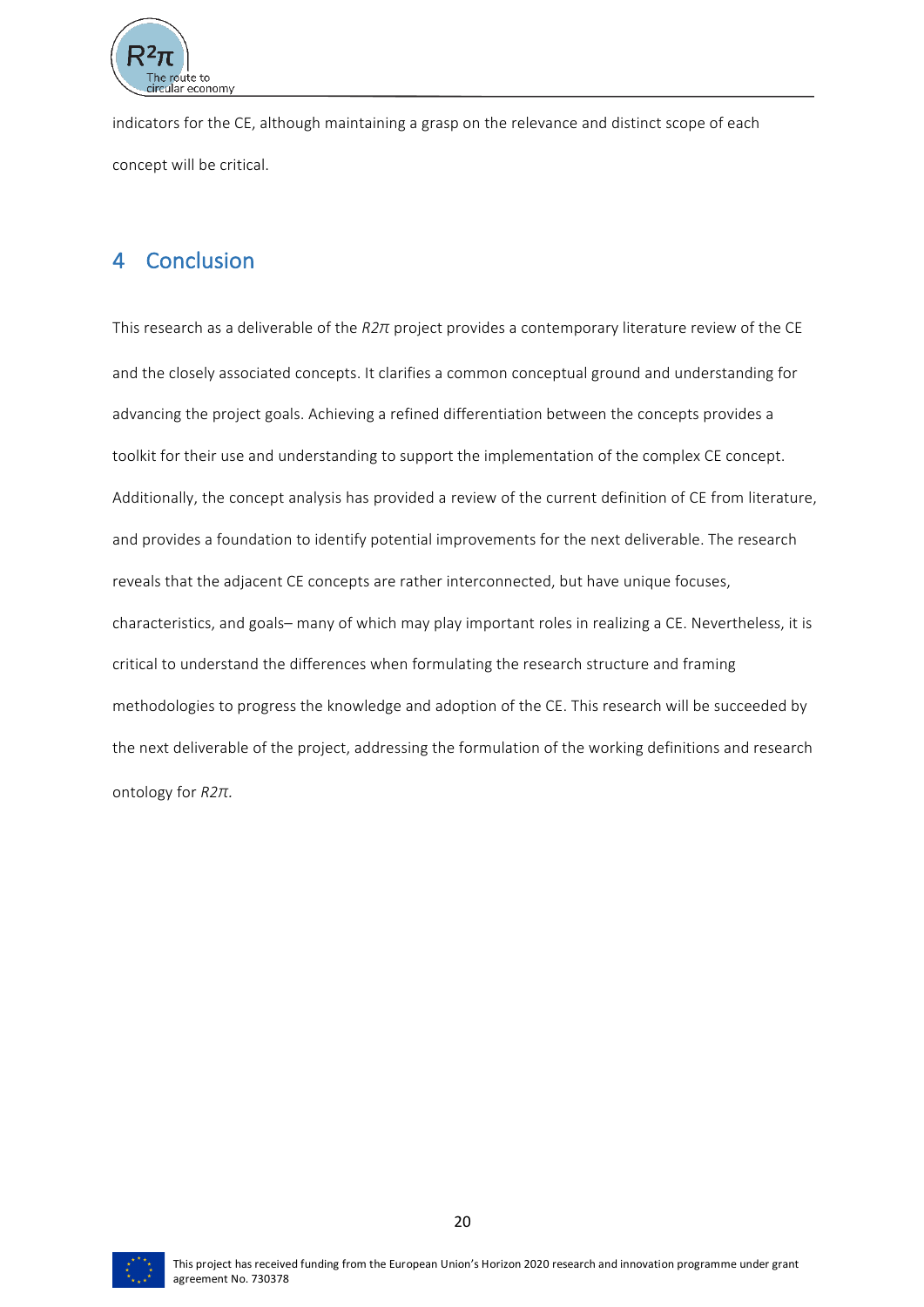

indicators for the CE, although maintaining a grasp on the relevance and distinct scope of each concept will be critical.

# 4 Conclusion

This research as a deliverable of the *R2π* project provides a contemporary literature review of the CE and the closely associated concepts. It clarifies a common conceptual ground and understanding for advancing the project goals. Achieving a refined differentiation between the concepts provides a toolkit for their use and understanding to support the implementation of the complex CE concept. Additionally, the concept analysis has provided a review of the current definition of CE from literature, and provides a foundation to identify potential improvements for the next deliverable. The research reveals that the adjacent CE concepts are rather interconnected, but have unique focuses, characteristics, and goals- many of which may play important roles in realizing a CE. Nevertheless, it is critical to understand the differences when formulating the research structure and framing methodologies to progress the knowledge and adoption of the CE. This research will be succeeded by the next deliverable of the project, addressing the formulation of the working definitions and research ontology for *R2π.* 

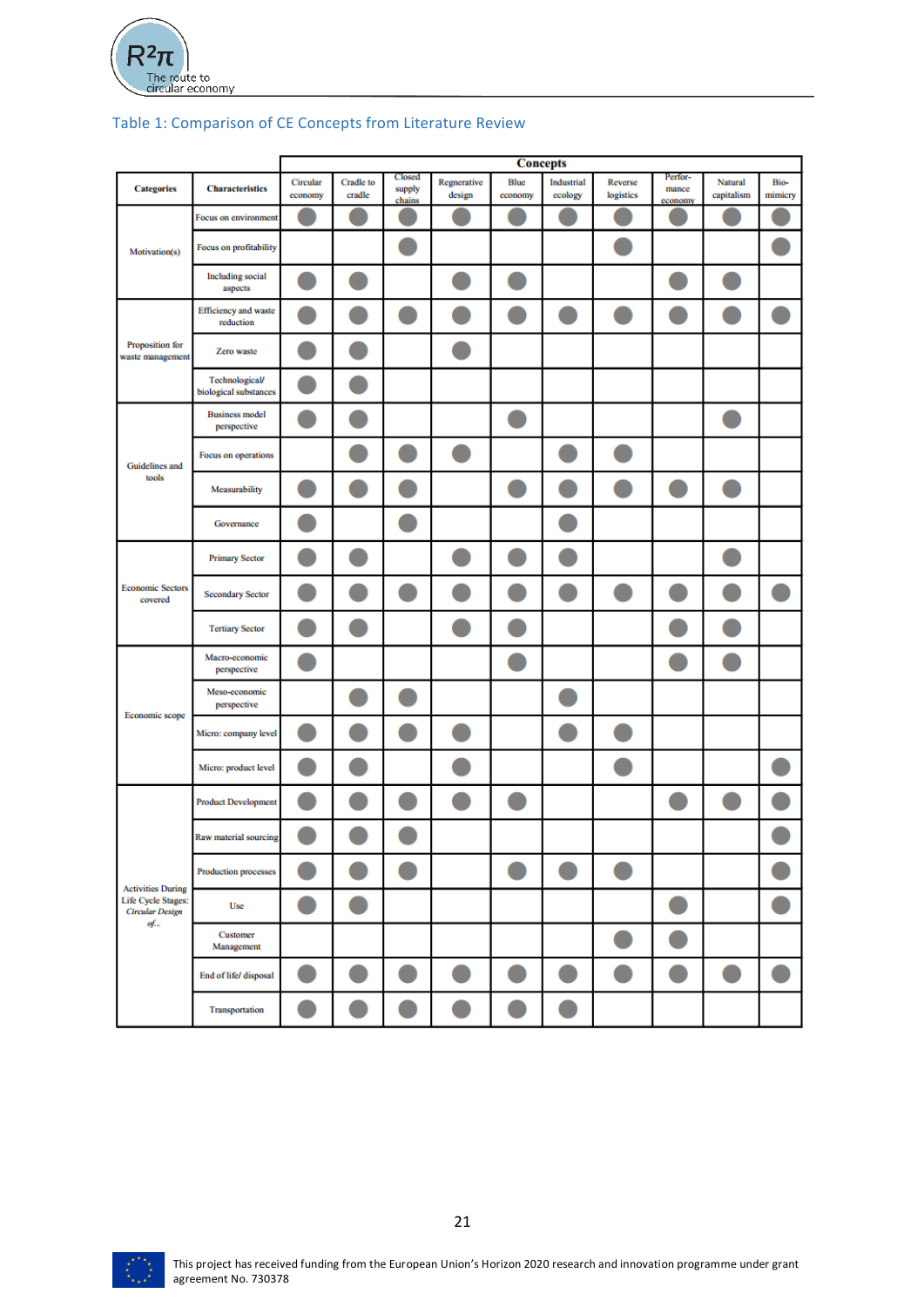

|                                                    |                                          | <b>Concepts</b>     |                     |                            |                       |                        |                       |                      |                             |                       |                 |
|----------------------------------------------------|------------------------------------------|---------------------|---------------------|----------------------------|-----------------------|------------------------|-----------------------|----------------------|-----------------------------|-----------------------|-----------------|
| <b>Categories</b>                                  | <b>Characteristics</b>                   | Circular<br>economy | Cradle to<br>cradle | Closed<br>supply<br>chains | Regnerative<br>design | <b>Blue</b><br>economy | Industrial<br>ecology | Reverse<br>logistics | Perfor-<br>mance<br>economy | Natural<br>capitalism | Bio-<br>mimicry |
|                                                    | Focus on environment                     |                     |                     |                            |                       |                        |                       |                      |                             |                       |                 |
| Motivation(s)                                      | Focus on profitability                   |                     |                     |                            |                       |                        |                       |                      |                             |                       |                 |
|                                                    | <b>Including</b> social<br>aspects       |                     |                     |                            |                       |                        |                       |                      |                             |                       |                 |
|                                                    | <b>Efficiency</b> and waste<br>reduction |                     |                     |                            |                       |                        |                       |                      |                             |                       |                 |
| Proposition for<br>waste management                | Zero waste                               |                     |                     |                            |                       |                        |                       |                      |                             |                       |                 |
|                                                    | Technological/<br>biological substances  |                     |                     |                            |                       |                        |                       |                      |                             |                       |                 |
|                                                    | <b>Business model</b><br>perspective     |                     |                     |                            |                       |                        |                       |                      |                             |                       |                 |
| Guidelines and                                     | Focus on operations                      |                     |                     |                            |                       |                        |                       |                      |                             |                       |                 |
| tools                                              | Measurability                            |                     |                     |                            |                       |                        |                       |                      |                             |                       |                 |
|                                                    | Governance                               |                     |                     |                            |                       |                        |                       |                      |                             |                       |                 |
|                                                    | <b>Primary Sector</b>                    |                     |                     |                            |                       |                        |                       |                      |                             |                       |                 |
| <b>Economic Sectors</b><br>covered                 | <b>Secondary Sector</b>                  |                     |                     |                            |                       |                        |                       |                      |                             |                       |                 |
|                                                    | <b>Tertiary Sector</b>                   |                     |                     |                            |                       |                        |                       |                      |                             |                       |                 |
|                                                    | Macro-economic<br>perspective            |                     |                     |                            |                       |                        |                       |                      |                             |                       |                 |
| Economic scope                                     | Meso-economic<br>perspective             |                     |                     |                            |                       |                        |                       |                      |                             |                       |                 |
|                                                    | Micro: company level                     |                     |                     |                            |                       |                        |                       |                      |                             |                       |                 |
|                                                    | Micro: product level                     |                     |                     |                            |                       |                        |                       |                      |                             |                       |                 |
|                                                    | <b>Product Development</b>               |                     |                     |                            |                       |                        |                       |                      |                             |                       |                 |
|                                                    | Raw material sourcing                    |                     |                     |                            |                       |                        |                       |                      |                             |                       |                 |
| <b>Activities During</b>                           | <b>Production processes</b>              | <b>STATE</b>        | <b>CONTRACTOR</b>   | C                          |                       | D                      | O                     | ×.                   |                             |                       |                 |
| Life Cycle Stages:<br><b>Circular Design</b><br>of | Use                                      |                     |                     |                            |                       |                        |                       |                      | u                           |                       |                 |
|                                                    | Customer<br>Management                   |                     |                     |                            |                       |                        |                       | <b>CONTRACTOR</b>    | <b>CONTRACTOR</b>           |                       |                 |
|                                                    | End of life/ disposal                    |                     |                     |                            |                       |                        |                       |                      | ×,                          |                       |                 |
|                                                    | Transportation                           |                     |                     |                            |                       |                        |                       |                      |                             |                       |                 |

# Table 1: Comparison of CE Concepts from Literature Review

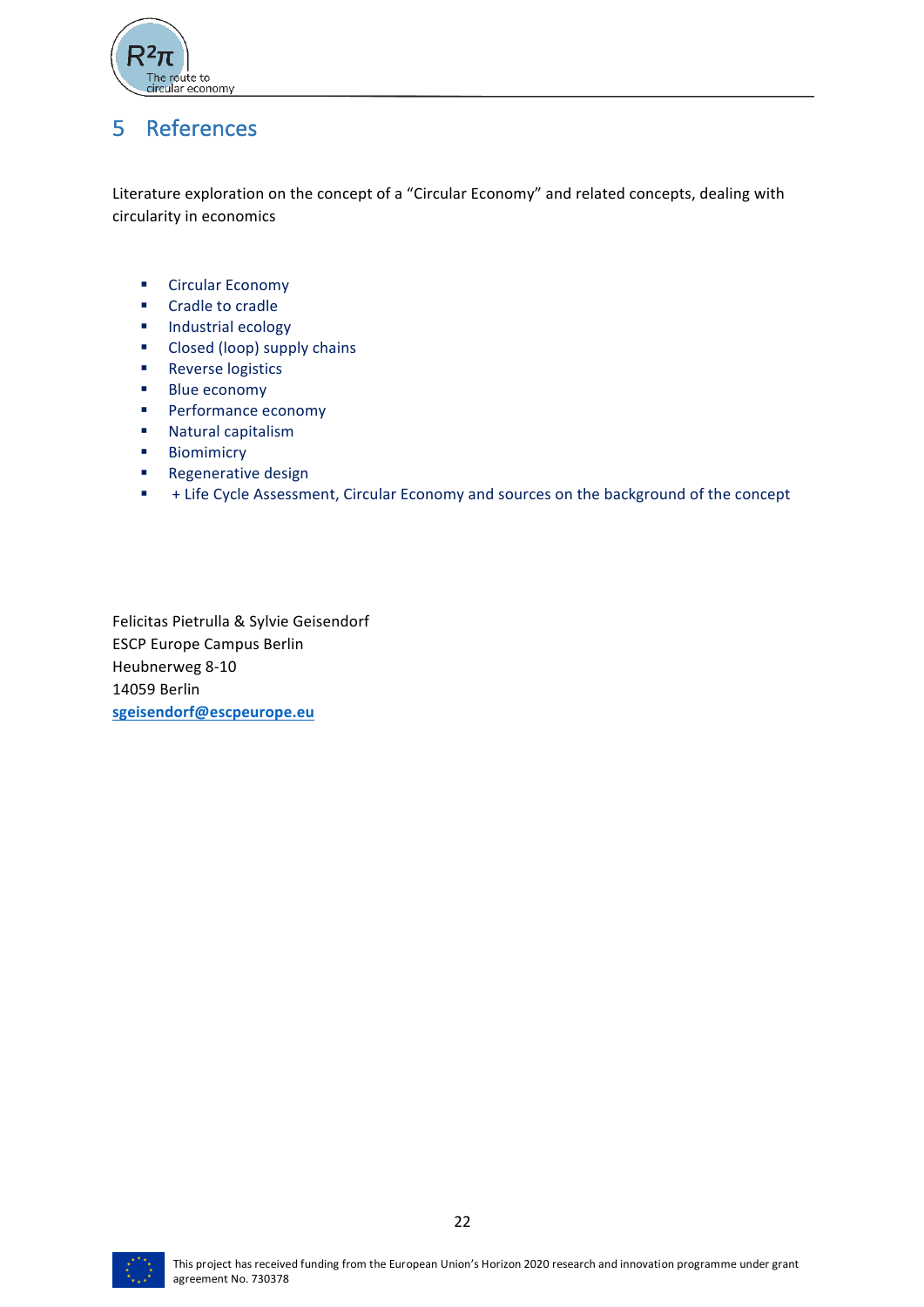

# 5 References

Literature exploration on the concept of a "Circular Economy" and related concepts, dealing with circularity in economics

- Circular Economy
- Cradle to cradle
- Industrial ecology
- Closed (loop) supply chains
- Reverse logistics
- Blue economy
- Performance economy
- Natural capitalism
- Biomimicry
- Regenerative design
- + Life Cycle Assessment, Circular Economy and sources on the background of the concept

Felicitas Pietrulla & Sylvie Geisendorf ESCP Europe Campus Berlin Heubnerweg 8-10 14059 Berlin **sgeisendorf@escpeurope.eu**

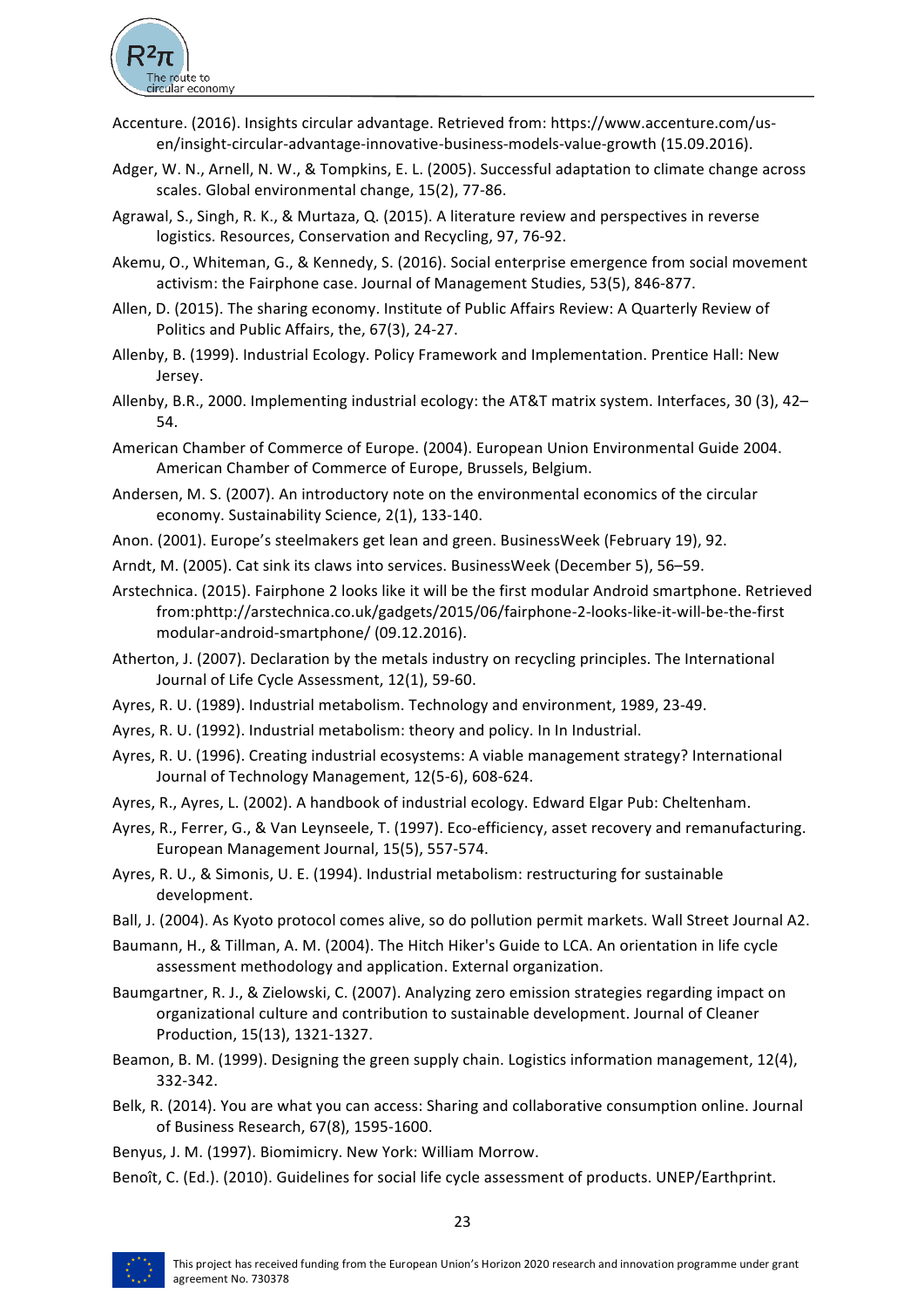

- Accenture. (2016). Insights circular advantage. Retrieved from: https://www.accenture.com/usen/insight-circular-advantage-innovative-business-models-value-growth (15.09.2016).
- Adger, W. N., Arnell, N. W., & Tompkins, E. L. (2005). Successful adaptation to climate change across scales. Global environmental change, 15(2), 77-86.
- Agrawal, S., Singh, R. K., & Murtaza, Q. (2015). A literature review and perspectives in reverse logistics. Resources, Conservation and Recycling, 97, 76-92.
- Akemu, O., Whiteman, G., & Kennedy, S. (2016). Social enterprise emergence from social movement activism: the Fairphone case. Journal of Management Studies, 53(5), 846-877.
- Allen, D. (2015). The sharing economy. Institute of Public Affairs Review: A Quarterly Review of Politics and Public Affairs, the, 67(3), 24-27.
- Allenby, B. (1999). Industrial Ecology. Policy Framework and Implementation. Prentice Hall: New Jersey.
- Allenby, B.R., 2000. Implementing industrial ecology: the AT&T matrix system. Interfaces, 30 (3), 42– 54.
- American Chamber of Commerce of Europe. (2004). European Union Environmental Guide 2004. American Chamber of Commerce of Europe, Brussels, Belgium.
- Andersen, M. S. (2007). An introductory note on the environmental economics of the circular economy. Sustainability Science, 2(1), 133-140.
- Anon. (2001). Europe's steelmakers get lean and green. BusinessWeek (February 19), 92.
- Arndt, M. (2005). Cat sink its claws into services. BusinessWeek (December 5), 56-59.
- Arstechnica. (2015). Fairphone 2 looks like it will be the first modular Android smartphone. Retrieved from:phttp://arstechnica.co.uk/gadgets/2015/06/fairphone-2-looks-like-it-will-be-the-first modular-android-smartphone/ (09.12.2016).
- Atherton, J. (2007). Declaration by the metals industry on recycling principles. The International Journal of Life Cycle Assessment, 12(1), 59-60.
- Ayres, R. U. (1989). Industrial metabolism. Technology and environment, 1989, 23-49.
- Ayres, R. U. (1992). Industrial metabolism: theory and policy. In In Industrial.
- Ayres, R. U. (1996). Creating industrial ecosystems: A viable management strategy? International Journal of Technology Management, 12(5-6), 608-624.
- Ayres, R., Ayres, L. (2002). A handbook of industrial ecology. Edward Elgar Pub: Cheltenham.
- Ayres, R., Ferrer, G., & Van Leynseele, T. (1997). Eco-efficiency, asset recovery and remanufacturing. European Management Journal, 15(5), 557-574.
- Ayres, R. U., & Simonis, U. E. (1994). Industrial metabolism: restructuring for sustainable development.
- Ball, J. (2004). As Kyoto protocol comes alive, so do pollution permit markets. Wall Street Journal A2.
- Baumann, H., & Tillman, A. M. (2004). The Hitch Hiker's Guide to LCA. An orientation in life cycle assessment methodology and application. External organization.
- Baumgartner, R. J., & Zielowski, C. (2007). Analyzing zero emission strategies regarding impact on organizational culture and contribution to sustainable development. Journal of Cleaner Production, 15(13), 1321-1327.
- Beamon, B. M. (1999). Designing the green supply chain. Logistics information management, 12(4), 332-342.
- Belk, R. (2014). You are what you can access: Sharing and collaborative consumption online. Journal of Business Research, 67(8), 1595-1600.

23

- Benyus, J. M. (1997). Biomimicry. New York: William Morrow.
- Benoît, C. (Ed.). (2010). Guidelines for social life cycle assessment of products. UNEP/Earthprint.

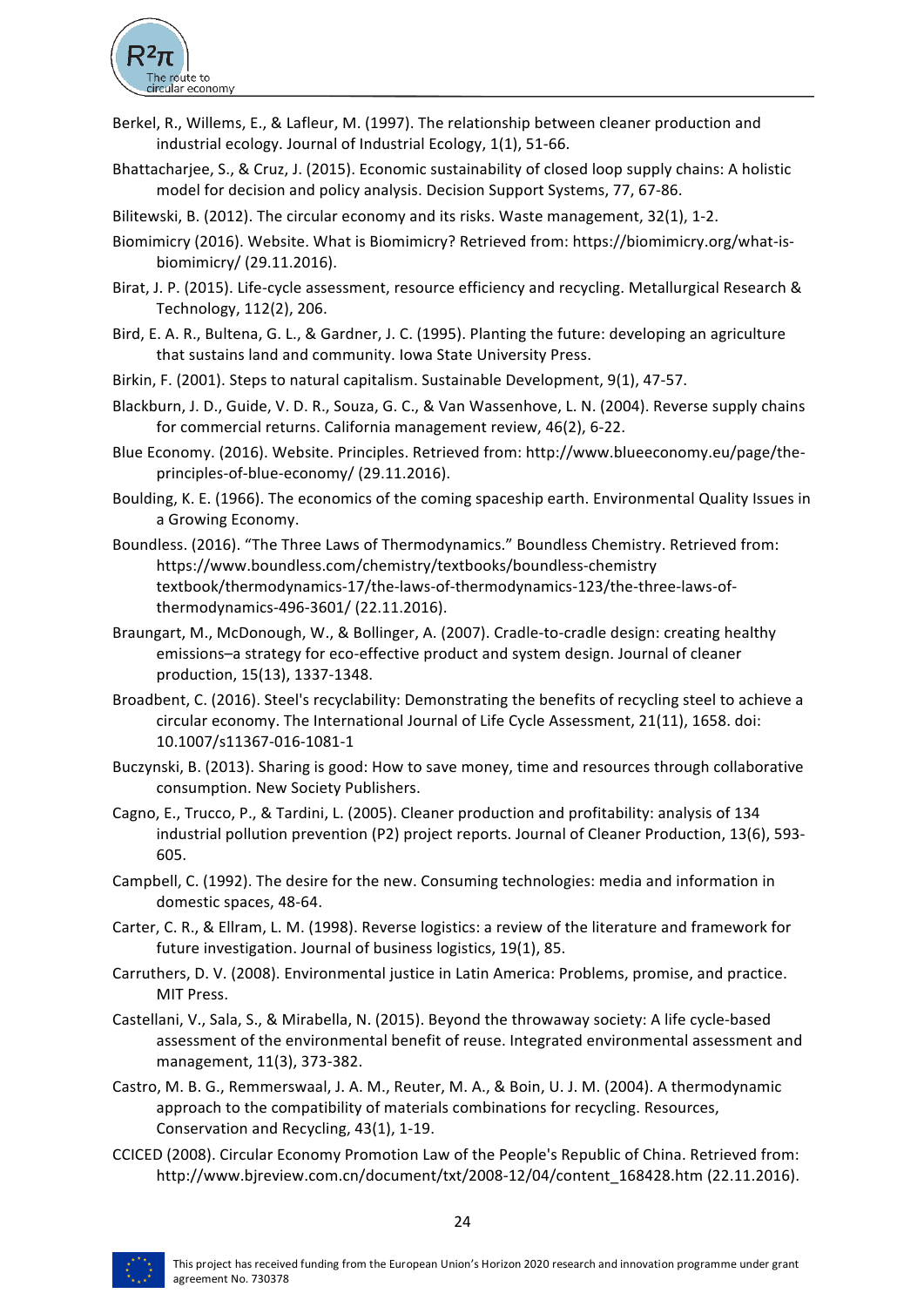

- Berkel, R., Willems, E., & Lafleur, M. (1997). The relationship between cleaner production and industrial ecology. Journal of Industrial Ecology,  $1(1)$ , 51-66.
- Bhattacharjee, S., & Cruz, J. (2015). Economic sustainability of closed loop supply chains: A holistic model for decision and policy analysis. Decision Support Systems, 77, 67-86.
- Bilitewski, B. (2012). The circular economy and its risks. Waste management, 32(1), 1-2.
- Biomimicry (2016). Website. What is Biomimicry? Retrieved from: https://biomimicry.org/what-isbiomimicry/ (29.11.2016).
- Birat, J. P. (2015). Life-cycle assessment, resource efficiency and recycling. Metallurgical Research & Technology, 112(2), 206.
- Bird, E. A. R., Bultena, G. L., & Gardner, J. C. (1995). Planting the future: developing an agriculture that sustains land and community. Iowa State University Press.
- Birkin, F. (2001). Steps to natural capitalism. Sustainable Development, 9(1), 47-57.
- Blackburn, J. D., Guide, V. D. R., Souza, G. C., & Van Wassenhove, L. N. (2004). Reverse supply chains for commercial returns. California management review, 46(2), 6-22.
- Blue Economy. (2016). Website. Principles. Retrieved from: http://www.blueeconomy.eu/page/theprinciples-of-blue-economy/ (29.11.2016).
- Boulding, K. E. (1966). The economics of the coming spaceship earth. Environmental Quality Issues in a Growing Economy.
- Boundless. (2016). "The Three Laws of Thermodynamics." Boundless Chemistry. Retrieved from: https://www.boundless.com/chemistry/textbooks/boundless-chemistry textbook/thermodynamics-17/the-laws-of-thermodynamics-123/the-three-laws-ofthermodynamics-496-3601/ (22.11.2016).
- Braungart, M., McDonough, W., & Bollinger, A. (2007). Cradle-to-cradle design: creating healthy emissions-a strategy for eco-effective product and system design. Journal of cleaner production, 15(13), 1337-1348.
- Broadbent, C. (2016). Steel's recyclability: Demonstrating the benefits of recycling steel to achieve a circular economy. The International Journal of Life Cycle Assessment, 21(11), 1658. doi: 10.1007/s11367-016-1081-1
- Buczynski, B. (2013). Sharing is good: How to save money, time and resources through collaborative consumption. New Society Publishers.
- Cagno, E., Trucco, P., & Tardini, L. (2005). Cleaner production and profitability: analysis of 134 industrial pollution prevention (P2) project reports. Journal of Cleaner Production, 13(6), 593-605.
- Campbell, C. (1992). The desire for the new. Consuming technologies: media and information in domestic spaces, 48-64.
- Carter, C. R., & Ellram, L. M. (1998). Reverse logistics: a review of the literature and framework for future investigation. Journal of business logistics, 19(1), 85.
- Carruthers, D. V. (2008). Environmental justice in Latin America: Problems, promise, and practice. MIT Press.
- Castellani, V., Sala, S., & Mirabella, N. (2015). Beyond the throwaway society: A life cycle-based assessment of the environmental benefit of reuse. Integrated environmental assessment and management, 11(3), 373-382.
- Castro, M. B. G., Remmerswaal, J. A. M., Reuter, M. A., & Boin, U. J. M. (2004). A thermodynamic approach to the compatibility of materials combinations for recycling. Resources, Conservation and Recycling, 43(1), 1-19.
- CCICED (2008). Circular Economy Promotion Law of the People's Republic of China. Retrieved from: http://www.bjreview.com.cn/document/txt/2008-12/04/content\_168428.htm (22.11.2016).

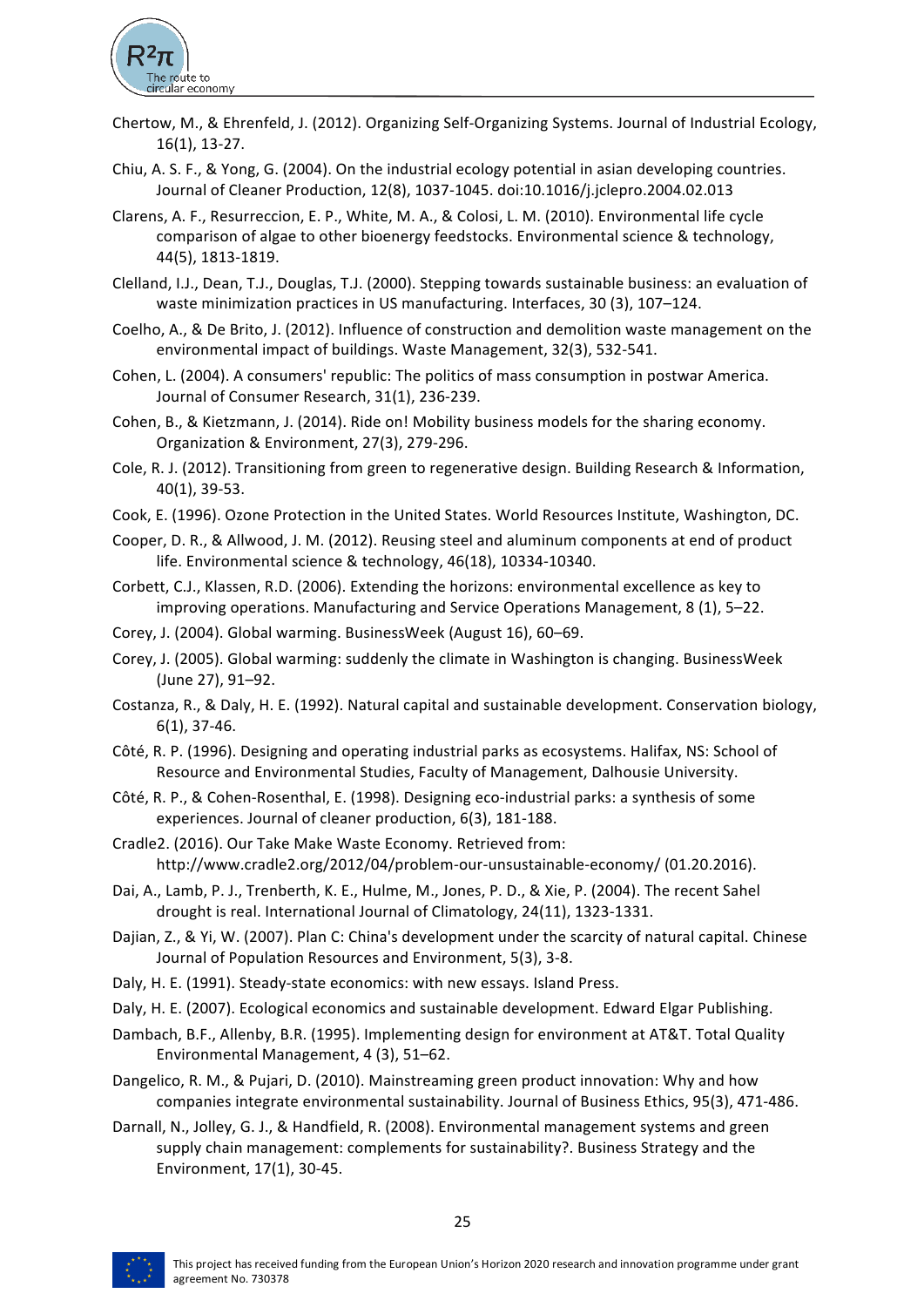

- Chertow, M., & Ehrenfeld, J. (2012). Organizing Self-Organizing Systems. Journal of Industrial Ecology, 16(1), 13-27.
- Chiu, A. S. F., & Yong, G. (2004). On the industrial ecology potential in asian developing countries. Journal of Cleaner Production, 12(8), 1037-1045. doi:10.1016/j.jclepro.2004.02.013
- Clarens, A. F., Resurreccion, E. P., White, M. A., & Colosi, L. M. (2010). Environmental life cycle comparison of algae to other bioenergy feedstocks. Environmental science & technology, 44(5), 1813-1819.
- Clelland, I.J., Dean, T.J., Douglas, T.J. (2000). Stepping towards sustainable business: an evaluation of waste minimization practices in US manufacturing. Interfaces, 30 (3), 107-124.
- Coelho, A., & De Brito, J. (2012). Influence of construction and demolition waste management on the environmental impact of buildings. Waste Management, 32(3), 532-541.
- Cohen, L. (2004). A consumers' republic: The politics of mass consumption in postwar America. Journal of Consumer Research, 31(1), 236-239.
- Cohen, B., & Kietzmann, J. (2014). Ride on! Mobility business models for the sharing economy. Organization & Environment, 27(3), 279-296.
- Cole, R. J. (2012). Transitioning from green to regenerative design. Building Research & Information, 40(1), 39-53.
- Cook, E. (1996). Ozone Protection in the United States. World Resources Institute, Washington, DC.
- Cooper, D. R., & Allwood, J. M. (2012). Reusing steel and aluminum components at end of product life. Environmental science & technology, 46(18), 10334-10340.
- Corbett, C.J., Klassen, R.D. (2006). Extending the horizons: environmental excellence as key to improving operations. Manufacturing and Service Operations Management,  $8(1)$ , 5–22.
- Corey, J. (2004). Global warming. BusinessWeek (August 16), 60-69.
- Corey, J. (2005). Global warming: suddenly the climate in Washington is changing. BusinessWeek (June 27), 91–92.
- Costanza, R., & Daly, H. E. (1992). Natural capital and sustainable development. Conservation biology,  $6(1)$ , 37-46.
- Côté, R. P. (1996). Designing and operating industrial parks as ecosystems. Halifax, NS: School of Resource and Environmental Studies, Faculty of Management, Dalhousie University.
- Côté, R. P., & Cohen-Rosenthal, E. (1998). Designing eco-industrial parks: a synthesis of some experiences. Journal of cleaner production, 6(3), 181-188.
- Cradle2. (2016). Our Take Make Waste Economy. Retrieved from: http://www.cradle2.org/2012/04/problem-our-unsustainable-economy/ (01.20.2016).
- Dai, A., Lamb, P. J., Trenberth, K. E., Hulme, M., Jones, P. D., & Xie, P. (2004). The recent Sahel drought is real. International Journal of Climatology, 24(11), 1323-1331.
- Dajian, Z., & Yi, W. (2007). Plan C: China's development under the scarcity of natural capital. Chinese Journal of Population Resources and Environment, 5(3), 3-8.
- Daly, H. E. (1991). Steady-state economics: with new essays. Island Press.
- Daly, H. E. (2007). Ecological economics and sustainable development. Edward Elgar Publishing.
- Dambach, B.F., Allenby, B.R. (1995). Implementing design for environment at AT&T. Total Quality Environmental Management, 4 (3), 51-62.
- Dangelico, R. M., & Pujari, D. (2010). Mainstreaming green product innovation: Why and how companies integrate environmental sustainability. Journal of Business Ethics, 95(3), 471-486.
- Darnall, N., Jolley, G. J., & Handfield, R. (2008). Environmental management systems and green supply chain management: complements for sustainability?. Business Strategy and the Environment, 17(1), 30-45.

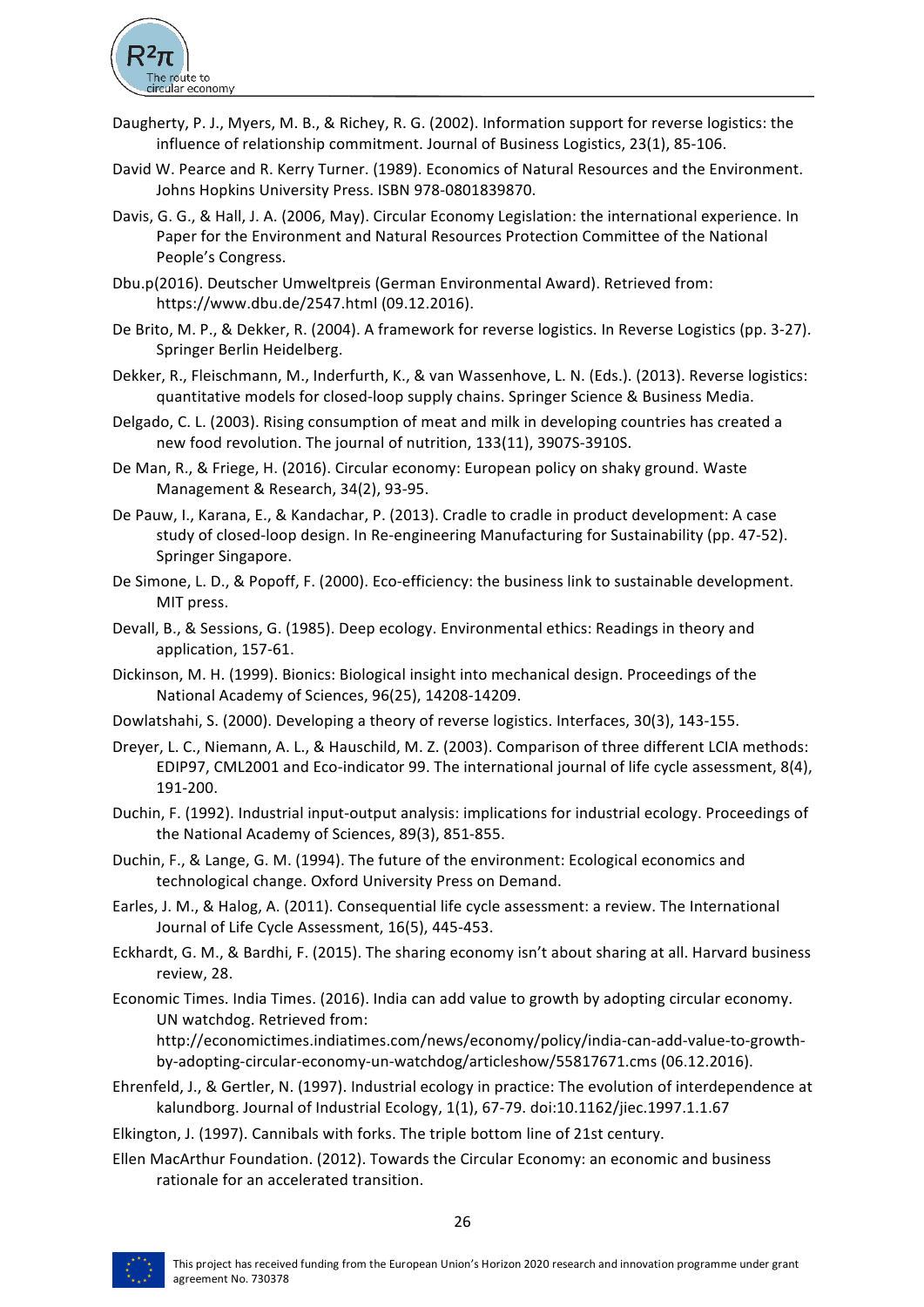

- Daugherty, P. J., Myers, M. B., & Richey, R. G. (2002). Information support for reverse logistics: the influence of relationship commitment. Journal of Business Logistics, 23(1), 85-106.
- David W. Pearce and R. Kerry Turner. (1989). Economics of Natural Resources and the Environment. Johns Hopkins University Press. ISBN 978-0801839870.
- Davis, G. G., & Hall, J. A. (2006, May). Circular Economy Legislation: the international experience. In Paper for the Environment and Natural Resources Protection Committee of the National People's Congress.
- Dbu.p(2016). Deutscher Umweltpreis (German Environmental Award). Retrieved from: https://www.dbu.de/2547.html (09.12.2016).
- De Brito, M. P., & Dekker, R. (2004). A framework for reverse logistics. In Reverse Logistics (pp. 3-27). Springer Berlin Heidelberg.
- Dekker, R., Fleischmann, M., Inderfurth, K., & van Wassenhove, L. N. (Eds.). (2013). Reverse logistics: quantitative models for closed-loop supply chains. Springer Science & Business Media.
- Delgado, C. L. (2003). Rising consumption of meat and milk in developing countries has created a new food revolution. The journal of nutrition, 133(11), 3907S-3910S.
- De Man, R., & Friege, H. (2016). Circular economy: European policy on shaky ground. Waste Management & Research, 34(2), 93-95.
- De Pauw, I., Karana, E., & Kandachar, P. (2013). Cradle to cradle in product development: A case study of closed-loop design. In Re-engineering Manufacturing for Sustainability (pp. 47-52). Springer Singapore.
- De Simone, L. D., & Popoff, F. (2000). Eco-efficiency: the business link to sustainable development. MIT press.
- Devall, B., & Sessions, G. (1985). Deep ecology. Environmental ethics: Readings in theory and application, 157-61.
- Dickinson, M. H. (1999). Bionics: Biological insight into mechanical design. Proceedings of the National Academy of Sciences, 96(25), 14208-14209.
- Dowlatshahi, S. (2000). Developing a theory of reverse logistics. Interfaces, 30(3), 143-155.
- Dreyer, L. C., Niemann, A. L., & Hauschild, M. Z. (2003). Comparison of three different LCIA methods: EDIP97, CML2001 and Eco-indicator 99. The international journal of life cycle assessment, 8(4), 191-200.
- Duchin, F. (1992). Industrial input-output analysis: implications for industrial ecology. Proceedings of the National Academy of Sciences, 89(3), 851-855.
- Duchin, F., & Lange, G. M. (1994). The future of the environment: Ecological economics and technological change. Oxford University Press on Demand.
- Earles, J. M., & Halog, A. (2011). Consequential life cycle assessment: a review. The International Journal of Life Cycle Assessment, 16(5), 445-453.
- Eckhardt, G. M., & Bardhi, F. (2015). The sharing economy isn't about sharing at all. Harvard business review, 28.
- Economic Times. India Times. (2016). India can add value to growth by adopting circular economy. UN watchdog. Retrieved from:

http://economictimes.indiatimes.com/news/economy/policy/india-can-add-value-to-growthby-adopting-circular-economy-un-watchdog/articleshow/55817671.cms (06.12.2016).

Ehrenfeld, J., & Gertler, N. (1997). Industrial ecology in practice: The evolution of interdependence at kalundborg. Journal of Industrial Ecology, 1(1), 67-79. doi:10.1162/jiec.1997.1.1.67

Elkington, J. (1997). Cannibals with forks. The triple bottom line of 21st century.

Ellen MacArthur Foundation. (2012). Towards the Circular Economy: an economic and business rationale for an accelerated transition.

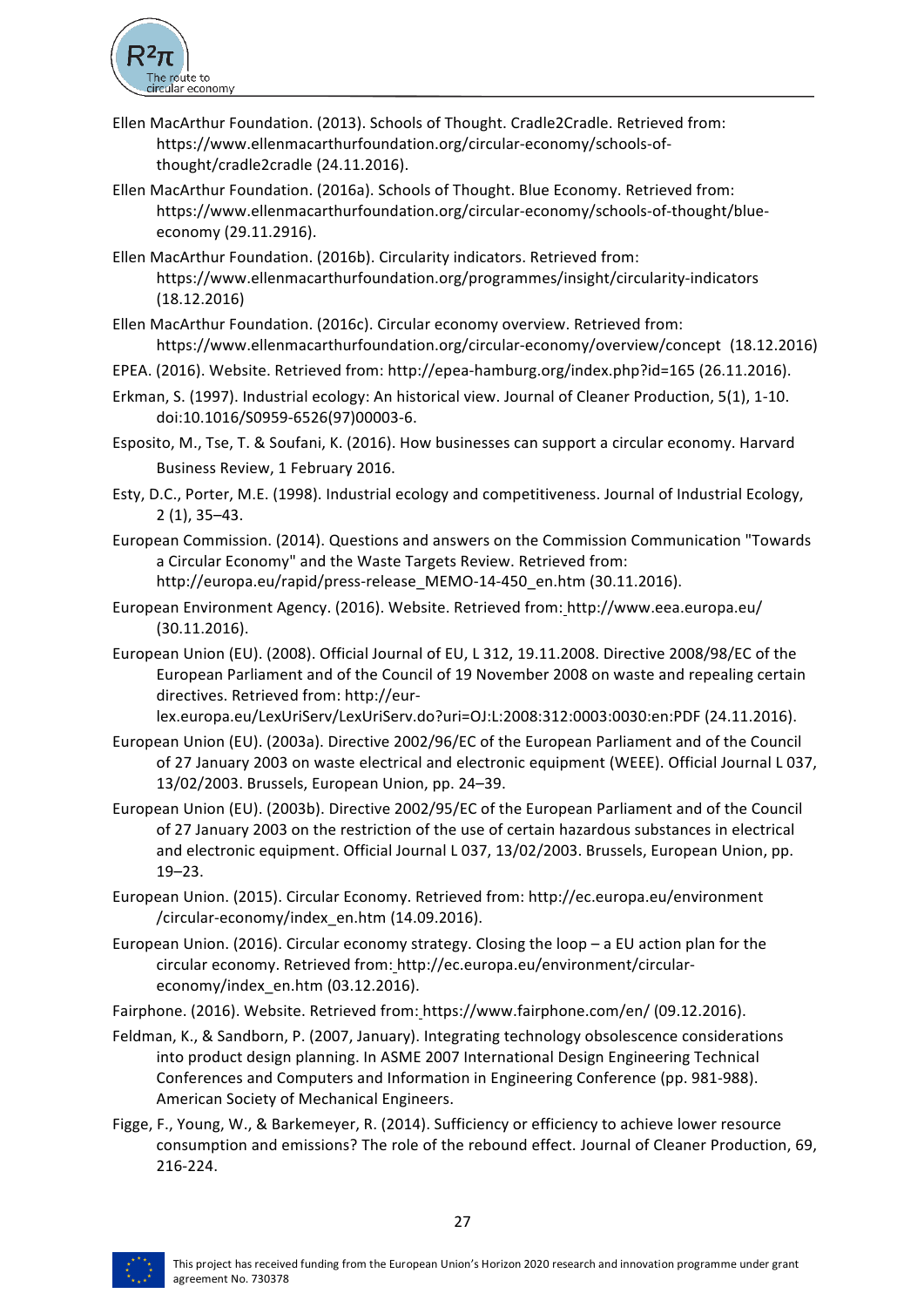

- Ellen MacArthur Foundation. (2013). Schools of Thought. Cradle2Cradle. Retrieved from: https://www.ellenmacarthurfoundation.org/circular-economy/schools-ofthought/cradle2cradle (24.11.2016).
- Ellen MacArthur Foundation. (2016a). Schools of Thought. Blue Economy. Retrieved from: https://www.ellenmacarthurfoundation.org/circular-economy/schools-of-thought/blueeconomy (29.11.2916).
- Ellen MacArthur Foundation. (2016b). Circularity indicators. Retrieved from: https://www.ellenmacarthurfoundation.org/programmes/insight/circularity-indicators (18.12.2016)
- Ellen MacArthur Foundation. (2016c). Circular economy overview. Retrieved from: https://www.ellenmacarthurfoundation.org/circular-economy/overview/concept (18.12.2016)
- EPEA. (2016). Website. Retrieved from: http://epea-hamburg.org/index.php?id=165 (26.11.2016).
- Erkman, S. (1997). Industrial ecology: An historical view. Journal of Cleaner Production, 5(1), 1-10. doi:10.1016/S0959-6526(97)00003-6.
- Esposito, M., Tse, T. & Soufani, K. (2016). How businesses can support a circular economy. Harvard Business Review, 1 February 2016.
- Esty, D.C., Porter, M.E. (1998). Industrial ecology and competitiveness. Journal of Industrial Ecology, 2 (1), 35–43.
- European Commission. (2014). Questions and answers on the Commission Communication "Towards a Circular Economy" and the Waste Targets Review. Retrieved from: http://europa.eu/rapid/press-release\_MEMO-14-450\_en.htm (30.11.2016).
- European Environment Agency. (2016). Website. Retrieved from: http://www.eea.europa.eu/ (30.11.2016).
- European Union (EU). (2008). Official Journal of EU, L 312, 19.11.2008. Directive 2008/98/EC of the European Parliament and of the Council of 19 November 2008 on waste and repealing certain directives. Retrieved from: http://eur-

lex.europa.eu/LexUriServ/LexUriServ.do?uri=OJ:L:2008:312:0003:0030:en:PDF (24.11.2016).

- European Union (EU). (2003a). Directive 2002/96/EC of the European Parliament and of the Council of 27 January 2003 on waste electrical and electronic equipment (WEEE). Official Journal L 037, 13/02/2003. Brussels, European Union, pp. 24-39.
- European Union (EU). (2003b). Directive 2002/95/EC of the European Parliament and of the Council of 27 January 2003 on the restriction of the use of certain hazardous substances in electrical and electronic equipment. Official Journal L 037, 13/02/2003. Brussels, European Union, pp. 19–23.
- European Union. (2015). Circular Economy. Retrieved from: http://ec.europa.eu/environment /circular-economy/index\_en.htm (14.09.2016).
- European Union. (2016). Circular economy strategy. Closing the loop  $-$  a EU action plan for the circular economy. Retrieved from: http://ec.europa.eu/environment/circulareconomy/index\_en.htm (03.12.2016).
- Fairphone. (2016). Website. Retrieved from: https://www.fairphone.com/en/ (09.12.2016).
- Feldman, K., & Sandborn, P. (2007, January). Integrating technology obsolescence considerations into product design planning. In ASME 2007 International Design Engineering Technical Conferences and Computers and Information in Engineering Conference (pp. 981-988). American Society of Mechanical Engineers.
- Figge, F., Young, W., & Barkemeyer, R. (2014). Sufficiency or efficiency to achieve lower resource consumption and emissions? The role of the rebound effect. Journal of Cleaner Production, 69, 216-224.

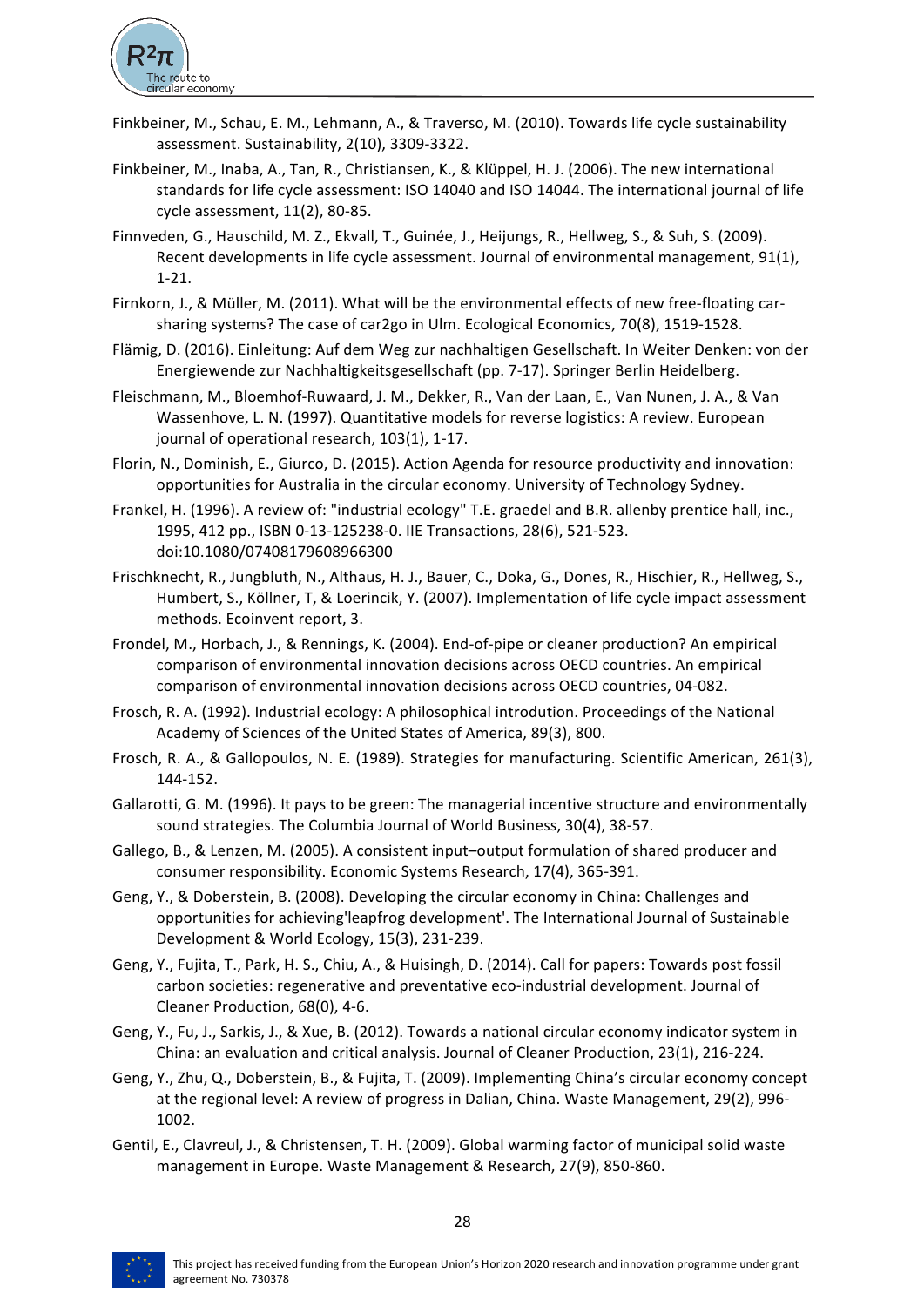

- Finkbeiner, M., Schau, E. M., Lehmann, A., & Traverso, M. (2010). Towards life cycle sustainability assessment. Sustainability, 2(10), 3309-3322.
- Finkbeiner, M., Inaba, A., Tan, R., Christiansen, K., & Klüppel, H. J. (2006). The new international standards for life cycle assessment: ISO 14040 and ISO 14044. The international journal of life cycle  $assessment$ ,  $11(2)$ ,  $80-85$ .
- Finnveden, G., Hauschild, M. Z., Ekvall, T., Guinée, J., Heijungs, R., Hellweg, S., & Suh, S. (2009). Recent developments in life cycle assessment. Journal of environmental management, 91(1), 1-21.
- Firnkorn, J., & Müller, M. (2011). What will be the environmental effects of new free-floating carsharing systems? The case of car2go in Ulm. Ecological Economics, 70(8), 1519-1528.
- Flämig, D. (2016). Einleitung: Auf dem Weg zur nachhaltigen Gesellschaft. In Weiter Denken: von der Energiewende zur Nachhaltigkeitsgesellschaft (pp. 7-17). Springer Berlin Heidelberg.
- Fleischmann, M., Bloemhof-Ruwaard, J. M., Dekker, R., Van der Laan, E., Van Nunen, J. A., & Van Wassenhove, L. N. (1997). Quantitative models for reverse logistics: A review. European journal of operational research, 103(1), 1-17.
- Florin, N., Dominish, E., Giurco, D. (2015). Action Agenda for resource productivity and innovation: opportunities for Australia in the circular economy. University of Technology Sydney.
- Frankel, H. (1996). A review of: "industrial ecology" T.E. graedel and B.R. allenby prentice hall, inc., 1995, 412 pp., ISBN 0-13-125238-0. IIE Transactions, 28(6), 521-523. doi:10.1080/07408179608966300
- Frischknecht, R., Jungbluth, N., Althaus, H. J., Bauer, C., Doka, G., Dones, R., Hischier, R., Hellweg, S., Humbert, S., Köllner, T, & Loerincik, Y. (2007). Implementation of life cycle impact assessment methods. Ecoinvent report, 3.
- Frondel, M., Horbach, J., & Rennings, K. (2004). End-of-pipe or cleaner production? An empirical comparison of environmental innovation decisions across OECD countries. An empirical comparison of environmental innovation decisions across OECD countries, 04-082.
- Frosch, R. A. (1992). Industrial ecology: A philosophical introdution. Proceedings of the National Academy of Sciences of the United States of America, 89(3), 800.
- Frosch, R. A., & Gallopoulos, N. E. (1989). Strategies for manufacturing. Scientific American, 261(3), 144-152.
- Gallarotti, G. M. (1996). It pays to be green: The managerial incentive structure and environmentally sound strategies. The Columbia Journal of World Business, 30(4), 38-57.
- Gallego, B., & Lenzen, M. (2005). A consistent input-output formulation of shared producer and consumer responsibility. Economic Systems Research, 17(4), 365-391.
- Geng, Y., & Doberstein, B. (2008). Developing the circular economy in China: Challenges and opportunities for achieving'leapfrog development'. The International Journal of Sustainable Development & World Ecology, 15(3), 231-239.
- Geng, Y., Fujita, T., Park, H. S., Chiu, A., & Huisingh, D. (2014). Call for papers: Towards post fossil carbon societies: regenerative and preventative eco-industrial development. Journal of Cleaner Production, 68(0), 4-6.
- Geng, Y., Fu, J., Sarkis, J., & Xue, B. (2012). Towards a national circular economy indicator system in China: an evaluation and critical analysis. Journal of Cleaner Production, 23(1), 216-224.
- Geng, Y., Zhu, Q., Doberstein, B., & Fujita, T. (2009). Implementing China's circular economy concept at the regional level: A review of progress in Dalian, China. Waste Management, 29(2), 996-1002.
- Gentil, E., Clavreul, J., & Christensen, T. H. (2009). Global warming factor of municipal solid waste management in Europe. Waste Management & Research, 27(9), 850-860.

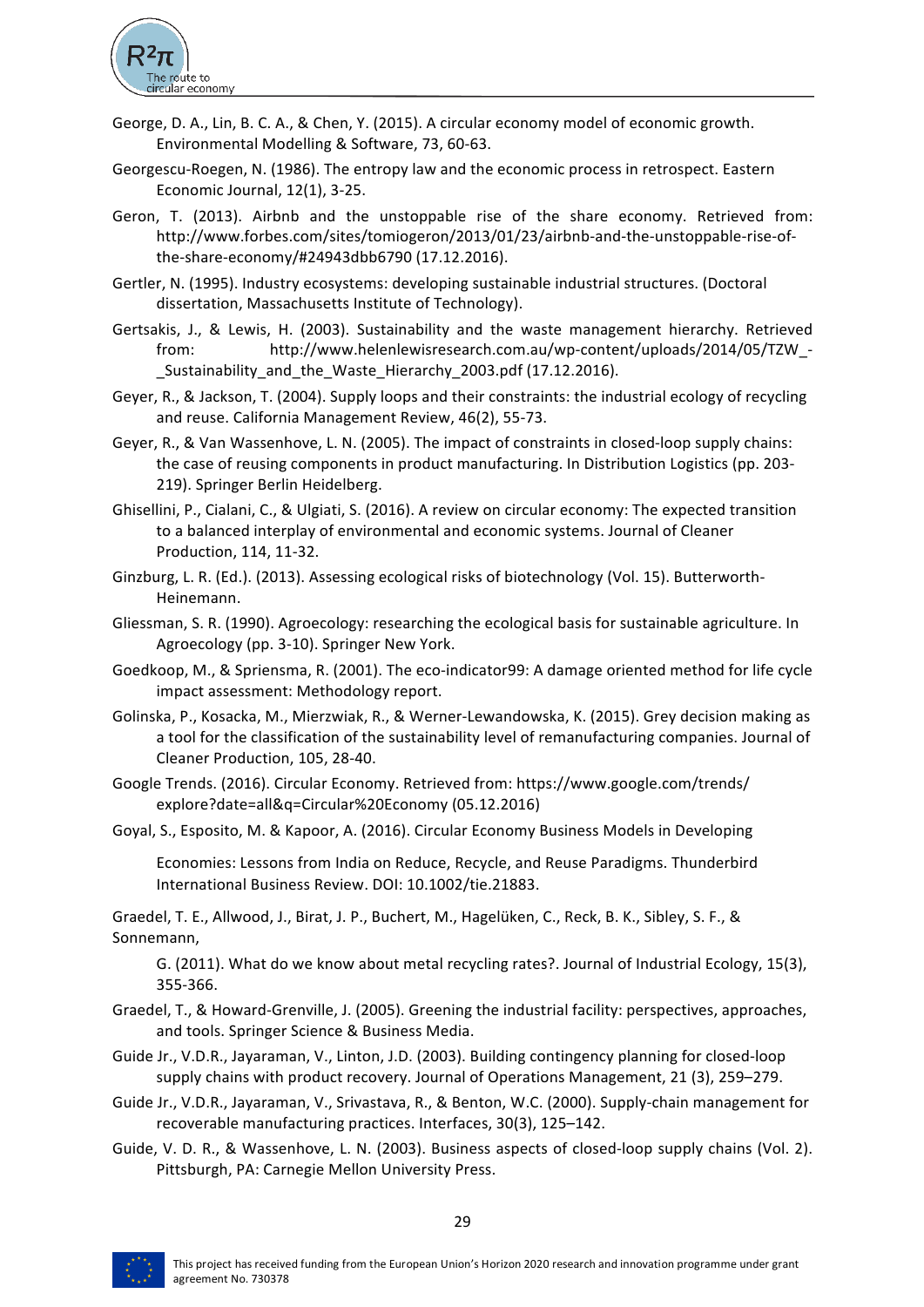

- George, D. A., Lin, B. C. A., & Chen, Y. (2015). A circular economy model of economic growth. Environmental Modelling & Software, 73, 60-63.
- Georgescu-Roegen, N. (1986). The entropy law and the economic process in retrospect. Eastern Economic Journal, 12(1), 3-25.
- Geron, T. (2013). Airbnb and the unstoppable rise of the share economy. Retrieved from: http://www.forbes.com/sites/tomiogeron/2013/01/23/airbnb-and-the-unstoppable-rise-ofthe-share-economy/#24943dbb6790 (17.12.2016).
- Gertler, N. (1995). Industry ecosystems: developing sustainable industrial structures. (Doctoral dissertation, Massachusetts Institute of Technology).
- Gertsakis, J., & Lewis, H. (2003). Sustainability and the waste management hierarchy. Retrieved from: http://www.helenlewisresearch.com.au/wp-content/uploads/2014/05/TZW\_- \_Sustainability\_and\_the\_Waste\_Hierarchy\_2003.pdf (17.12.2016).
- Geyer, R., & Jackson, T. (2004). Supply loops and their constraints: the industrial ecology of recycling and reuse. California Management Review, 46(2), 55-73.
- Geyer, R., & Van Wassenhove, L. N. (2005). The impact of constraints in closed-loop supply chains: the case of reusing components in product manufacturing. In Distribution Logistics (pp. 203-219). Springer Berlin Heidelberg.
- Ghisellini, P., Cialani, C., & Ulgiati, S. (2016). A review on circular economy: The expected transition to a balanced interplay of environmental and economic systems. Journal of Cleaner Production, 114, 11-32.
- Ginzburg, L. R. (Ed.). (2013). Assessing ecological risks of biotechnology (Vol. 15). Butterworth-Heinemann.
- Gliessman, S. R. (1990). Agroecology: researching the ecological basis for sustainable agriculture. In Agroecology (pp. 3-10). Springer New York.
- Goedkoop, M., & Spriensma, R. (2001). The eco-indicator99: A damage oriented method for life cycle impact assessment: Methodology report.
- Golinska, P., Kosacka, M., Mierzwiak, R., & Werner-Lewandowska, K. (2015). Grey decision making as a tool for the classification of the sustainability level of remanufacturing companies. Journal of Cleaner Production, 105, 28-40.
- Google Trends. (2016). Circular Economy. Retrieved from: https://www.google.com/trends/ explore?date=all&q=Circular%20Economy (05.12.2016)
- Goyal, S., Esposito, M. & Kapoor, A. (2016). Circular Economy Business Models in Developing

Economies: Lessons from India on Reduce, Recycle, and Reuse Paradigms. Thunderbird International Business Review. DOI: 10.1002/tie.21883.

Graedel, T. E., Allwood, J., Birat, J. P., Buchert, M., Hagelüken, C., Reck, B. K., Sibley, S. F., & Sonnemann, 

G. (2011). What do we know about metal recycling rates?. Journal of Industrial Ecology, 15(3), 355-366.

- Graedel, T., & Howard-Grenville, J. (2005). Greening the industrial facility: perspectives, approaches, and tools. Springer Science & Business Media.
- Guide Jr., V.D.R., Jayaraman, V., Linton, J.D. (2003). Building contingency planning for closed-loop supply chains with product recovery. Journal of Operations Management, 21 (3), 259-279.
- Guide Jr., V.D.R., Jayaraman, V., Srivastava, R., & Benton, W.C. (2000). Supply-chain management for recoverable manufacturing practices. Interfaces, 30(3), 125-142.
- Guide, V. D. R., & Wassenhove, L. N. (2003). Business aspects of closed-loop supply chains (Vol. 2). Pittsburgh, PA: Carnegie Mellon University Press.

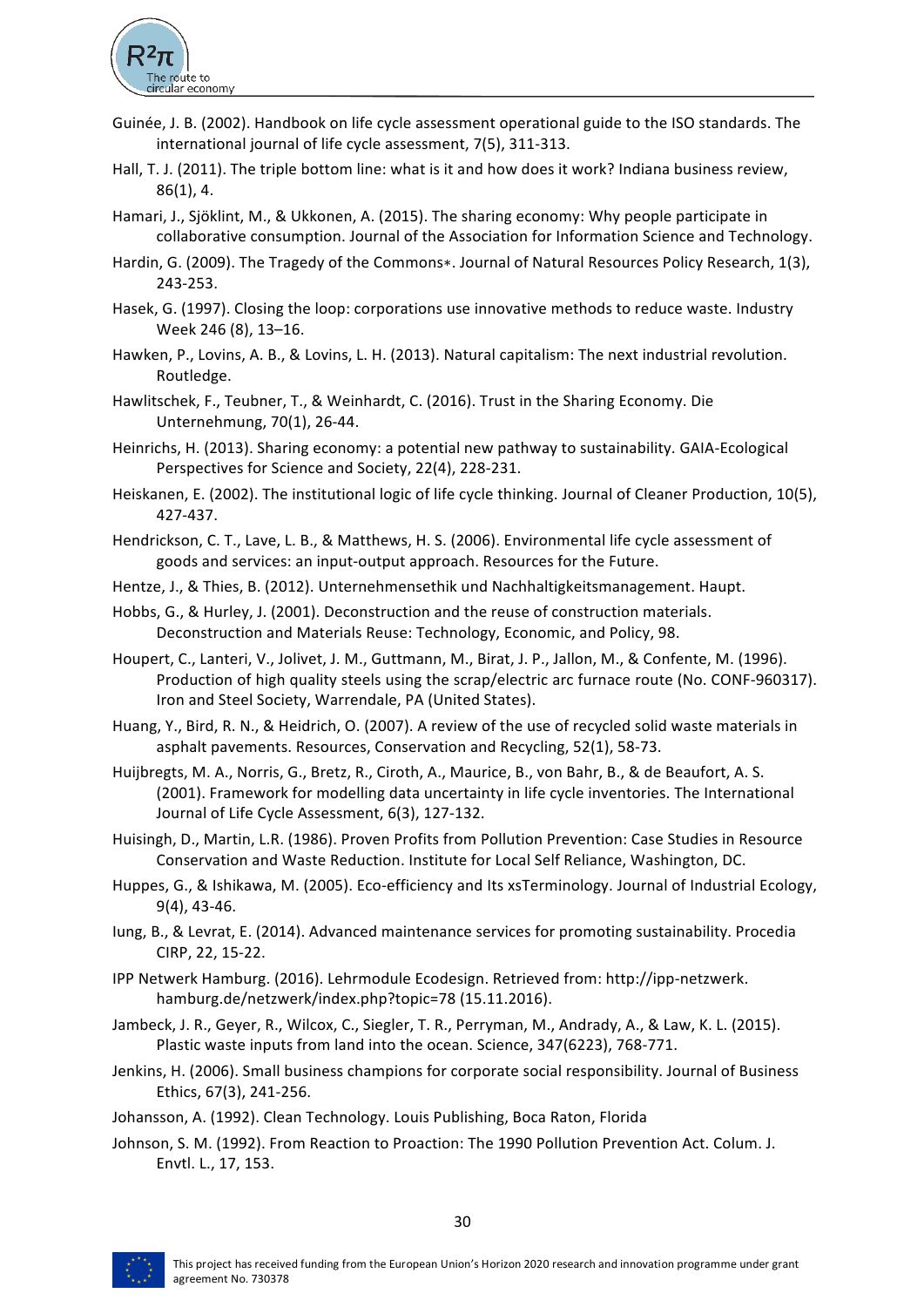

- Guinée, J. B. (2002). Handbook on life cycle assessment operational guide to the ISO standards. The international journal of life cycle assessment, 7(5), 311-313.
- Hall, T. J. (2011). The triple bottom line: what is it and how does it work? Indiana business review,  $86(1)$ , 4.
- Hamari, J., Sjöklint, M., & Ukkonen, A. (2015). The sharing economy: Why people participate in collaborative consumption. Journal of the Association for Information Science and Technology.
- Hardin, G. (2009). The Tragedy of the Commons\*. Journal of Natural Resources Policy Research, 1(3), 243-253.
- Hasek, G. (1997). Closing the loop: corporations use innovative methods to reduce waste. Industry Week 246 (8), 13-16.
- Hawken, P., Lovins, A. B., & Lovins, L. H. (2013). Natural capitalism: The next industrial revolution. Routledge.
- Hawlitschek, F., Teubner, T., & Weinhardt, C. (2016). Trust in the Sharing Economy. Die Unternehmung, 70(1), 26-44.
- Heinrichs, H. (2013). Sharing economy: a potential new pathway to sustainability. GAIA-Ecological Perspectives for Science and Society, 22(4), 228-231.
- Heiskanen, E. (2002). The institutional logic of life cycle thinking. Journal of Cleaner Production, 10(5), 427-437.
- Hendrickson, C. T., Lave, L. B., & Matthews, H. S. (2006). Environmental life cycle assessment of goods and services: an input-output approach. Resources for the Future.
- Hentze, J., & Thies, B. (2012). Unternehmensethik und Nachhaltigkeitsmanagement. Haupt.
- Hobbs, G., & Hurley, J. (2001). Deconstruction and the reuse of construction materials. Deconstruction and Materials Reuse: Technology, Economic, and Policy, 98.
- Houpert, C., Lanteri, V., Jolivet, J. M., Guttmann, M., Birat, J. P., Jallon, M., & Confente, M. (1996). Production of high quality steels using the scrap/electric arc furnace route (No. CONF-960317). Iron and Steel Society, Warrendale, PA (United States).
- Huang, Y., Bird, R. N., & Heidrich, O. (2007). A review of the use of recycled solid waste materials in asphalt pavements. Resources, Conservation and Recycling, 52(1), 58-73.
- Huijbregts, M. A., Norris, G., Bretz, R., Ciroth, A., Maurice, B., von Bahr, B., & de Beaufort, A. S. (2001). Framework for modelling data uncertainty in life cycle inventories. The International Journal of Life Cycle Assessment, 6(3), 127-132.
- Huisingh, D., Martin, L.R. (1986). Proven Profits from Pollution Prevention: Case Studies in Resource Conservation and Waste Reduction. Institute for Local Self Reliance, Washington, DC.
- Huppes, G., & Ishikawa, M. (2005). Eco-efficiency and Its xsTerminology. Journal of Industrial Ecology,  $9(4)$ , 43-46.
- lung, B., & Levrat, E. (2014). Advanced maintenance services for promoting sustainability. Procedia CIRP, 22, 15-22.
- IPP Netwerk Hamburg. (2016). Lehrmodule Ecodesign. Retrieved from: http://ipp-netzwerk. hamburg.de/netzwerk/index.php?topic=78 (15.11.2016).
- Jambeck, J. R., Geyer, R., Wilcox, C., Siegler, T. R., Perryman, M., Andrady, A., & Law, K. L. (2015). Plastic waste inputs from land into the ocean. Science, 347(6223), 768-771.
- Jenkins, H. (2006). Small business champions for corporate social responsibility. Journal of Business Ethics, 67(3), 241-256.
- Johansson, A. (1992). Clean Technology. Louis Publishing, Boca Raton, Florida
- Johnson, S. M. (1992). From Reaction to Proaction: The 1990 Pollution Prevention Act. Colum. J. Envtl. L., 17, 153.

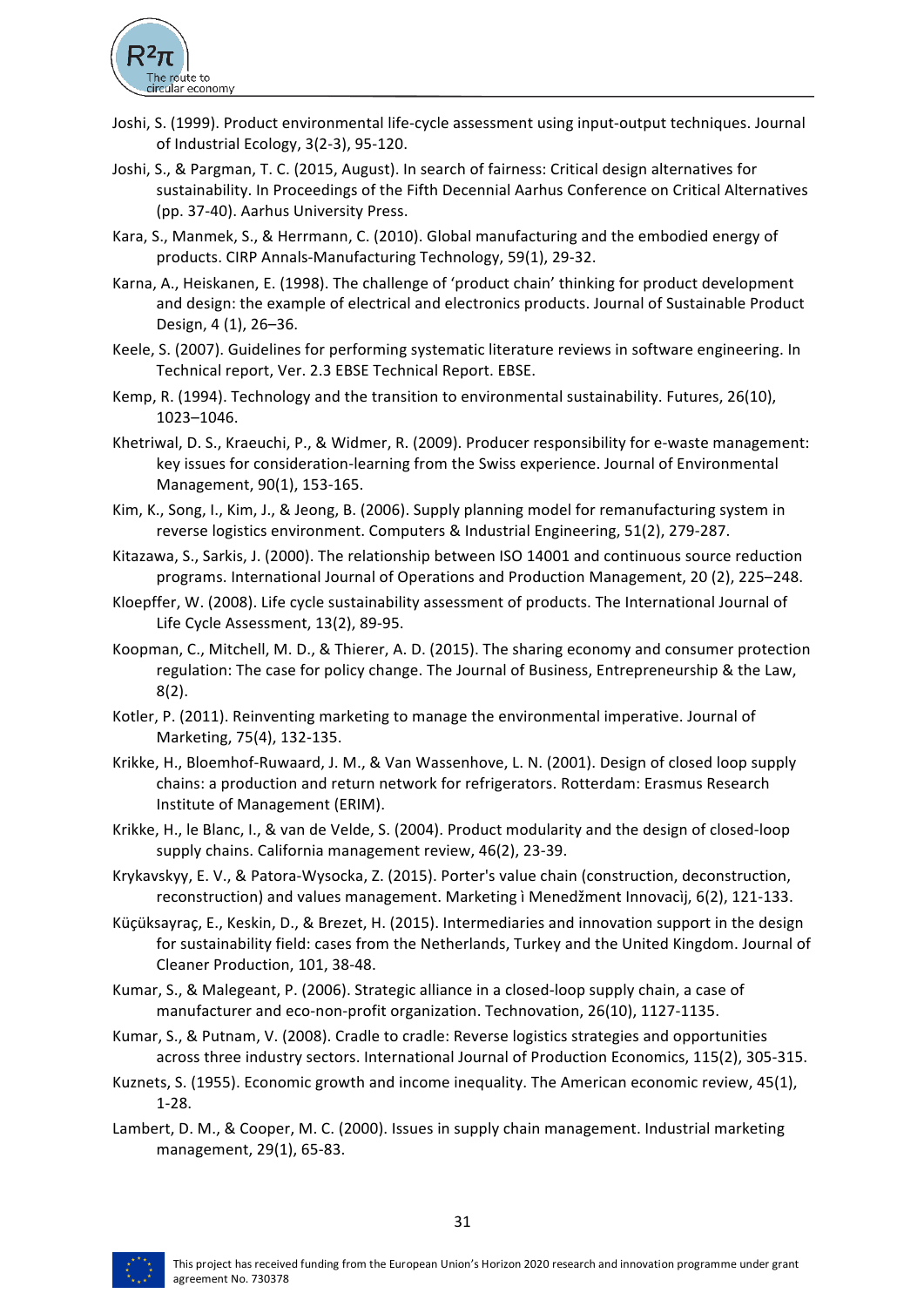

- Joshi, S. (1999). Product environmental life-cycle assessment using input-output techniques. Journal of Industrial Ecology,  $3(2-3)$ ,  $95-120$ .
- Joshi, S., & Pargman, T. C. (2015, August). In search of fairness: Critical design alternatives for sustainability. In Proceedings of the Fifth Decennial Aarhus Conference on Critical Alternatives (pp. 37-40). Aarhus University Press.
- Kara, S., Manmek, S., & Herrmann, C. (2010). Global manufacturing and the embodied energy of products. CIRP Annals-Manufacturing Technology, 59(1), 29-32.
- Karna, A., Heiskanen, E. (1998). The challenge of 'product chain' thinking for product development and design: the example of electrical and electronics products. Journal of Sustainable Product Design, 4 (1), 26–36.
- Keele, S. (2007). Guidelines for performing systematic literature reviews in software engineering. In Technical report, Ver. 2.3 EBSE Technical Report. EBSE.
- Kemp, R. (1994). Technology and the transition to environmental sustainability. Futures, 26(10), 1023–1046.
- Khetriwal, D. S., Kraeuchi, P., & Widmer, R. (2009). Producer responsibility for e-waste management: key issues for consideration-learning from the Swiss experience. Journal of Environmental Management, 90(1), 153-165.
- Kim, K., Song, I., Kim, J., & Jeong, B. (2006). Supply planning model for remanufacturing system in reverse logistics environment. Computers & Industrial Engineering, 51(2), 279-287.
- Kitazawa, S., Sarkis, J. (2000). The relationship between ISO 14001 and continuous source reduction programs. International Journal of Operations and Production Management, 20 (2), 225–248.
- Kloepffer, W. (2008). Life cycle sustainability assessment of products. The International Journal of Life Cycle Assessment, 13(2), 89-95.
- Koopman, C., Mitchell, M. D., & Thierer, A. D. (2015). The sharing economy and consumer protection regulation: The case for policy change. The Journal of Business, Entrepreneurship & the Law, 8(2).
- Kotler, P. (2011). Reinventing marketing to manage the environmental imperative. Journal of Marketing, 75(4), 132-135.
- Krikke, H., Bloemhof-Ruwaard, J. M., & Van Wassenhove, L. N. (2001). Design of closed loop supply chains: a production and return network for refrigerators. Rotterdam: Erasmus Research Institute of Management (ERIM).
- Krikke, H., le Blanc, I., & van de Velde, S. (2004). Product modularity and the design of closed-loop supply chains. California management review, 46(2), 23-39.
- Krykavskyy, E. V., & Patora-Wysocka, Z. (2015). Porter's value chain (construction, deconstruction, reconstruction) and values management. Marketing i Menedžment Innovacij, 6(2), 121-133.
- Küçüksayraç, E., Keskin, D., & Brezet, H. (2015). Intermediaries and innovation support in the design for sustainability field: cases from the Netherlands, Turkey and the United Kingdom. Journal of Cleaner Production, 101, 38-48.
- Kumar, S., & Malegeant, P. (2006). Strategic alliance in a closed-loop supply chain, a case of manufacturer and eco-non-profit organization. Technovation, 26(10), 1127-1135.
- Kumar, S., & Putnam, V. (2008). Cradle to cradle: Reverse logistics strategies and opportunities across three industry sectors. International Journal of Production Economics, 115(2), 305-315.
- Kuznets, S. (1955). Economic growth and income inequality. The American economic review, 45(1), 1-28.
- Lambert, D. M., & Cooper, M. C. (2000). Issues in supply chain management. Industrial marketing management, 29(1), 65-83.

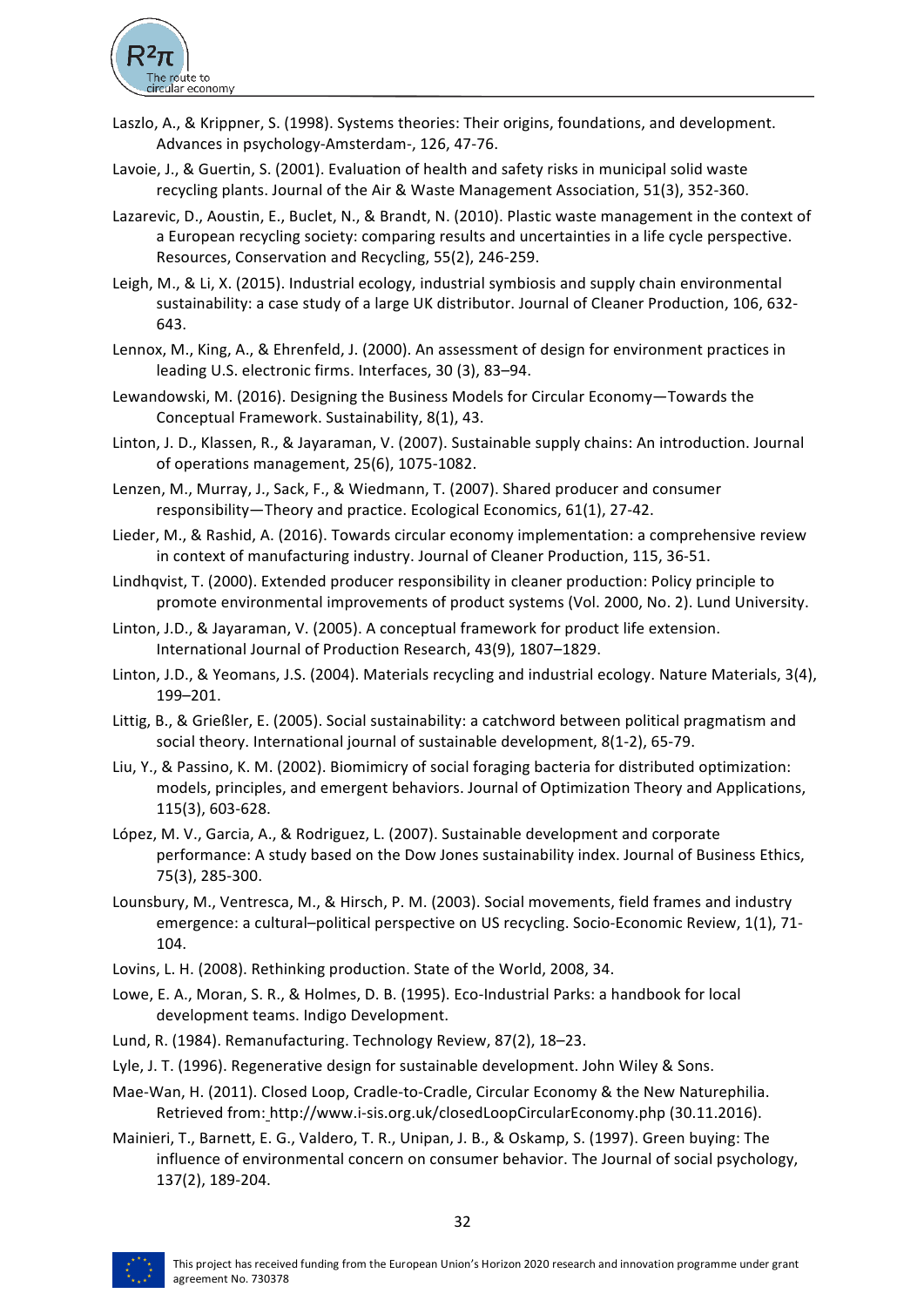

- Laszlo, A., & Krippner, S. (1998). Systems theories: Their origins, foundations, and development. Advances in psychology-Amsterdam-, 126, 47-76.
- Lavoie, J., & Guertin, S. (2001). Evaluation of health and safety risks in municipal solid waste recycling plants. Journal of the Air & Waste Management Association, 51(3), 352-360.
- Lazarevic, D., Aoustin, E., Buclet, N., & Brandt, N. (2010). Plastic waste management in the context of a European recycling society: comparing results and uncertainties in a life cycle perspective. Resources, Conservation and Recycling, 55(2), 246-259.
- Leigh, M., & Li, X. (2015). Industrial ecology, industrial symbiosis and supply chain environmental sustainability: a case study of a large UK distributor. Journal of Cleaner Production, 106, 632-643.
- Lennox, M., King, A., & Ehrenfeld, J. (2000). An assessment of design for environment practices in leading U.S. electronic firms. Interfaces, 30 (3), 83-94.
- Lewandowski, M. (2016). Designing the Business Models for Circular Economy—Towards the Conceptual Framework. Sustainability, 8(1), 43.
- Linton, J. D., Klassen, R., & Jayaraman, V. (2007). Sustainable supply chains: An introduction. Journal of operations management, 25(6), 1075-1082.
- Lenzen, M., Murray, J., Sack, F., & Wiedmann, T. (2007). Shared producer and consumer responsibility—Theory and practice. Ecological Economics, 61(1), 27-42.
- Lieder, M., & Rashid, A. (2016). Towards circular economy implementation: a comprehensive review in context of manufacturing industry. Journal of Cleaner Production, 115, 36-51.
- Lindhqvist, T. (2000). Extended producer responsibility in cleaner production: Policy principle to promote environmental improvements of product systems (Vol. 2000, No. 2). Lund University.
- Linton, J.D., & Jayaraman, V. (2005). A conceptual framework for product life extension. International Journal of Production Research, 43(9), 1807-1829.
- Linton, J.D., & Yeomans, J.S. (2004). Materials recycling and industrial ecology. Nature Materials, 3(4), 199–201.
- Littig, B., & Grießler, E. (2005). Social sustainability: a catchword between political pragmatism and social theory. International journal of sustainable development, 8(1-2), 65-79.
- Liu, Y., & Passino, K. M. (2002). Biomimicry of social foraging bacteria for distributed optimization: models, principles, and emergent behaviors. Journal of Optimization Theory and Applications, 115(3), 603-628.
- López, M. V., Garcia, A., & Rodriguez, L. (2007). Sustainable development and corporate performance: A study based on the Dow Jones sustainability index. Journal of Business Ethics, 75(3), 285-300.
- Lounsbury, M., Ventresca, M., & Hirsch, P. M. (2003). Social movements, field frames and industry emergence: a cultural-political perspective on US recycling. Socio-Economic Review, 1(1), 71-104.
- Lovins, L. H. (2008). Rethinking production. State of the World, 2008, 34.
- Lowe, E. A., Moran, S. R., & Holmes, D. B. (1995). Eco-Industrial Parks: a handbook for local development teams. Indigo Development.
- Lund, R. (1984). Remanufacturing. Technology Review, 87(2), 18-23.
- Lyle, J. T. (1996). Regenerative design for sustainable development. John Wiley & Sons.
- Mae-Wan, H. (2011). Closed Loop, Cradle-to-Cradle, Circular Economy & the New Naturephilia. Retrieved from: http://www.i-sis.org.uk/closedLoopCircularEconomy.php (30.11.2016).
- Mainieri, T., Barnett, E. G., Valdero, T. R., Unipan, J. B., & Oskamp, S. (1997). Green buying: The influence of environmental concern on consumer behavior. The Journal of social psychology, 137(2), 189-204.

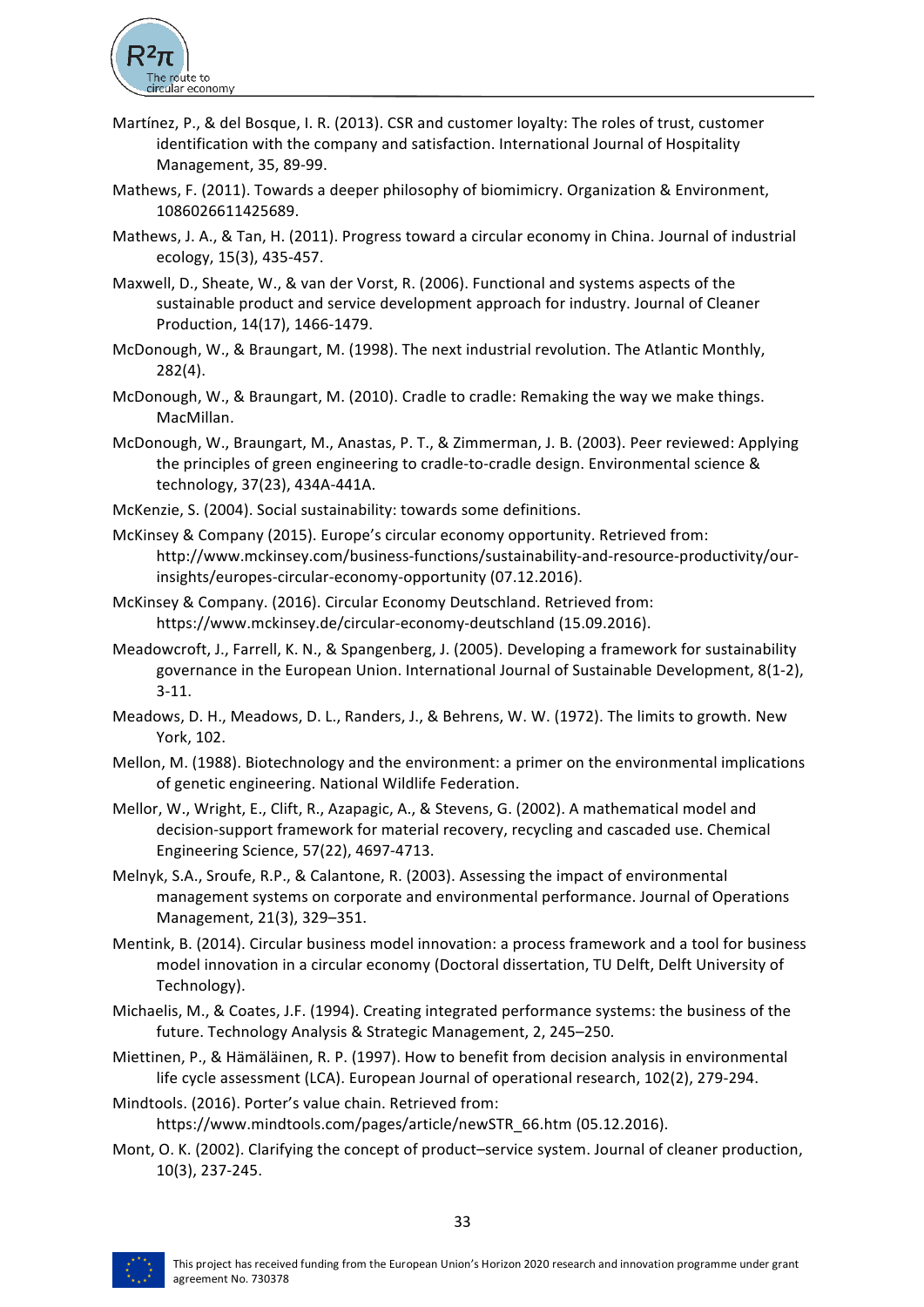

- Martínez, P., & del Bosque, I. R. (2013). CSR and customer loyalty: The roles of trust, customer identification with the company and satisfaction. International Journal of Hospitality Management, 35, 89-99.
- Mathews, F. (2011). Towards a deeper philosophy of biomimicry. Organization & Environment, 1086026611425689.
- Mathews, J. A., & Tan, H. (2011). Progress toward a circular economy in China. Journal of industrial ecology, 15(3), 435-457.
- Maxwell, D., Sheate, W., & van der Vorst, R. (2006). Functional and systems aspects of the sustainable product and service development approach for industry. Journal of Cleaner Production, 14(17), 1466-1479.
- McDonough, W., & Braungart, M. (1998). The next industrial revolution. The Atlantic Monthly, 282(4).
- McDonough, W., & Braungart, M. (2010). Cradle to cradle: Remaking the way we make things. MacMillan.
- McDonough, W., Braungart, M., Anastas, P. T., & Zimmerman, J. B. (2003). Peer reviewed: Applying the principles of green engineering to cradle-to-cradle design. Environmental science & technology, 37(23), 434A-441A.
- McKenzie, S. (2004). Social sustainability: towards some definitions.
- McKinsey & Company (2015). Europe's circular economy opportunity. Retrieved from: http://www.mckinsey.com/business-functions/sustainability-and-resource-productivity/ourinsights/europes-circular-economy-opportunity (07.12.2016).
- McKinsey & Company. (2016). Circular Economy Deutschland. Retrieved from: https://www.mckinsey.de/circular-economy-deutschland (15.09.2016).
- Meadowcroft, J., Farrell, K. N., & Spangenberg, J. (2005). Developing a framework for sustainability governance in the European Union. International Journal of Sustainable Development, 8(1-2), 3-11.
- Meadows, D. H., Meadows, D. L., Randers, J., & Behrens, W. W. (1972). The limits to growth. New York, 102.
- Mellon, M. (1988). Biotechnology and the environment: a primer on the environmental implications of genetic engineering. National Wildlife Federation.
- Mellor, W., Wright, E., Clift, R., Azapagic, A., & Stevens, G. (2002). A mathematical model and decision-support framework for material recovery, recycling and cascaded use. Chemical Engineering Science, 57(22), 4697-4713.
- Melnyk, S.A., Sroufe, R.P., & Calantone, R. (2003). Assessing the impact of environmental management systems on corporate and environmental performance. Journal of Operations Management, 21(3), 329-351.
- Mentink, B. (2014). Circular business model innovation: a process framework and a tool for business model innovation in a circular economy (Doctoral dissertation, TU Delft, Delft University of Technology).
- Michaelis, M., & Coates, J.F. (1994). Creating integrated performance systems: the business of the future. Technology Analysis & Strategic Management, 2, 245–250.
- Miettinen, P., & Hämäläinen, R. P. (1997). How to benefit from decision analysis in environmental life cycle assessment (LCA). European Journal of operational research, 102(2), 279-294.
- Mindtools. (2016). Porter's value chain. Retrieved from: https://www.mindtools.com/pages/article/newSTR\_66.htm (05.12.2016).
- Mont, O. K. (2002). Clarifying the concept of product–service system. Journal of cleaner production, 10(3), 237-245.

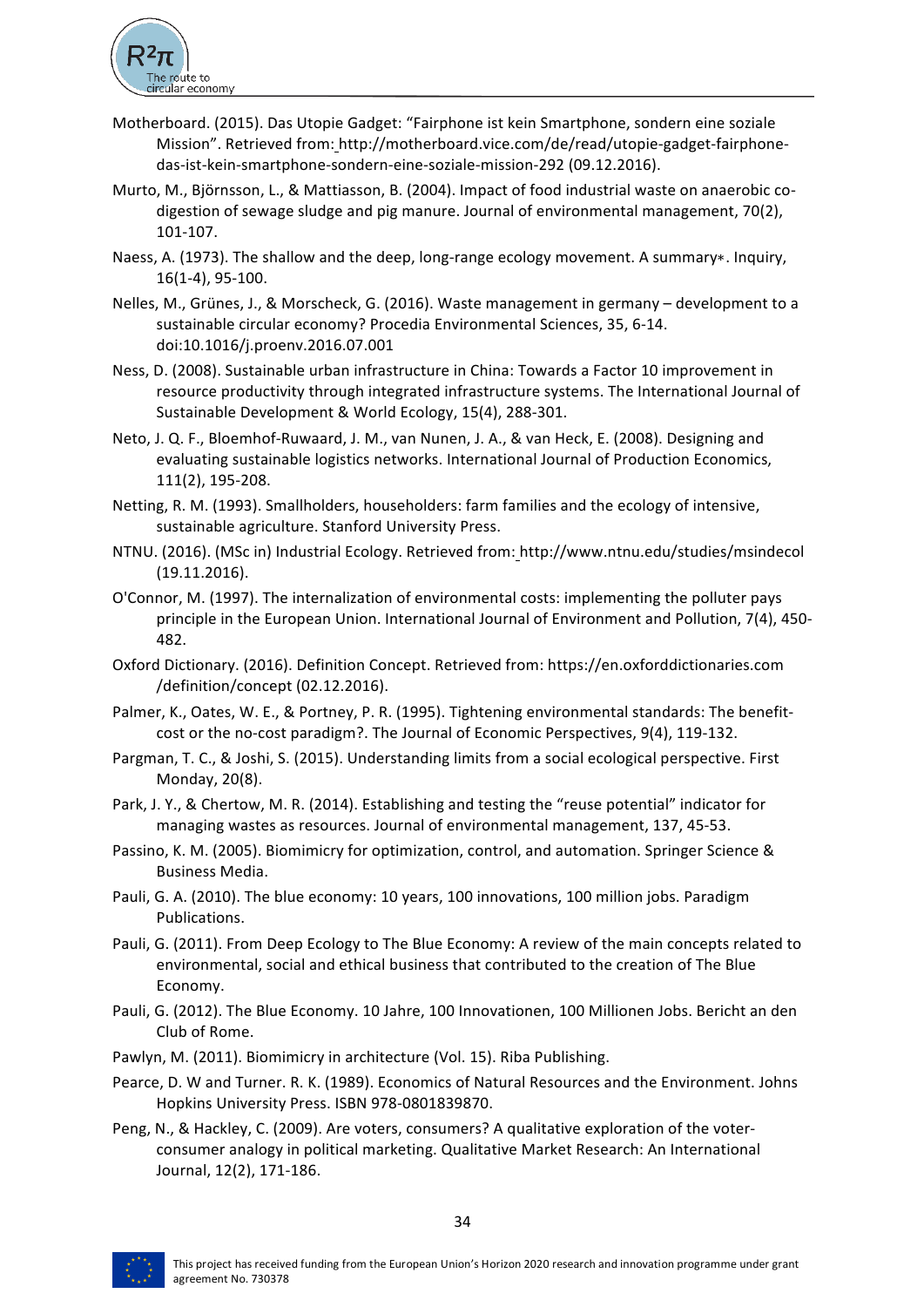

- Motherboard. (2015). Das Utopie Gadget: "Fairphone ist kein Smartphone, sondern eine soziale Mission". Retrieved from: http://motherboard.vice.com/de/read/utopie-gadget-fairphonedas-ist-kein-smartphone-sondern-eine-soziale-mission-292 (09.12.2016).
- Murto, M., Björnsson, L., & Mattiasson, B. (2004). Impact of food industrial waste on anaerobic codigestion of sewage sludge and pig manure. Journal of environmental management, 70(2), 101-107.
- Naess, A. (1973). The shallow and the deep, long-range ecology movement. A summary∗. Inquiry, 16(1-4), 95-100.
- Nelles, M., Grünes, J., & Morscheck, G. (2016). Waste management in germany development to a sustainable circular economy? Procedia Environmental Sciences, 35, 6-14. doi:10.1016/j.proenv.2016.07.001
- Ness, D. (2008). Sustainable urban infrastructure in China: Towards a Factor 10 improvement in resource productivity through integrated infrastructure systems. The International Journal of Sustainable Development & World Ecology, 15(4), 288-301.
- Neto, J. Q. F., Bloemhof-Ruwaard, J. M., van Nunen, J. A., & van Heck, E. (2008). Designing and evaluating sustainable logistics networks. International Journal of Production Economics, 111(2), 195-208.
- Netting, R. M. (1993). Smallholders, householders: farm families and the ecology of intensive, sustainable agriculture. Stanford University Press.
- NTNU. (2016). (MSc in) Industrial Ecology. Retrieved from: http://www.ntnu.edu/studies/msindecol (19.11.2016).
- O'Connor, M. (1997). The internalization of environmental costs: implementing the polluter pays principle in the European Union. International Journal of Environment and Pollution, 7(4), 450-482.
- Oxford Dictionary. (2016). Definition Concept. Retrieved from: https://en.oxforddictionaries.com /definition/concept (02.12.2016).
- Palmer, K., Oates, W. E., & Portney, P. R. (1995). Tightening environmental standards: The benefitcost or the no-cost paradigm?. The Journal of Economic Perspectives, 9(4), 119-132.
- Pargman, T. C., & Joshi, S. (2015). Understanding limits from a social ecological perspective. First Monday, 20(8).
- Park, J. Y., & Chertow, M. R. (2014). Establishing and testing the "reuse potential" indicator for managing wastes as resources. Journal of environmental management, 137, 45-53.
- Passino, K. M. (2005). Biomimicry for optimization, control, and automation. Springer Science & Business Media.
- Pauli, G. A. (2010). The blue economy: 10 years, 100 innovations, 100 million jobs. Paradigm Publications.
- Pauli, G. (2011). From Deep Ecology to The Blue Economy: A review of the main concepts related to environmental, social and ethical business that contributed to the creation of The Blue Economy.
- Pauli, G. (2012). The Blue Economy. 10 Jahre, 100 Innovationen, 100 Millionen Jobs. Bericht an den Club of Rome.
- Pawlyn, M. (2011). Biomimicry in architecture (Vol. 15). Riba Publishing.
- Pearce, D. W and Turner. R. K. (1989). Economics of Natural Resources and the Environment. Johns Hopkins University Press. ISBN 978-0801839870.
- Peng, N., & Hackley, C. (2009). Are voters, consumers? A qualitative exploration of the voterconsumer analogy in political marketing. Qualitative Market Research: An International Journal, 12(2), 171-186.

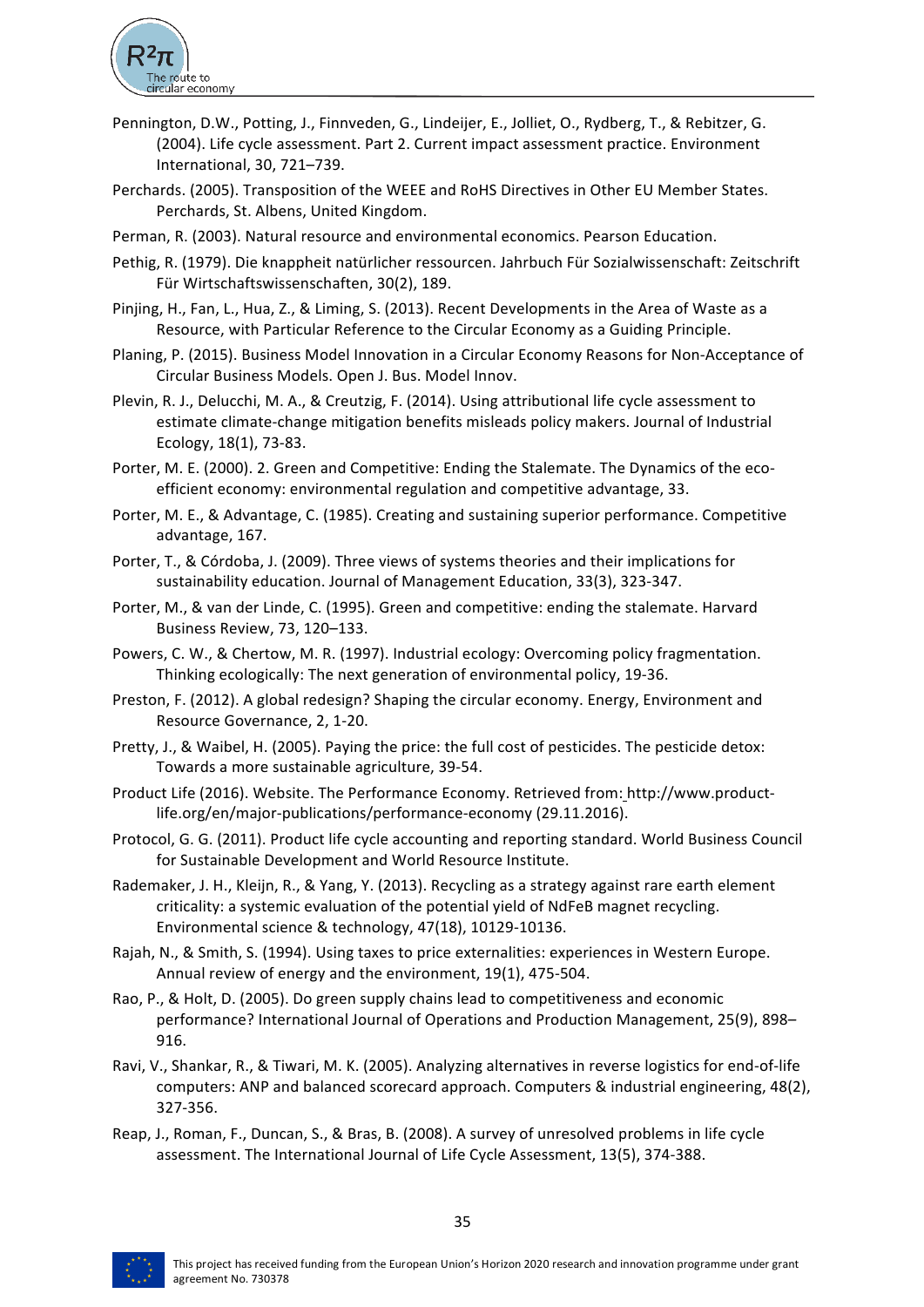

- Pennington, D.W., Potting, J., Finnveden, G., Lindeijer, E., Jolliet, O., Rydberg, T., & Rebitzer, G. (2004). Life cycle assessment. Part 2. Current impact assessment practice. Environment International, 30, 721-739.
- Perchards. (2005). Transposition of the WEEE and RoHS Directives in Other EU Member States. Perchards, St. Albens, United Kingdom.
- Perman, R. (2003). Natural resource and environmental economics. Pearson Education.
- Pethig, R. (1979). Die knappheit natürlicher ressourcen. Jahrbuch Für Sozialwissenschaft: Zeitschrift Für Wirtschaftswissenschaften, 30(2), 189.
- Pinjing, H., Fan, L., Hua, Z., & Liming, S. (2013). Recent Developments in the Area of Waste as a Resource, with Particular Reference to the Circular Economy as a Guiding Principle.
- Planing, P. (2015). Business Model Innovation in a Circular Economy Reasons for Non-Acceptance of Circular Business Models. Open J. Bus. Model Innov.
- Plevin, R. J., Delucchi, M. A., & Creutzig, F. (2014). Using attributional life cycle assessment to estimate climate-change mitigation benefits misleads policy makers. Journal of Industrial Ecology, 18(1), 73-83.
- Porter, M. E. (2000). 2. Green and Competitive: Ending the Stalemate. The Dynamics of the ecoefficient economy: environmental regulation and competitive advantage, 33.
- Porter, M. E., & Advantage, C. (1985). Creating and sustaining superior performance. Competitive advantage, 167.
- Porter, T., & Córdoba, J. (2009). Three views of systems theories and their implications for sustainability education. Journal of Management Education, 33(3), 323-347.
- Porter, M., & van der Linde, C. (1995). Green and competitive: ending the stalemate. Harvard Business Review, 73, 120-133.
- Powers, C. W., & Chertow, M. R. (1997). Industrial ecology: Overcoming policy fragmentation. Thinking ecologically: The next generation of environmental policy, 19-36.
- Preston, F. (2012). A global redesign? Shaping the circular economy. Energy, Environment and Resource Governance, 2, 1-20.
- Pretty, J., & Waibel, H. (2005). Paying the price: the full cost of pesticides. The pesticide detox: Towards a more sustainable agriculture, 39-54.
- Product Life (2016). Website. The Performance Economy. Retrieved from: http://www.productlife.org/en/major-publications/performance-economy (29.11.2016).
- Protocol, G. G. (2011). Product life cycle accounting and reporting standard. World Business Council for Sustainable Development and World Resource Institute.
- Rademaker, J. H., Kleijn, R., & Yang, Y. (2013). Recycling as a strategy against rare earth element criticality: a systemic evaluation of the potential yield of NdFeB magnet recycling. Environmental science & technology, 47(18), 10129-10136.
- Rajah, N., & Smith, S. (1994). Using taxes to price externalities: experiences in Western Europe. Annual review of energy and the environment, 19(1), 475-504.
- Rao, P., & Holt, D. (2005). Do green supply chains lead to competitiveness and economic performance? International Journal of Operations and Production Management, 25(9), 898– 916.
- Ravi, V., Shankar, R., & Tiwari, M. K. (2005). Analyzing alternatives in reverse logistics for end-of-life computers: ANP and balanced scorecard approach. Computers & industrial engineering, 48(2), 327-356.
- Reap, J., Roman, F., Duncan, S., & Bras, B. (2008). A survey of unresolved problems in life cycle assessment. The International Journal of Life Cycle Assessment, 13(5), 374-388.

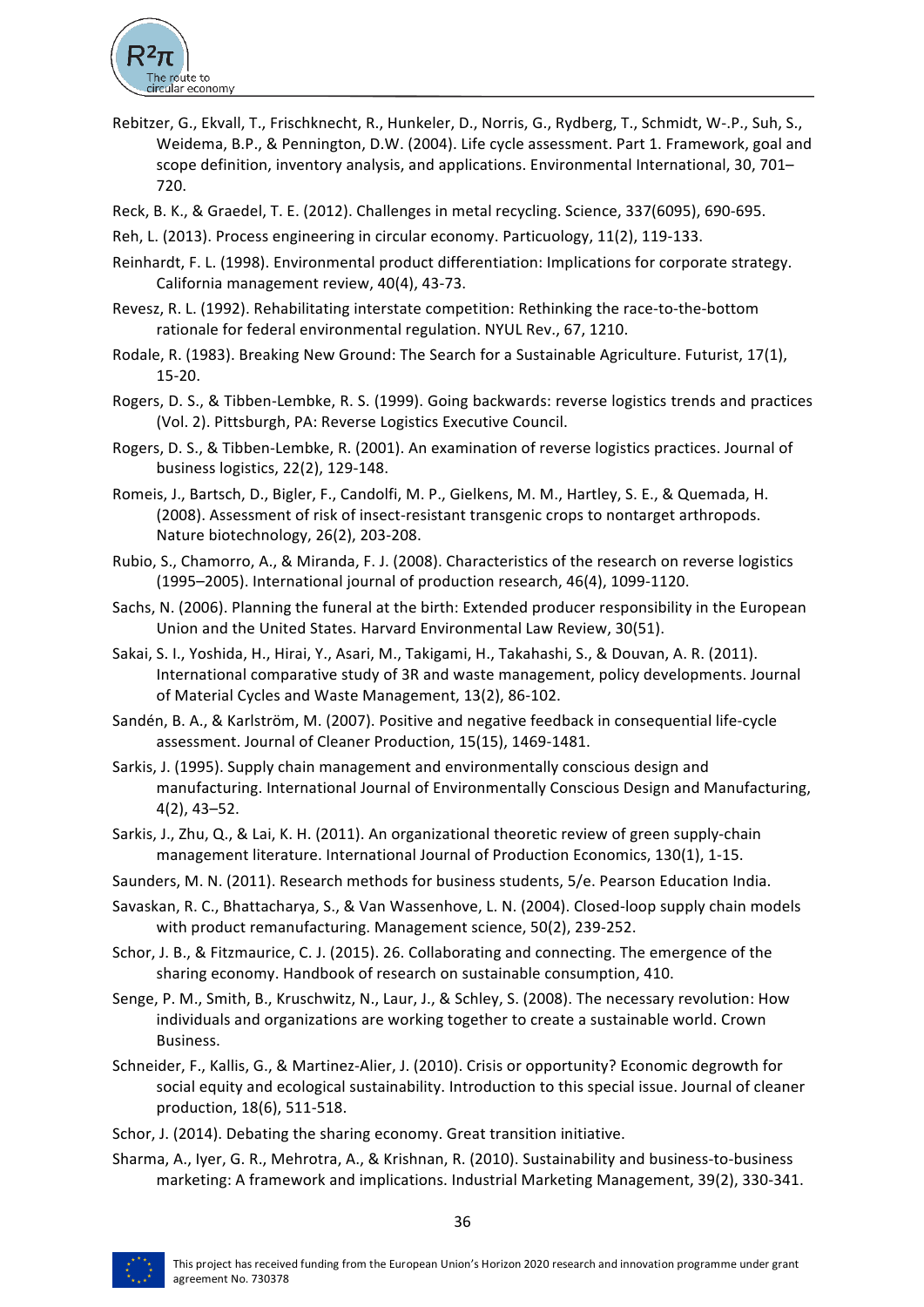

- Rebitzer, G., Ekvall, T., Frischknecht, R., Hunkeler, D., Norris, G., Rydberg, T., Schmidt, W-.P., Suh, S., Weidema, B.P., & Pennington, D.W. (2004). Life cycle assessment. Part 1. Framework, goal and scope definition, inventory analysis, and applications. Environmental International, 30, 701– 720.
- Reck, B. K., & Graedel, T. E. (2012). Challenges in metal recycling. Science, 337(6095), 690-695.
- Reh, L. (2013). Process engineering in circular economy. Particuology, 11(2), 119-133.
- Reinhardt, F. L. (1998). Environmental product differentiation: Implications for corporate strategy. California management review, 40(4), 43-73.
- Revesz, R. L. (1992). Rehabilitating interstate competition: Rethinking the race-to-the-bottom rationale for federal environmental regulation. NYUL Rev., 67, 1210.
- Rodale, R. (1983). Breaking New Ground: The Search for a Sustainable Agriculture. Futurist, 17(1), 15-20.
- Rogers, D. S., & Tibben-Lembke, R. S. (1999). Going backwards: reverse logistics trends and practices (Vol. 2). Pittsburgh, PA: Reverse Logistics Executive Council.
- Rogers, D. S., & Tibben-Lembke, R. (2001). An examination of reverse logistics practices. Journal of business logistics, 22(2), 129-148.
- Romeis, J., Bartsch, D., Bigler, F., Candolfi, M. P., Gielkens, M. M., Hartley, S. E., & Quemada, H. (2008). Assessment of risk of insect-resistant transgenic crops to nontarget arthropods. Nature biotechnology, 26(2), 203-208.
- Rubio, S., Chamorro, A., & Miranda, F. J. (2008). Characteristics of the research on reverse logistics (1995–2005). International journal of production research, 46(4), 1099-1120.
- Sachs, N. (2006). Planning the funeral at the birth: Extended producer responsibility in the European Union and the United States. Harvard Environmental Law Review, 30(51).
- Sakai, S. I., Yoshida, H., Hirai, Y., Asari, M., Takigami, H., Takahashi, S., & Douvan, A. R. (2011). International comparative study of 3R and waste management, policy developments. Journal of Material Cycles and Waste Management, 13(2), 86-102.
- Sandén, B. A., & Karlström, M. (2007). Positive and negative feedback in consequential life-cycle assessment. Journal of Cleaner Production, 15(15), 1469-1481.
- Sarkis, J. (1995). Supply chain management and environmentally conscious design and manufacturing. International Journal of Environmentally Conscious Design and Manufacturing,  $4(2)$ ,  $43-52$ .
- Sarkis, J., Zhu, Q., & Lai, K. H. (2011). An organizational theoretic review of green supply-chain management literature. International Journal of Production Economics, 130(1), 1-15.
- Saunders, M. N. (2011). Research methods for business students, 5/e. Pearson Education India.
- Savaskan, R. C., Bhattacharya, S., & Van Wassenhove, L. N. (2004). Closed-loop supply chain models with product remanufacturing. Management science, 50(2), 239-252.
- Schor, J. B., & Fitzmaurice, C. J. (2015). 26. Collaborating and connecting. The emergence of the sharing economy. Handbook of research on sustainable consumption, 410.
- Senge, P. M., Smith, B., Kruschwitz, N., Laur, J., & Schley, S. (2008). The necessary revolution: How individuals and organizations are working together to create a sustainable world. Crown Business.
- Schneider, F., Kallis, G., & Martinez-Alier, J. (2010). Crisis or opportunity? Economic degrowth for social equity and ecological sustainability. Introduction to this special issue. Journal of cleaner production, 18(6), 511-518.
- Schor, J. (2014). Debating the sharing economy. Great transition initiative.
- Sharma, A., Iyer, G. R., Mehrotra, A., & Krishnan, R. (2010). Sustainability and business-to-business marketing: A framework and implications. Industrial Marketing Management, 39(2), 330-341.

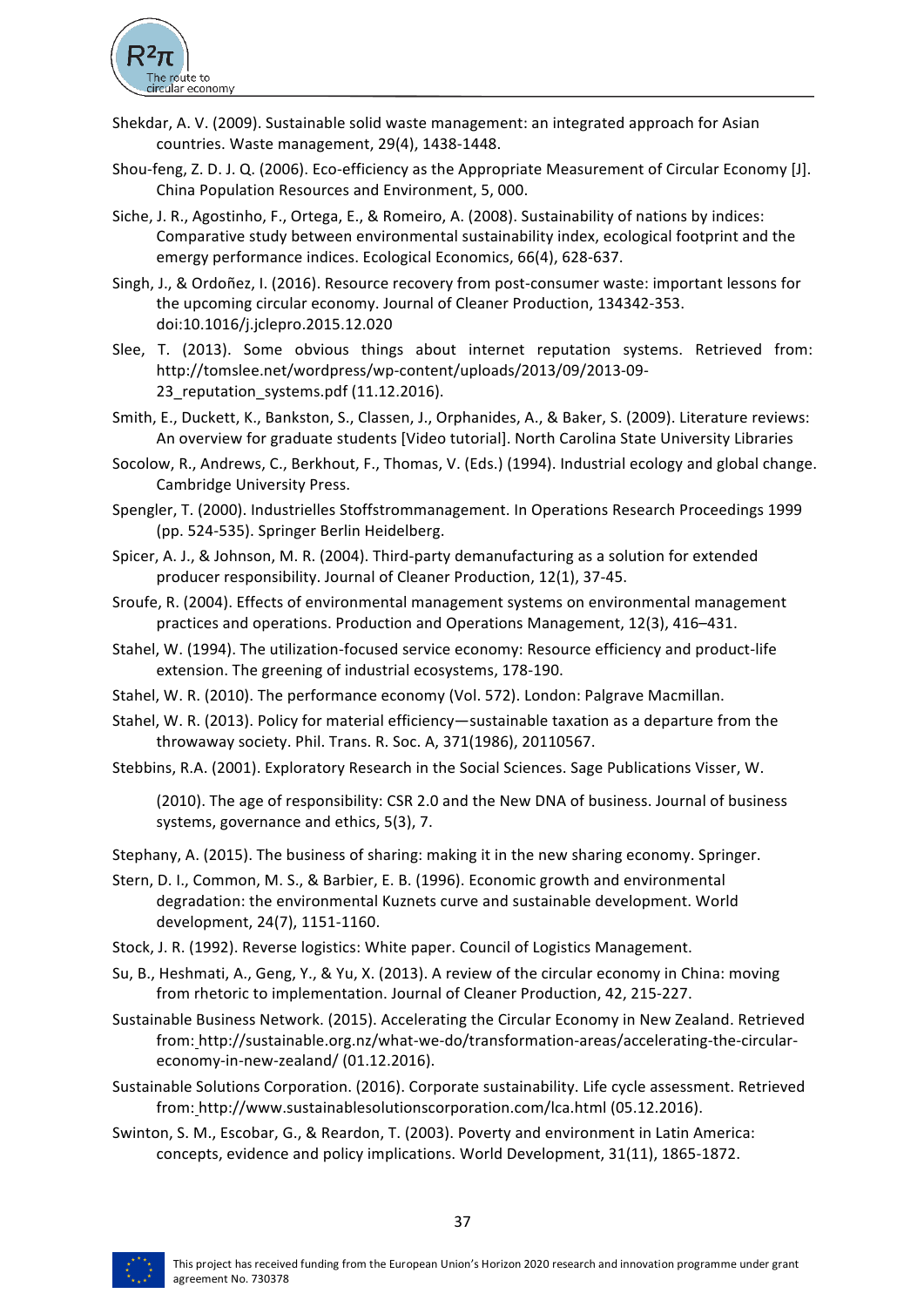

- Shekdar, A. V. (2009). Sustainable solid waste management: an integrated approach for Asian countries. Waste management, 29(4), 1438-1448.
- Shou-feng, Z. D. J. Q. (2006). Eco-efficiency as the Appropriate Measurement of Circular Economy [J]. China Population Resources and Environment, 5, 000.
- Siche, J. R., Agostinho, F., Ortega, E., & Romeiro, A. (2008). Sustainability of nations by indices: Comparative study between environmental sustainability index, ecological footprint and the emergy performance indices. Ecological Economics, 66(4), 628-637.
- Singh, J., & Ordoñez, I. (2016). Resource recovery from post-consumer waste: important lessons for the upcoming circular economy. Journal of Cleaner Production, 134342-353. doi:10.1016/j.jclepro.2015.12.020
- Slee, T. (2013). Some obvious things about internet reputation systems. Retrieved from: http://tomslee.net/wordpress/wp-content/uploads/2013/09/2013-09- 23 reputation systems.pdf (11.12.2016).
- Smith, E., Duckett, K., Bankston, S., Classen, J., Orphanides, A., & Baker, S. (2009). Literature reviews: An overview for graduate students [Video tutorial]. North Carolina State University Libraries
- Socolow, R., Andrews, C., Berkhout, F., Thomas, V. (Eds.) (1994). Industrial ecology and global change. Cambridge University Press.
- Spengler, T. (2000). Industrielles Stoffstrommanagement. In Operations Research Proceedings 1999 (pp. 524-535). Springer Berlin Heidelberg.
- Spicer, A. J., & Johnson, M. R. (2004). Third-party demanufacturing as a solution for extended producer responsibility. Journal of Cleaner Production, 12(1), 37-45.
- Sroufe, R. (2004). Effects of environmental management systems on environmental management practices and operations. Production and Operations Management, 12(3), 416-431.
- Stahel, W. (1994). The utilization-focused service economy: Resource efficiency and product-life extension. The greening of industrial ecosystems, 178-190.
- Stahel, W. R. (2010). The performance economy (Vol. 572). London: Palgrave Macmillan.
- Stahel, W. R. (2013). Policy for material efficiency—sustainable taxation as a departure from the throwaway society. Phil. Trans. R. Soc. A, 371(1986), 20110567.
- Stebbins, R.A. (2001). Exploratory Research in the Social Sciences. Sage Publications Visser, W.

(2010). The age of responsibility: CSR 2.0 and the New DNA of business. Journal of business systems, governance and ethics, 5(3), 7.

Stephany, A. (2015). The business of sharing: making it in the new sharing economy. Springer.

- Stern, D. I., Common, M. S., & Barbier, E. B. (1996). Economic growth and environmental degradation: the environmental Kuznets curve and sustainable development. World development, 24(7), 1151-1160.
- Stock, J. R. (1992). Reverse logistics: White paper. Council of Logistics Management.
- Su, B., Heshmati, A., Geng, Y., & Yu, X. (2013). A review of the circular economy in China: moving from rhetoric to implementation. Journal of Cleaner Production, 42, 215-227.
- Sustainable Business Network. (2015). Accelerating the Circular Economy in New Zealand. Retrieved from: http://sustainable.org.nz/what-we-do/transformation-areas/accelerating-the-circulareconomy-in-new-zealand/ (01.12.2016).
- Sustainable Solutions Corporation. (2016). Corporate sustainability. Life cycle assessment. Retrieved from: http://www.sustainablesolutionscorporation.com/lca.html (05.12.2016).
- Swinton, S. M., Escobar, G., & Reardon, T. (2003). Poverty and environment in Latin America: concepts, evidence and policy implications. World Development, 31(11), 1865-1872.

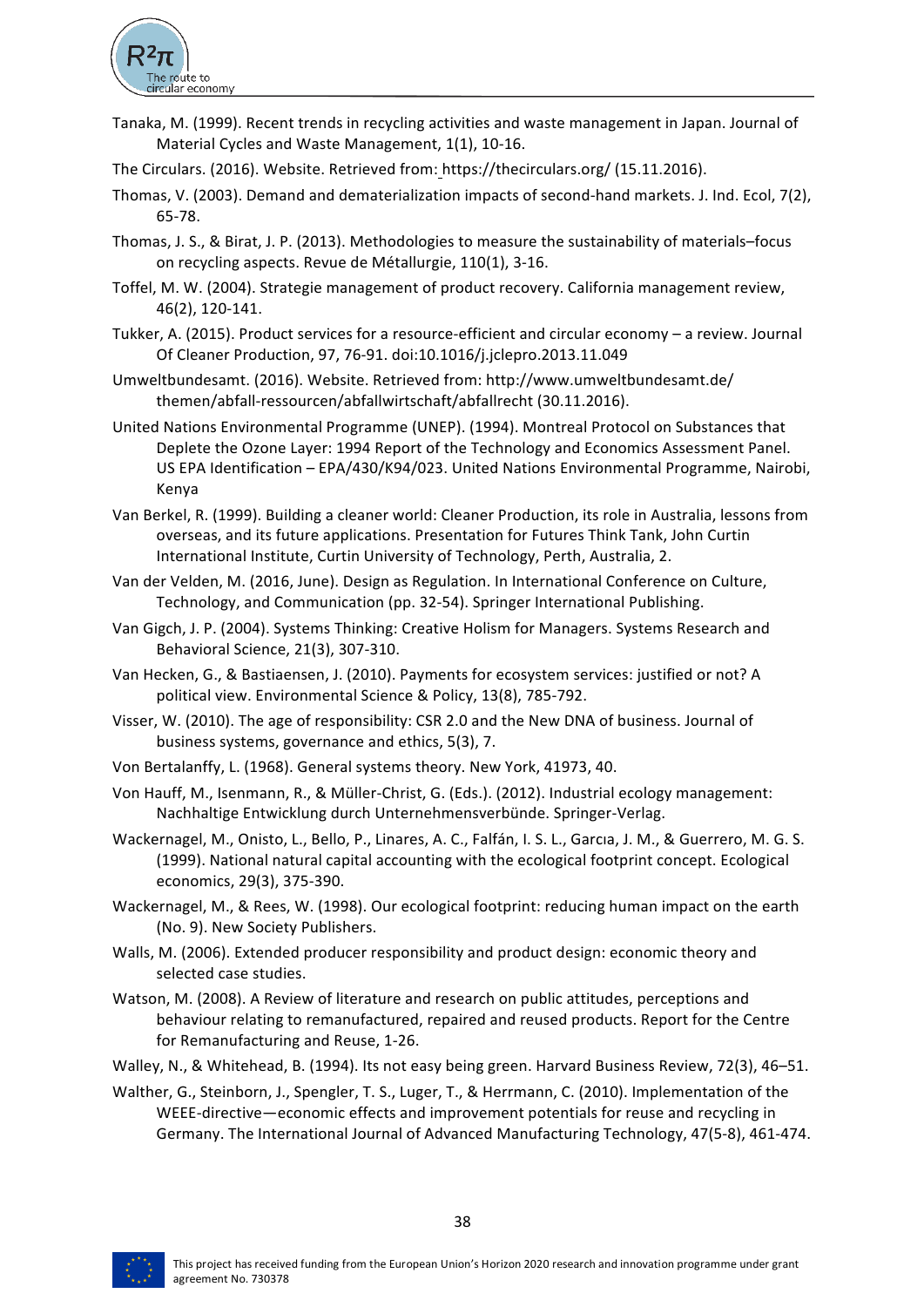

- Tanaka, M. (1999). Recent trends in recycling activities and waste management in Japan. Journal of Material Cycles and Waste Management, 1(1), 10-16.
- The Circulars. (2016). Website. Retrieved from: https://thecirculars.org/ (15.11.2016).
- Thomas, V. (2003). Demand and dematerialization impacts of second-hand markets. J. Ind. Ecol, 7(2), 65-78.
- Thomas, J. S., & Birat, J. P. (2013). Methodologies to measure the sustainability of materials–focus on recycling aspects. Revue de Métallurgie, 110(1), 3-16.
- Toffel, M. W. (2004). Strategie management of product recovery. California management review, 46(2), 120-141.
- Tukker, A. (2015). Product services for a resource-efficient and circular economy a review. Journal Of Cleaner Production, 97, 76-91. doi:10.1016/j.jclepro.2013.11.049
- Umweltbundesamt. (2016). Website. Retrieved from: http://www.umweltbundesamt.de/ themen/abfall-ressourcen/abfallwirtschaft/abfallrecht (30.11.2016).
- United Nations Environmental Programme (UNEP). (1994). Montreal Protocol on Substances that Deplete the Ozone Layer: 1994 Report of the Technology and Economics Assessment Panel. US EPA Identification - EPA/430/K94/023. United Nations Environmental Programme, Nairobi, Kenya
- Van Berkel, R. (1999). Building a cleaner world: Cleaner Production, its role in Australia, lessons from overseas, and its future applications. Presentation for Futures Think Tank, John Curtin International Institute, Curtin University of Technology, Perth, Australia, 2.
- Van der Velden, M. (2016, June). Design as Regulation. In International Conference on Culture, Technology, and Communication (pp. 32-54). Springer International Publishing.
- Van Gigch, J. P. (2004). Systems Thinking: Creative Holism for Managers. Systems Research and Behavioral Science, 21(3), 307-310.
- Van Hecken, G., & Bastiaensen, J. (2010). Payments for ecosystem services: justified or not? A political view. Environmental Science & Policy, 13(8), 785-792.
- Visser, W. (2010). The age of responsibility: CSR 2.0 and the New DNA of business. Journal of business systems, governance and ethics, 5(3), 7.
- Von Bertalanffy, L. (1968). General systems theory. New York, 41973, 40.
- Von Hauff, M., Isenmann, R., & Müller-Christ, G. (Eds.). (2012). Industrial ecology management: Nachhaltige Entwicklung durch Unternehmensverbünde. Springer-Verlag.
- Wackernagel, M., Onisto, L., Bello, P., Linares, A. C., Falfán, I. S. L., Garcıa, J. M., & Guerrero, M. G. S. (1999). National natural capital accounting with the ecological footprint concept. Ecological economics, 29(3), 375-390.
- Wackernagel, M., & Rees, W. (1998). Our ecological footprint: reducing human impact on the earth (No. 9). New Society Publishers.
- Walls, M. (2006). Extended producer responsibility and product design: economic theory and selected case studies.
- Watson, M. (2008). A Review of literature and research on public attitudes, perceptions and behaviour relating to remanufactured, repaired and reused products. Report for the Centre for Remanufacturing and Reuse, 1-26.
- Walley, N., & Whitehead, B. (1994). Its not easy being green. Harvard Business Review, 72(3), 46-51.
- Walther, G., Steinborn, J., Spengler, T. S., Luger, T., & Herrmann, C. (2010). Implementation of the WEEE-directive—economic effects and improvement potentials for reuse and recycling in Germany. The International Journal of Advanced Manufacturing Technology, 47(5-8), 461-474.